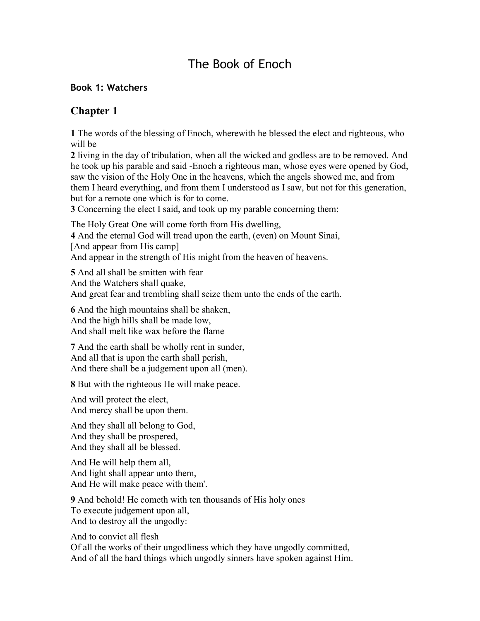# The Book of Enoch

#### **Book 1: Watchers**

### **Chapter 1**

**1** The words of the blessing of Enoch, wherewith he blessed the elect and righteous, who will be

**2** living in the day of tribulation, when all the wicked and godless are to be removed. And he took up his parable and said -Enoch a righteous man, whose eyes were opened by God, saw the vision of the Holy One in the heavens, which the angels showed me, and from them I heard everything, and from them I understood as I saw, but not for this generation, but for a remote one which is for to come.

**3** Concerning the elect I said, and took up my parable concerning them:

The Holy Great One will come forth from His dwelling,

**4** And the eternal God will tread upon the earth, (even) on Mount Sinai, [And appear from His camp]

And appear in the strength of His might from the heaven of heavens.

**5** And all shall be smitten with fear And the Watchers shall quake, And great fear and trembling shall seize them unto the ends of the earth.

**6** And the high mountains shall be shaken, And the high hills shall be made low, And shall melt like wax before the flame

**7** And the earth shall be wholly rent in sunder, And all that is upon the earth shall perish, And there shall be a judgement upon all (men).

**8** But with the righteous He will make peace.

And will protect the elect, And mercy shall be upon them.

And they shall all belong to God, And they shall be prospered, And they shall all be blessed.

And He will help them all, And light shall appear unto them, And He will make peace with them'.

**9** And behold! He cometh with ten thousands of His holy ones To execute judgement upon all, And to destroy all the ungodly:

And to convict all flesh Of all the works of their ungodliness which they have ungodly committed, And of all the hard things which ungodly sinners have spoken against Him.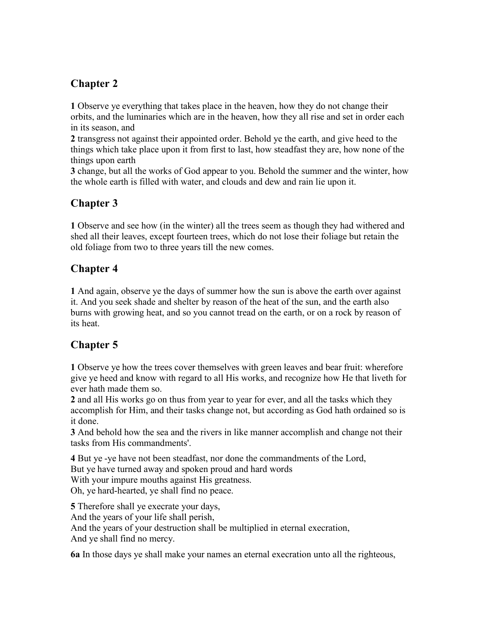**1** Observe ye everything that takes place in the heaven, how they do not change their orbits, and the luminaries which are in the heaven, how they all rise and set in order each in its season, and

**2** transgress not against their appointed order. Behold ye the earth, and give heed to the things which take place upon it from first to last, how steadfast they are, how none of the things upon earth

**3** change, but all the works of God appear to you. Behold the summer and the winter, how the whole earth is filled with water, and clouds and dew and rain lie upon it.

## **Chapter 3**

**1** Observe and see how (in the winter) all the trees seem as though they had withered and shed all their leaves, except fourteen trees, which do not lose their foliage but retain the old foliage from two to three years till the new comes.

### **Chapter 4**

**1** And again, observe ye the days of summer how the sun is above the earth over against it. And you seek shade and shelter by reason of the heat of the sun, and the earth also burns with growing heat, and so you cannot tread on the earth, or on a rock by reason of its heat.

## **Chapter 5**

**1** Observe ye how the trees cover themselves with green leaves and bear fruit: wherefore give ye heed and know with regard to all His works, and recognize how He that liveth for ever hath made them so.

**2** and all His works go on thus from year to year for ever, and all the tasks which they accomplish for Him, and their tasks change not, but according as God hath ordained so is it done.

**3** And behold how the sea and the rivers in like manner accomplish and change not their tasks from His commandments'.

**4** But ye -ye have not been steadfast, nor done the commandments of the Lord, But ye have turned away and spoken proud and hard words With your impure mouths against His greatness. Oh, ye hard-hearted, ye shall find no peace.

**5** Therefore shall ye execrate your days, And the years of your life shall perish, And the years of your destruction shall be multiplied in eternal execration, And ye shall find no mercy.

**6a** In those days ye shall make your names an eternal execration unto all the righteous,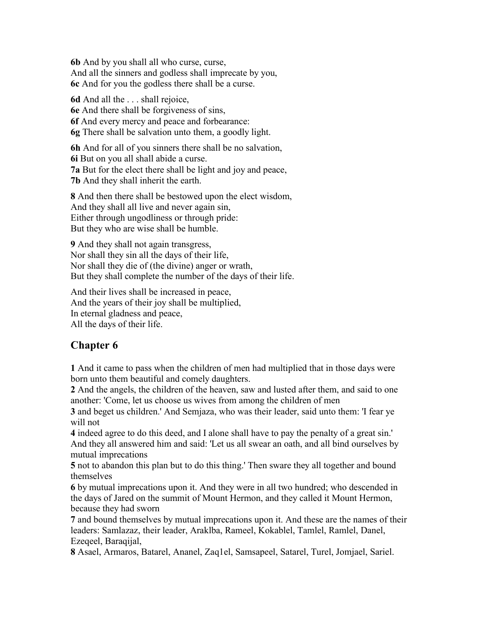**6b** And by you shall all who curse, curse, And all the sinners and godless shall imprecate by you, **6c** And for you the godless there shall be a curse.

**6d** And all the . . . shall rejoice, **6e** And there shall be forgiveness of sins, **6f** And every mercy and peace and forbearance: **6g** There shall be salvation unto them, a goodly light.

**6h** And for all of you sinners there shall be no salvation, **6i** But on you all shall abide a curse. **7a** But for the elect there shall be light and joy and peace, **7b** And they shall inherit the earth.

**8** And then there shall be bestowed upon the elect wisdom, And they shall all live and never again sin, Either through ungodliness or through pride: But they who are wise shall be humble.

**9** And they shall not again transgress, Nor shall they sin all the days of their life, Nor shall they die of (the divine) anger or wrath, But they shall complete the number of the days of their life.

And their lives shall be increased in peace, And the years of their joy shall be multiplied, In eternal gladness and peace, All the days of their life.

### **Chapter 6**

**1** And it came to pass when the children of men had multiplied that in those days were born unto them beautiful and comely daughters.

**2** And the angels, the children of the heaven, saw and lusted after them, and said to one another: 'Come, let us choose us wives from among the children of men

**3** and beget us children.' And Semjaza, who was their leader, said unto them: 'I fear ye will not

**4** indeed agree to do this deed, and I alone shall have to pay the penalty of a great sin.' And they all answered him and said: 'Let us all swear an oath, and all bind ourselves by mutual imprecations

**5** not to abandon this plan but to do this thing.' Then sware they all together and bound themselves

**6** by mutual imprecations upon it. And they were in all two hundred; who descended in the days of Jared on the summit of Mount Hermon, and they called it Mount Hermon, because they had sworn

**7** and bound themselves by mutual imprecations upon it. And these are the names of their leaders: Samlazaz, their leader, Araklba, Rameel, Kokablel, Tamlel, Ramlel, Danel, Ezeqeel, Baraqijal,

**8** Asael, Armaros, Batarel, Ananel, Zaq1el, Samsapeel, Satarel, Turel, Jomjael, Sariel.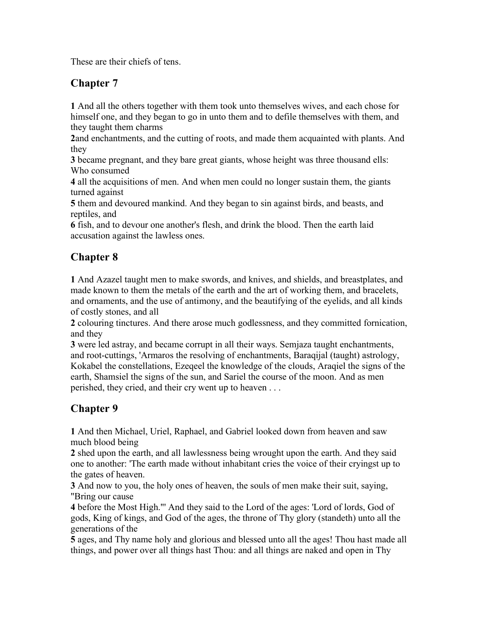These are their chiefs of tens.

### **Chapter 7**

**1** And all the others together with them took unto themselves wives, and each chose for himself one, and they began to go in unto them and to defile themselves with them, and they taught them charms

**2**and enchantments, and the cutting of roots, and made them acquainted with plants. And they

**3** became pregnant, and they bare great giants, whose height was three thousand ells: Who consumed

**4** all the acquisitions of men. And when men could no longer sustain them, the giants turned against

**5** them and devoured mankind. And they began to sin against birds, and beasts, and reptiles, and

**6** fish, and to devour one another's flesh, and drink the blood. Then the earth laid accusation against the lawless ones.

## **Chapter 8**

**1** And Azazel taught men to make swords, and knives, and shields, and breastplates, and made known to them the metals of the earth and the art of working them, and bracelets, and ornaments, and the use of antimony, and the beautifying of the eyelids, and all kinds of costly stones, and all

**2** colouring tinctures. And there arose much godlessness, and they committed fornication, and they

**3** were led astray, and became corrupt in all their ways. Semjaza taught enchantments, and root-cuttings, 'Armaros the resolving of enchantments, Baraqijal (taught) astrology, Kokabel the constellations, Ezeqeel the knowledge of the clouds, Araqiel the signs of the earth, Shamsiel the signs of the sun, and Sariel the course of the moon. And as men perished, they cried, and their cry went up to heaven . . .

# **Chapter 9**

**1** And then Michael, Uriel, Raphael, and Gabriel looked down from heaven and saw much blood being

**2** shed upon the earth, and all lawlessness being wrought upon the earth. And they said one to another: 'The earth made without inhabitant cries the voice of their cryingst up to the gates of heaven.

**3** And now to you, the holy ones of heaven, the souls of men make their suit, saying, "Bring our cause

**4** before the Most High."' And they said to the Lord of the ages: 'Lord of lords, God of gods, King of kings, and God of the ages, the throne of Thy glory (standeth) unto all the generations of the

**5** ages, and Thy name holy and glorious and blessed unto all the ages! Thou hast made all things, and power over all things hast Thou: and all things are naked and open in Thy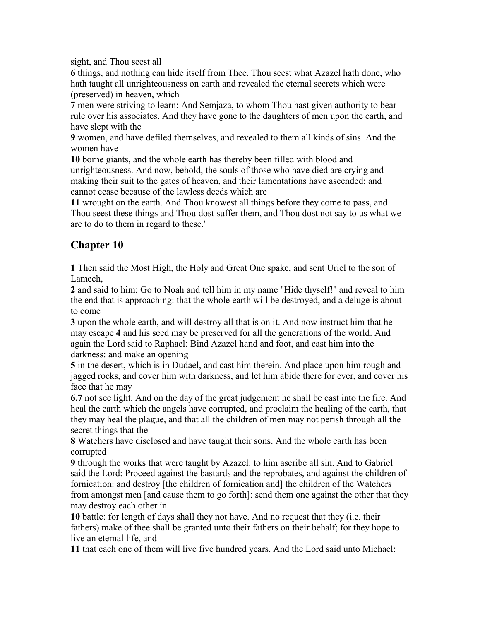sight, and Thou seest all

**6** things, and nothing can hide itself from Thee. Thou seest what Azazel hath done, who hath taught all unrighteousness on earth and revealed the eternal secrets which were (preserved) in heaven, which

**7** men were striving to learn: And Semjaza, to whom Thou hast given authority to bear rule over his associates. And they have gone to the daughters of men upon the earth, and have slept with the

**9** women, and have defiled themselves, and revealed to them all kinds of sins. And the women have

**10** borne giants, and the whole earth has thereby been filled with blood and unrighteousness. And now, behold, the souls of those who have died are crying and making their suit to the gates of heaven, and their lamentations have ascended: and cannot cease because of the lawless deeds which are

**11** wrought on the earth. And Thou knowest all things before they come to pass, and Thou seest these things and Thou dost suffer them, and Thou dost not say to us what we are to do to them in regard to these.'

## **Chapter 10**

**1** Then said the Most High, the Holy and Great One spake, and sent Uriel to the son of Lamech,

**2** and said to him: Go to Noah and tell him in my name "Hide thyself!" and reveal to him the end that is approaching: that the whole earth will be destroyed, and a deluge is about to come

**3** upon the whole earth, and will destroy all that is on it. And now instruct him that he may escape **4** and his seed may be preserved for all the generations of the world. And again the Lord said to Raphael: Bind Azazel hand and foot, and cast him into the darkness: and make an opening

**5** in the desert, which is in Dudael, and cast him therein. And place upon him rough and jagged rocks, and cover him with darkness, and let him abide there for ever, and cover his face that he may

**6,7** not see light. And on the day of the great judgement he shall be cast into the fire. And heal the earth which the angels have corrupted, and proclaim the healing of the earth, that they may heal the plague, and that all the children of men may not perish through all the secret things that the

**8** Watchers have disclosed and have taught their sons. And the whole earth has been corrupted

**9** through the works that were taught by Azazel: to him ascribe all sin. And to Gabriel said the Lord: Proceed against the bastards and the reprobates, and against the children of fornication: and destroy [the children of fornication and] the children of the Watchers from amongst men [and cause them to go forth]: send them one against the other that they may destroy each other in

**10** battle: for length of days shall they not have. And no request that they (i.e. their fathers) make of thee shall be granted unto their fathers on their behalf; for they hope to live an eternal life, and

**11** that each one of them will live five hundred years. And the Lord said unto Michael: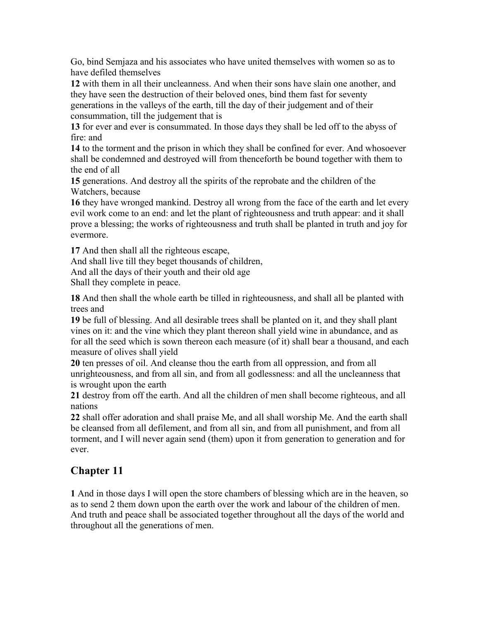Go, bind Semjaza and his associates who have united themselves with women so as to have defiled themselves

**12** with them in all their uncleanness. And when their sons have slain one another, and they have seen the destruction of their beloved ones, bind them fast for seventy generations in the valleys of the earth, till the day of their judgement and of their consummation, till the judgement that is

**13** for ever and ever is consummated. In those days they shall be led off to the abyss of fire: and

**14** to the torment and the prison in which they shall be confined for ever. And whosoever shall be condemned and destroyed will from thenceforth be bound together with them to the end of all

**15** generations. And destroy all the spirits of the reprobate and the children of the Watchers, because

**16** they have wronged mankind. Destroy all wrong from the face of the earth and let every evil work come to an end: and let the plant of righteousness and truth appear: and it shall prove a blessing; the works of righteousness and truth shall be planted in truth and joy for evermore.

**17** And then shall all the righteous escape,

And shall live till they beget thousands of children,

And all the days of their youth and their old age

Shall they complete in peace.

**18** And then shall the whole earth be tilled in righteousness, and shall all be planted with trees and

**19** be full of blessing. And all desirable trees shall be planted on it, and they shall plant vines on it: and the vine which they plant thereon shall yield wine in abundance, and as for all the seed which is sown thereon each measure (of it) shall bear a thousand, and each measure of olives shall yield

**20** ten presses of oil. And cleanse thou the earth from all oppression, and from all unrighteousness, and from all sin, and from all godlessness: and all the uncleanness that is wrought upon the earth

**21** destroy from off the earth. And all the children of men shall become righteous, and all nations

**22** shall offer adoration and shall praise Me, and all shall worship Me. And the earth shall be cleansed from all defilement, and from all sin, and from all punishment, and from all torment, and I will never again send (them) upon it from generation to generation and for ever.

### **Chapter 11**

**1** And in those days I will open the store chambers of blessing which are in the heaven, so as to send 2 them down upon the earth over the work and labour of the children of men. And truth and peace shall be associated together throughout all the days of the world and throughout all the generations of men.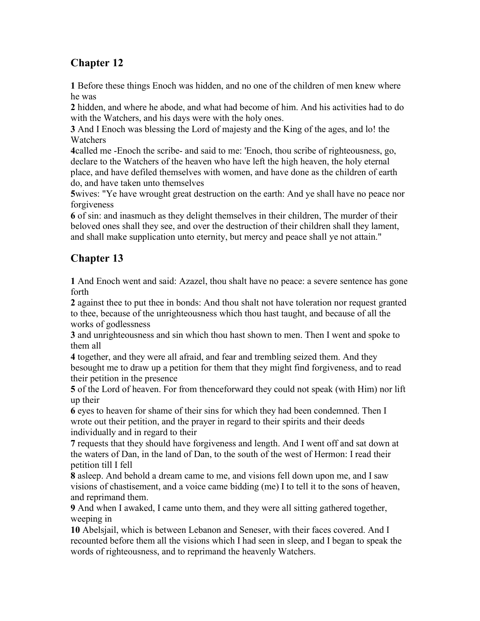**1** Before these things Enoch was hidden, and no one of the children of men knew where he was

**2** hidden, and where he abode, and what had become of him. And his activities had to do with the Watchers, and his days were with the holy ones.

**3** And I Enoch was blessing the Lord of majesty and the King of the ages, and lo! the **Watchers** 

**4**called me -Enoch the scribe- and said to me: 'Enoch, thou scribe of righteousness, go, declare to the Watchers of the heaven who have left the high heaven, the holy eternal place, and have defiled themselves with women, and have done as the children of earth do, and have taken unto themselves

**5**wives: "Ye have wrought great destruction on the earth: And ye shall have no peace nor forgiveness

**6** of sin: and inasmuch as they delight themselves in their children, The murder of their beloved ones shall they see, and over the destruction of their children shall they lament, and shall make supplication unto eternity, but mercy and peace shall ye not attain."

# **Chapter 13**

**1** And Enoch went and said: Azazel, thou shalt have no peace: a severe sentence has gone forth

**2** against thee to put thee in bonds: And thou shalt not have toleration nor request granted to thee, because of the unrighteousness which thou hast taught, and because of all the works of godlessness

**3** and unrighteousness and sin which thou hast shown to men. Then I went and spoke to them all

**4** together, and they were all afraid, and fear and trembling seized them. And they besought me to draw up a petition for them that they might find forgiveness, and to read their petition in the presence

**5** of the Lord of heaven. For from thenceforward they could not speak (with Him) nor lift up their

**6** eyes to heaven for shame of their sins for which they had been condemned. Then I wrote out their petition, and the prayer in regard to their spirits and their deeds individually and in regard to their

**7** requests that they should have forgiveness and length. And I went off and sat down at the waters of Dan, in the land of Dan, to the south of the west of Hermon: I read their petition till I fell

**8** asleep. And behold a dream came to me, and visions fell down upon me, and I saw visions of chastisement, and a voice came bidding (me) I to tell it to the sons of heaven, and reprimand them.

**9** And when I awaked, I came unto them, and they were all sitting gathered together, weeping in

**10** Abelsjail, which is between Lebanon and Seneser, with their faces covered. And I recounted before them all the visions which I had seen in sleep, and I began to speak the words of righteousness, and to reprimand the heavenly Watchers.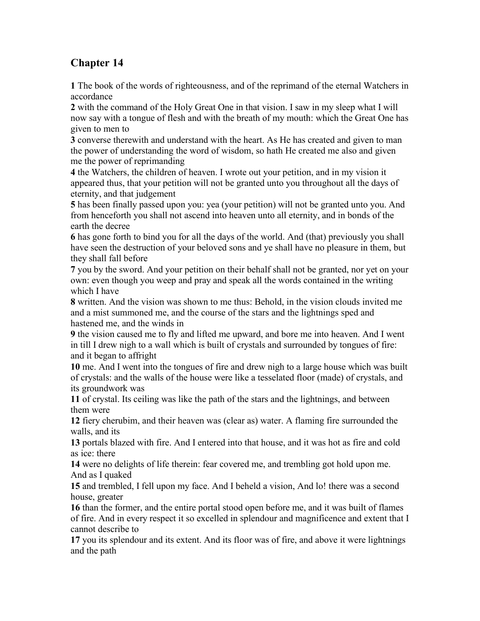**1** The book of the words of righteousness, and of the reprimand of the eternal Watchers in accordance

**2** with the command of the Holy Great One in that vision. I saw in my sleep what I will now say with a tongue of flesh and with the breath of my mouth: which the Great One has given to men to

**3** converse therewith and understand with the heart. As He has created and given to man the power of understanding the word of wisdom, so hath He created me also and given me the power of reprimanding

**4** the Watchers, the children of heaven. I wrote out your petition, and in my vision it appeared thus, that your petition will not be granted unto you throughout all the days of eternity, and that judgement

**5** has been finally passed upon you: yea (your petition) will not be granted unto you. And from henceforth you shall not ascend into heaven unto all eternity, and in bonds of the earth the decree

**6** has gone forth to bind you for all the days of the world. And (that) previously you shall have seen the destruction of your beloved sons and ye shall have no pleasure in them, but they shall fall before

**7** you by the sword. And your petition on their behalf shall not be granted, nor yet on your own: even though you weep and pray and speak all the words contained in the writing which I have

**8** written. And the vision was shown to me thus: Behold, in the vision clouds invited me and a mist summoned me, and the course of the stars and the lightnings sped and hastened me, and the winds in

**9** the vision caused me to fly and lifted me upward, and bore me into heaven. And I went in till I drew nigh to a wall which is built of crystals and surrounded by tongues of fire: and it began to affright

**10** me. And I went into the tongues of fire and drew nigh to a large house which was built of crystals: and the walls of the house were like a tesselated floor (made) of crystals, and its groundwork was

**11** of crystal. Its ceiling was like the path of the stars and the lightnings, and between them were

**12** fiery cherubim, and their heaven was (clear as) water. A flaming fire surrounded the walls, and its

**13** portals blazed with fire. And I entered into that house, and it was hot as fire and cold as ice: there

**14** were no delights of life therein: fear covered me, and trembling got hold upon me. And as I quaked

**15** and trembled, I fell upon my face. And I beheld a vision, And lo! there was a second house, greater

**16** than the former, and the entire portal stood open before me, and it was built of flames of fire. And in every respect it so excelled in splendour and magnificence and extent that I cannot describe to

**17** you its splendour and its extent. And its floor was of fire, and above it were lightnings and the path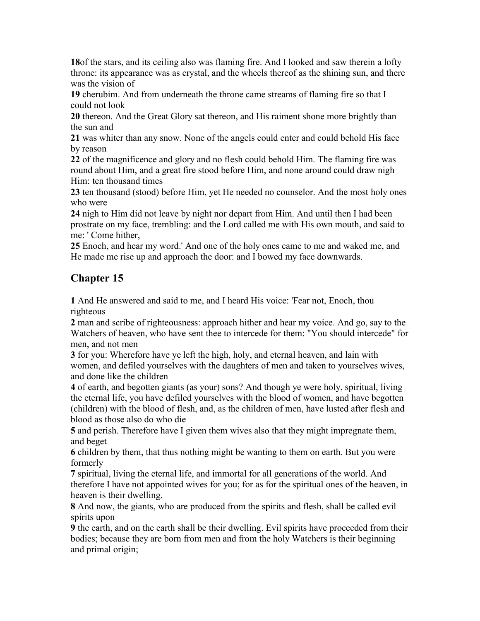**18**of the stars, and its ceiling also was flaming fire. And I looked and saw therein a lofty throne: its appearance was as crystal, and the wheels thereof as the shining sun, and there was the vision of

**19** cherubim. And from underneath the throne came streams of flaming fire so that I could not look

**20** thereon. And the Great Glory sat thereon, and His raiment shone more brightly than the sun and

**21** was whiter than any snow. None of the angels could enter and could behold His face by reason

**22** of the magnificence and glory and no flesh could behold Him. The flaming fire was round about Him, and a great fire stood before Him, and none around could draw nigh Him: ten thousand times

**23** ten thousand (stood) before Him, yet He needed no counselor. And the most holy ones who were

**24** nigh to Him did not leave by night nor depart from Him. And until then I had been prostrate on my face, trembling: and the Lord called me with His own mouth, and said to me: ' Come hither,

**25** Enoch, and hear my word.' And one of the holy ones came to me and waked me, and He made me rise up and approach the door: and I bowed my face downwards.

### **Chapter 15**

**1** And He answered and said to me, and I heard His voice: 'Fear not, Enoch, thou righteous

**2** man and scribe of righteousness: approach hither and hear my voice. And go, say to the Watchers of heaven, who have sent thee to intercede for them: "You should intercede" for men, and not men

**3** for you: Wherefore have ye left the high, holy, and eternal heaven, and lain with women, and defiled yourselves with the daughters of men and taken to yourselves wives, and done like the children

**4** of earth, and begotten giants (as your) sons? And though ye were holy, spiritual, living the eternal life, you have defiled yourselves with the blood of women, and have begotten (children) with the blood of flesh, and, as the children of men, have lusted after flesh and blood as those also do who die

**5** and perish. Therefore have I given them wives also that they might impregnate them, and beget

**6** children by them, that thus nothing might be wanting to them on earth. But you were formerly

**7** spiritual, living the eternal life, and immortal for all generations of the world. And therefore I have not appointed wives for you; for as for the spiritual ones of the heaven, in heaven is their dwelling.

**8** And now, the giants, who are produced from the spirits and flesh, shall be called evil spirits upon

**9** the earth, and on the earth shall be their dwelling. Evil spirits have proceeded from their bodies; because they are born from men and from the holy Watchers is their beginning and primal origin;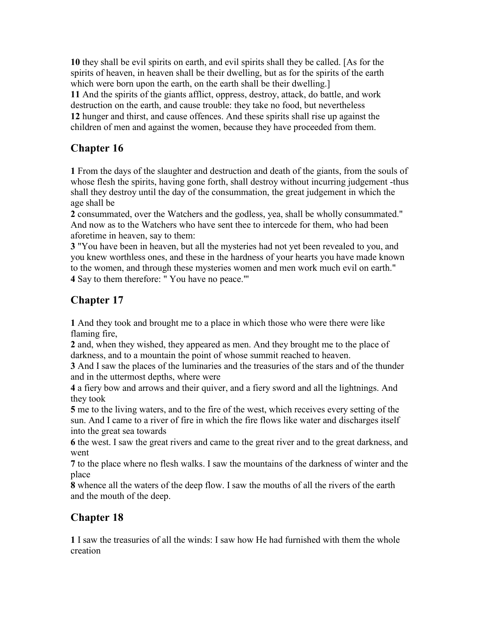**10** they shall be evil spirits on earth, and evil spirits shall they be called. [As for the spirits of heaven, in heaven shall be their dwelling, but as for the spirits of the earth which were born upon the earth, on the earth shall be their dwelling.

**11** And the spirits of the giants afflict, oppress, destroy, attack, do battle, and work destruction on the earth, and cause trouble: they take no food, but nevertheless **12** hunger and thirst, and cause offences. And these spirits shall rise up against the children of men and against the women, because they have proceeded from them.

## **Chapter 16**

**1** From the days of the slaughter and destruction and death of the giants, from the souls of whose flesh the spirits, having gone forth, shall destroy without incurring judgement -thus shall they destroy until the day of the consummation, the great judgement in which the age shall be

**2** consummated, over the Watchers and the godless, yea, shall be wholly consummated." And now as to the Watchers who have sent thee to intercede for them, who had been aforetime in heaven, say to them:

**3** "You have been in heaven, but all the mysteries had not yet been revealed to you, and you knew worthless ones, and these in the hardness of your hearts you have made known to the women, and through these mysteries women and men work much evil on earth." **4** Say to them therefore: " You have no peace."'

## **Chapter 17**

**1** And they took and brought me to a place in which those who were there were like flaming fire,

**2** and, when they wished, they appeared as men. And they brought me to the place of darkness, and to a mountain the point of whose summit reached to heaven.

**3** And I saw the places of the luminaries and the treasuries of the stars and of the thunder and in the uttermost depths, where were

**4** a fiery bow and arrows and their quiver, and a fiery sword and all the lightnings. And they took

**5** me to the living waters, and to the fire of the west, which receives every setting of the sun. And I came to a river of fire in which the fire flows like water and discharges itself into the great sea towards

**6** the west. I saw the great rivers and came to the great river and to the great darkness, and went

**7** to the place where no flesh walks. I saw the mountains of the darkness of winter and the place

**8** whence all the waters of the deep flow. I saw the mouths of all the rivers of the earth and the mouth of the deep.

## **Chapter 18**

**1** I saw the treasuries of all the winds: I saw how He had furnished with them the whole creation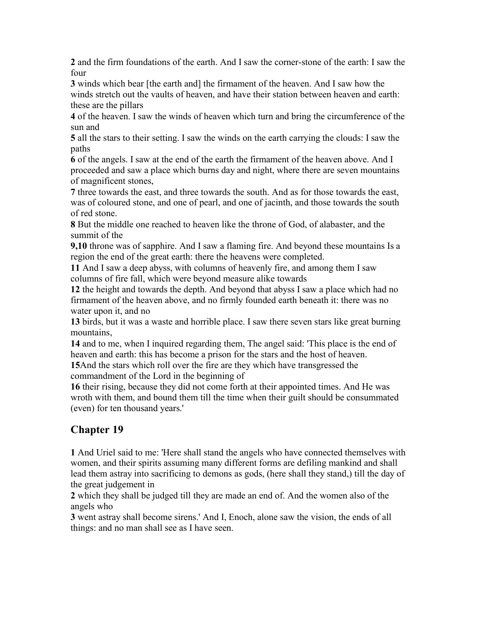**2** and the firm foundations of the earth. And I saw the corner-stone of the earth: I saw the four

**3** winds which bear [the earth and] the firmament of the heaven. And I saw how the winds stretch out the vaults of heaven, and have their station between heaven and earth: these are the pillars

**4** of the heaven. I saw the winds of heaven which turn and bring the circumference of the sun and

**5** all the stars to their setting. I saw the winds on the earth carrying the clouds: I saw the paths

**6** of the angels. I saw at the end of the earth the firmament of the heaven above. And I proceeded and saw a place which burns day and night, where there are seven mountains of magnificent stones,

**7** three towards the east, and three towards the south. And as for those towards the east, was of coloured stone, and one of pearl, and one of jacinth, and those towards the south of red stone.

**8** But the middle one reached to heaven like the throne of God, of alabaster, and the summit of the

**9,10** throne was of sapphire. And I saw a flaming fire. And beyond these mountains Is a region the end of the great earth: there the heavens were completed.

**11** And I saw a deep abyss, with columns of heavenly fire, and among them I saw columns of fire fall, which were beyond measure alike towards

**12** the height and towards the depth. And beyond that abyss I saw a place which had no firmament of the heaven above, and no firmly founded earth beneath it: there was no water upon it, and no

**13** birds, but it was a waste and horrible place. I saw there seven stars like great burning mountains,

**14** and to me, when I inquired regarding them, The angel said: 'This place is the end of heaven and earth: this has become a prison for the stars and the host of heaven.

**15**And the stars which roll over the fire are they which have transgressed the commandment of the Lord in the beginning of

**16** their rising, because they did not come forth at their appointed times. And He was wroth with them, and bound them till the time when their guilt should be consummated (even) for ten thousand years.'

## **Chapter 19**

**1** And Uriel said to me: 'Here shall stand the angels who have connected themselves with women, and their spirits assuming many different forms are defiling mankind and shall lead them astray into sacrificing to demons as gods, (here shall they stand,) till the day of the great judgement in

**2** which they shall be judged till they are made an end of. And the women also of the angels who

**3** went astray shall become sirens.' And I, Enoch, alone saw the vision, the ends of all things: and no man shall see as I have seen.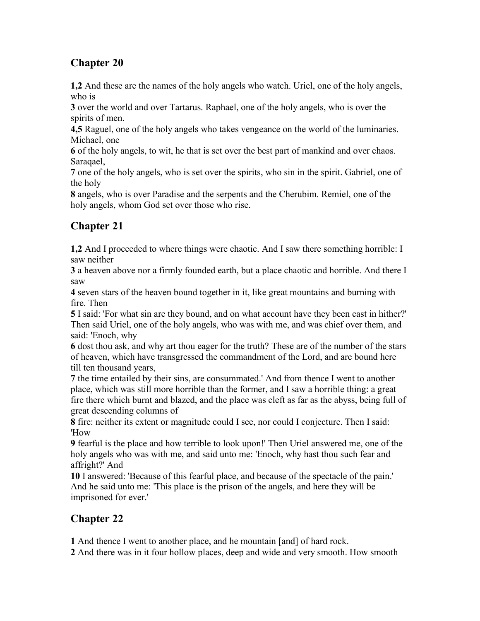**1,2** And these are the names of the holy angels who watch. Uriel, one of the holy angels, who is

**3** over the world and over Tartarus. Raphael, one of the holy angels, who is over the spirits of men.

**4,5** Raguel, one of the holy angels who takes vengeance on the world of the luminaries. Michael, one

**6** of the holy angels, to wit, he that is set over the best part of mankind and over chaos. Saraqael,

**7** one of the holy angels, who is set over the spirits, who sin in the spirit. Gabriel, one of the holy

**8** angels, who is over Paradise and the serpents and the Cherubim. Remiel, one of the holy angels, whom God set over those who rise.

# **Chapter 21**

**1,2** And I proceeded to where things were chaotic. And I saw there something horrible: I saw neither

**3** a heaven above nor a firmly founded earth, but a place chaotic and horrible. And there I saw

**4** seven stars of the heaven bound together in it, like great mountains and burning with fire. Then

**5** I said: 'For what sin are they bound, and on what account have they been cast in hither?' Then said Uriel, one of the holy angels, who was with me, and was chief over them, and said: 'Enoch, why

**6** dost thou ask, and why art thou eager for the truth? These are of the number of the stars of heaven, which have transgressed the commandment of the Lord, and are bound here till ten thousand years,

**7** the time entailed by their sins, are consummated.' And from thence I went to another place, which was still more horrible than the former, and I saw a horrible thing: a great fire there which burnt and blazed, and the place was cleft as far as the abyss, being full of great descending columns of

**8** fire: neither its extent or magnitude could I see, nor could I conjecture. Then I said: 'How

**9** fearful is the place and how terrible to look upon!' Then Uriel answered me, one of the holy angels who was with me, and said unto me: 'Enoch, why hast thou such fear and affright?' And

**10** I answered: 'Because of this fearful place, and because of the spectacle of the pain.' And he said unto me: 'This place is the prison of the angels, and here they will be imprisoned for ever.'

# **Chapter 22**

**1** And thence I went to another place, and he mountain [and] of hard rock.

**2** And there was in it four hollow places, deep and wide and very smooth. How smooth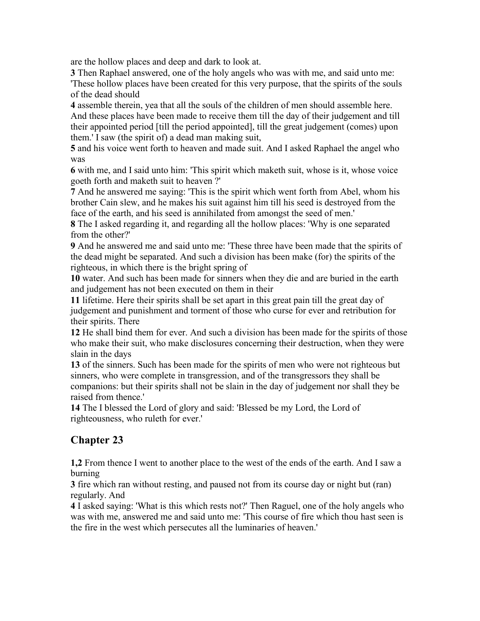are the hollow places and deep and dark to look at.

**3** Then Raphael answered, one of the holy angels who was with me, and said unto me:

'These hollow places have been created for this very purpose, that the spirits of the souls of the dead should

**4** assemble therein, yea that all the souls of the children of men should assemble here. And these places have been made to receive them till the day of their judgement and till their appointed period [till the period appointed], till the great judgement (comes) upon them.' I saw (the spirit of) a dead man making suit,

**5** and his voice went forth to heaven and made suit. And I asked Raphael the angel who was

**6** with me, and I said unto him: 'This spirit which maketh suit, whose is it, whose voice goeth forth and maketh suit to heaven ?'

**7** And he answered me saying: 'This is the spirit which went forth from Abel, whom his brother Cain slew, and he makes his suit against him till his seed is destroyed from the face of the earth, and his seed is annihilated from amongst the seed of men.'

**8** The I asked regarding it, and regarding all the hollow places: 'Why is one separated from the other?'

**9** And he answered me and said unto me: 'These three have been made that the spirits of the dead might be separated. And such a division has been make (for) the spirits of the righteous, in which there is the bright spring of

**10** water. And such has been made for sinners when they die and are buried in the earth and judgement has not been executed on them in their

**11** lifetime. Here their spirits shall be set apart in this great pain till the great day of judgement and punishment and torment of those who curse for ever and retribution for their spirits. There

**12** He shall bind them for ever. And such a division has been made for the spirits of those who make their suit, who make disclosures concerning their destruction, when they were slain in the days

**13** of the sinners. Such has been made for the spirits of men who were not righteous but sinners, who were complete in transgression, and of the transgressors they shall be companions: but their spirits shall not be slain in the day of judgement nor shall they be raised from thence.'

**14** The I blessed the Lord of glory and said: 'Blessed be my Lord, the Lord of righteousness, who ruleth for ever.'

### **Chapter 23**

**1,2** From thence I went to another place to the west of the ends of the earth. And I saw a burning

**3** fire which ran without resting, and paused not from its course day or night but (ran) regularly. And

**4** I asked saying: 'What is this which rests not?' Then Raguel, one of the holy angels who was with me, answered me and said unto me: 'This course of fire which thou hast seen is the fire in the west which persecutes all the luminaries of heaven.'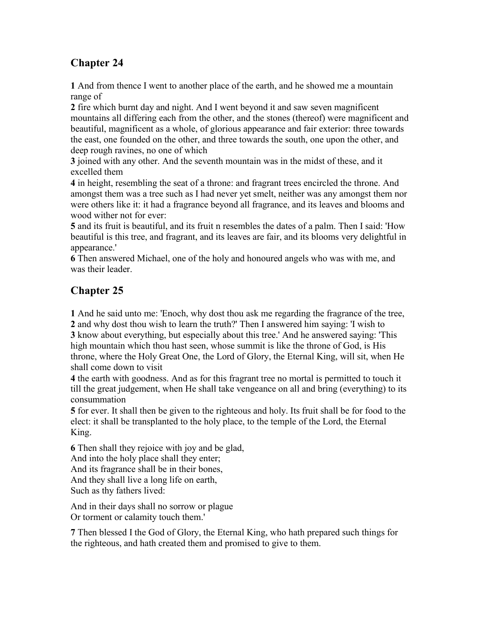**1** And from thence I went to another place of the earth, and he showed me a mountain range of

**2** fire which burnt day and night. And I went beyond it and saw seven magnificent mountains all differing each from the other, and the stones (thereof) were magnificent and beautiful, magnificent as a whole, of glorious appearance and fair exterior: three towards the east, one founded on the other, and three towards the south, one upon the other, and deep rough ravines, no one of which

**3** joined with any other. And the seventh mountain was in the midst of these, and it excelled them

**4** in height, resembling the seat of a throne: and fragrant trees encircled the throne. And amongst them was a tree such as I had never yet smelt, neither was any amongst them nor were others like it: it had a fragrance beyond all fragrance, and its leaves and blooms and wood wither not for ever:

**5** and its fruit is beautiful, and its fruit n resembles the dates of a palm. Then I said: 'How beautiful is this tree, and fragrant, and its leaves are fair, and its blooms very delightful in appearance.'

**6** Then answered Michael, one of the holy and honoured angels who was with me, and was their leader

## **Chapter 25**

**1** And he said unto me: 'Enoch, why dost thou ask me regarding the fragrance of the tree,

**2** and why dost thou wish to learn the truth?' Then I answered him saying: 'I wish to **3** know about everything, but especially about this tree.' And he answered saying: 'This high mountain which thou hast seen, whose summit is like the throne of God, is His throne, where the Holy Great One, the Lord of Glory, the Eternal King, will sit, when He shall come down to visit

**4** the earth with goodness. And as for this fragrant tree no mortal is permitted to touch it till the great judgement, when He shall take vengeance on all and bring (everything) to its consummation

**5** for ever. It shall then be given to the righteous and holy. Its fruit shall be for food to the elect: it shall be transplanted to the holy place, to the temple of the Lord, the Eternal King.

**6** Then shall they rejoice with joy and be glad, And into the holy place shall they enter; And its fragrance shall be in their bones, And they shall live a long life on earth,

Such as thy fathers lived:

And in their days shall no sorrow or plague Or torment or calamity touch them.'

**7** Then blessed I the God of Glory, the Eternal King, who hath prepared such things for the righteous, and hath created them and promised to give to them.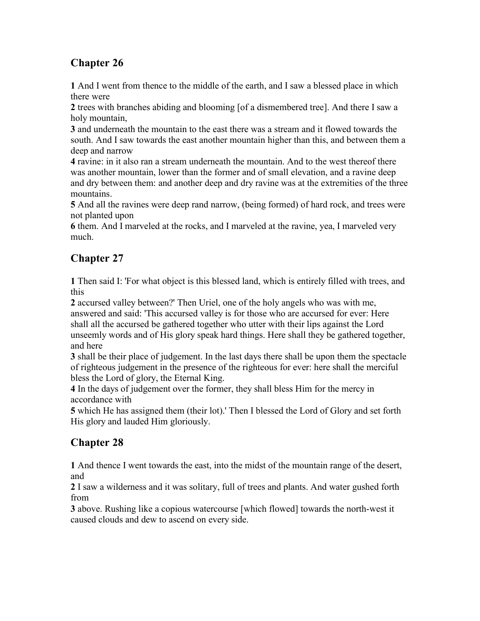**1** And I went from thence to the middle of the earth, and I saw a blessed place in which there were

**2** trees with branches abiding and blooming [of a dismembered tree]. And there I saw a holy mountain,

**3** and underneath the mountain to the east there was a stream and it flowed towards the south. And I saw towards the east another mountain higher than this, and between them a deep and narrow

**4** ravine: in it also ran a stream underneath the mountain. And to the west thereof there was another mountain, lower than the former and of small elevation, and a ravine deep and dry between them: and another deep and dry ravine was at the extremities of the three mountains.

**5** And all the ravines were deep rand narrow, (being formed) of hard rock, and trees were not planted upon

**6** them. And I marveled at the rocks, and I marveled at the ravine, yea, I marveled very much.

# **Chapter 27**

**1** Then said I: 'For what object is this blessed land, which is entirely filled with trees, and this

**2** accursed valley between?' Then Uriel, one of the holy angels who was with me, answered and said: 'This accursed valley is for those who are accursed for ever: Here shall all the accursed be gathered together who utter with their lips against the Lord unseemly words and of His glory speak hard things. Here shall they be gathered together, and here

**3** shall be their place of judgement. In the last days there shall be upon them the spectacle of righteous judgement in the presence of the righteous for ever: here shall the merciful bless the Lord of glory, the Eternal King.

**4** In the days of judgement over the former, they shall bless Him for the mercy in accordance with

**5** which He has assigned them (their lot).' Then I blessed the Lord of Glory and set forth His glory and lauded Him gloriously.

# **Chapter 28**

**1** And thence I went towards the east, into the midst of the mountain range of the desert, and

**2** I saw a wilderness and it was solitary, full of trees and plants. And water gushed forth from

**3** above. Rushing like a copious watercourse [which flowed] towards the north-west it caused clouds and dew to ascend on every side.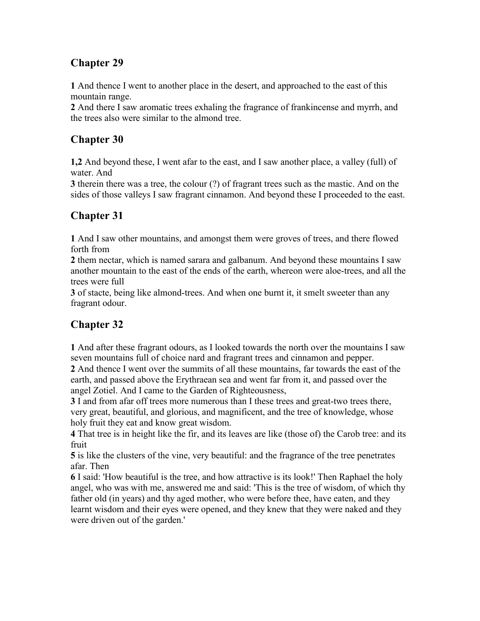**1** And thence I went to another place in the desert, and approached to the east of this mountain range.

**2** And there I saw aromatic trees exhaling the fragrance of frankincense and myrrh, and the trees also were similar to the almond tree.

## **Chapter 30**

**1,2** And beyond these, I went afar to the east, and I saw another place, a valley (full) of water. And

**3** therein there was a tree, the colour (?) of fragrant trees such as the mastic. And on the sides of those valleys I saw fragrant cinnamon. And beyond these I proceeded to the east.

### **Chapter 31**

**1** And I saw other mountains, and amongst them were groves of trees, and there flowed forth from

**2** them nectar, which is named sarara and galbanum. And beyond these mountains I saw another mountain to the east of the ends of the earth, whereon were aloe-trees, and all the trees were full

**3** of stacte, being like almond-trees. And when one burnt it, it smelt sweeter than any fragrant odour.

## **Chapter 32**

**1** And after these fragrant odours, as I looked towards the north over the mountains I saw seven mountains full of choice nard and fragrant trees and cinnamon and pepper.

**2** And thence I went over the summits of all these mountains, far towards the east of the earth, and passed above the Erythraean sea and went far from it, and passed over the angel Zotiel. And I came to the Garden of Righteousness,

**3** I and from afar off trees more numerous than I these trees and great-two trees there, very great, beautiful, and glorious, and magnificent, and the tree of knowledge, whose holy fruit they eat and know great wisdom.

**4** That tree is in height like the fir, and its leaves are like (those of) the Carob tree: and its fruit

**5** is like the clusters of the vine, very beautiful: and the fragrance of the tree penetrates afar. Then

**6** I said: 'How beautiful is the tree, and how attractive is its look!' Then Raphael the holy angel, who was with me, answered me and said: 'This is the tree of wisdom, of which thy father old (in years) and thy aged mother, who were before thee, have eaten, and they learnt wisdom and their eyes were opened, and they knew that they were naked and they were driven out of the garden.'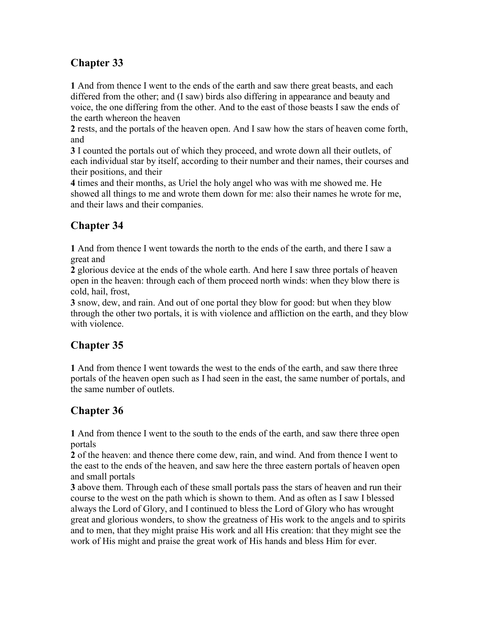**1** And from thence I went to the ends of the earth and saw there great beasts, and each differed from the other; and (I saw) birds also differing in appearance and beauty and voice, the one differing from the other. And to the east of those beasts I saw the ends of the earth whereon the heaven

**2** rests, and the portals of the heaven open. And I saw how the stars of heaven come forth, and

**3** I counted the portals out of which they proceed, and wrote down all their outlets, of each individual star by itself, according to their number and their names, their courses and their positions, and their

**4** times and their months, as Uriel the holy angel who was with me showed me. He showed all things to me and wrote them down for me: also their names he wrote for me, and their laws and their companies.

## **Chapter 34**

**1** And from thence I went towards the north to the ends of the earth, and there I saw a great and

**2** glorious device at the ends of the whole earth. And here I saw three portals of heaven open in the heaven: through each of them proceed north winds: when they blow there is cold, hail, frost,

**3** snow, dew, and rain. And out of one portal they blow for good: but when they blow through the other two portals, it is with violence and affliction on the earth, and they blow with violence.

## **Chapter 35**

**1** And from thence I went towards the west to the ends of the earth, and saw there three portals of the heaven open such as I had seen in the east, the same number of portals, and the same number of outlets.

# **Chapter 36**

**1** And from thence I went to the south to the ends of the earth, and saw there three open portals

**2** of the heaven: and thence there come dew, rain, and wind. And from thence I went to the east to the ends of the heaven, and saw here the three eastern portals of heaven open and small portals

**3** above them. Through each of these small portals pass the stars of heaven and run their course to the west on the path which is shown to them. And as often as I saw I blessed always the Lord of Glory, and I continued to bless the Lord of Glory who has wrought great and glorious wonders, to show the greatness of His work to the angels and to spirits and to men, that they might praise His work and all His creation: that they might see the work of His might and praise the great work of His hands and bless Him for ever.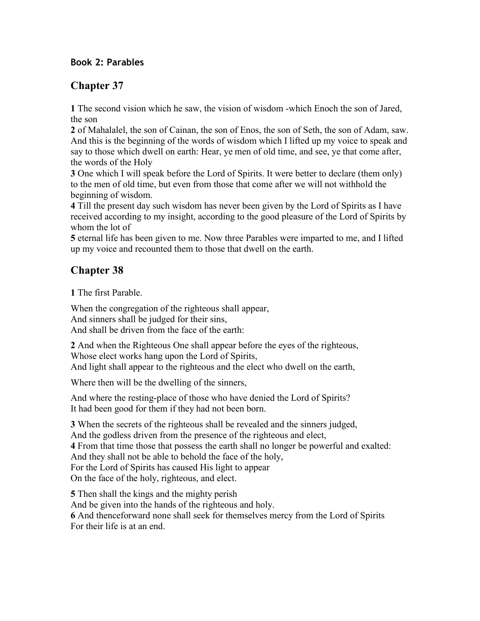#### **Book 2: Parables**

### **Chapter 37**

**1** The second vision which he saw, the vision of wisdom -which Enoch the son of Jared, the son

**2** of Mahalalel, the son of Cainan, the son of Enos, the son of Seth, the son of Adam, saw. And this is the beginning of the words of wisdom which I lifted up my voice to speak and say to those which dwell on earth: Hear, ye men of old time, and see, ye that come after, the words of the Holy

**3** One which I will speak before the Lord of Spirits. It were better to declare (them only) to the men of old time, but even from those that come after we will not withhold the beginning of wisdom.

**4** Till the present day such wisdom has never been given by the Lord of Spirits as I have received according to my insight, according to the good pleasure of the Lord of Spirits by whom the lot of

**5** eternal life has been given to me. Now three Parables were imparted to me, and I lifted up my voice and recounted them to those that dwell on the earth.

### **Chapter 38**

**1** The first Parable.

When the congregation of the righteous shall appear, And sinners shall be judged for their sins, And shall be driven from the face of the earth:

**2** And when the Righteous One shall appear before the eyes of the righteous, Whose elect works hang upon the Lord of Spirits,

And light shall appear to the righteous and the elect who dwell on the earth,

Where then will be the dwelling of the sinners,

And where the resting-place of those who have denied the Lord of Spirits? It had been good for them if they had not been born.

**3** When the secrets of the righteous shall be revealed and the sinners judged, And the godless driven from the presence of the righteous and elect, **4** From that time those that possess the earth shall no longer be powerful and exalted: And they shall not be able to behold the face of the holy, For the Lord of Spirits has caused His light to appear On the face of the holy, righteous, and elect.

**5** Then shall the kings and the mighty perish And be given into the hands of the righteous and holy. **6** And thenceforward none shall seek for themselves mercy from the Lord of Spirits For their life is at an end.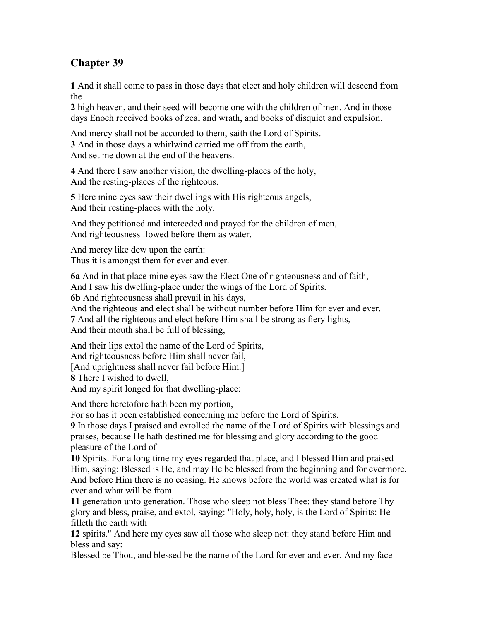**1** And it shall come to pass in those days that elect and holy children will descend from the

**2** high heaven, and their seed will become one with the children of men. And in those days Enoch received books of zeal and wrath, and books of disquiet and expulsion.

And mercy shall not be accorded to them, saith the Lord of Spirits. **3** And in those days a whirlwind carried me off from the earth, And set me down at the end of the heavens.

**4** And there I saw another vision, the dwelling-places of the holy, And the resting-places of the righteous.

**5** Here mine eyes saw their dwellings with His righteous angels, And their resting-places with the holy.

And they petitioned and interceded and prayed for the children of men, And righteousness flowed before them as water,

And mercy like dew upon the earth: Thus it is amongst them for ever and ever.

**6a** And in that place mine eyes saw the Elect One of righteousness and of faith, And I saw his dwelling-place under the wings of the Lord of Spirits.

**6b** And righteousness shall prevail in his days,

And the righteous and elect shall be without number before Him for ever and ever.

**7** And all the righteous and elect before Him shall be strong as fiery lights,

And their mouth shall be full of blessing,

And their lips extol the name of the Lord of Spirits,

And righteousness before Him shall never fail,

[And uprightness shall never fail before Him.]

**8** There I wished to dwell,

And my spirit longed for that dwelling-place:

And there heretofore hath been my portion,

For so has it been established concerning me before the Lord of Spirits.

**9** In those days I praised and extolled the name of the Lord of Spirits with blessings and praises, because He hath destined me for blessing and glory according to the good pleasure of the Lord of

**10** Spirits. For a long time my eyes regarded that place, and I blessed Him and praised Him, saying: Blessed is He, and may He be blessed from the beginning and for evermore. And before Him there is no ceasing. He knows before the world was created what is for ever and what will be from

**11** generation unto generation. Those who sleep not bless Thee: they stand before Thy glory and bless, praise, and extol, saying: "Holy, holy, holy, is the Lord of Spirits: He filleth the earth with

**12** spirits." And here my eyes saw all those who sleep not: they stand before Him and bless and say:

Blessed be Thou, and blessed be the name of the Lord for ever and ever. And my face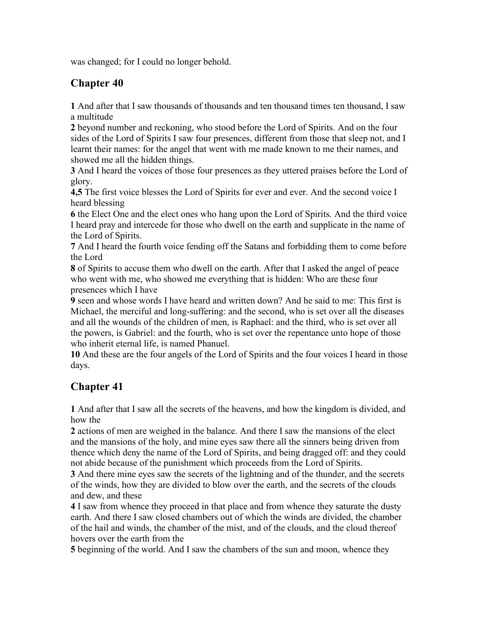was changed; for I could no longer behold.

### **Chapter 40**

**1** And after that I saw thousands of thousands and ten thousand times ten thousand, I saw a multitude

**2** beyond number and reckoning, who stood before the Lord of Spirits. And on the four sides of the Lord of Spirits I saw four presences, different from those that sleep not, and I learnt their names: for the angel that went with me made known to me their names, and showed me all the hidden things.

**3** And I heard the voices of those four presences as they uttered praises before the Lord of glory.

**4,5** The first voice blesses the Lord of Spirits for ever and ever. And the second voice I heard blessing

**6** the Elect One and the elect ones who hang upon the Lord of Spirits. And the third voice I heard pray and intercede for those who dwell on the earth and supplicate in the name of the Lord of Spirits.

**7** And I heard the fourth voice fending off the Satans and forbidding them to come before the Lord

**8** of Spirits to accuse them who dwell on the earth. After that I asked the angel of peace who went with me, who showed me everything that is hidden: Who are these four presences which I have

**9** seen and whose words I have heard and written down? And he said to me: This first is Michael, the merciful and long-suffering: and the second, who is set over all the diseases and all the wounds of the children of men, is Raphael: and the third, who is set over all the powers, is Gabriel: and the fourth, who is set over the repentance unto hope of those who inherit eternal life, is named Phanuel.

**10** And these are the four angels of the Lord of Spirits and the four voices I heard in those days.

## **Chapter 41**

**1** And after that I saw all the secrets of the heavens, and how the kingdom is divided, and how the

**2** actions of men are weighed in the balance. And there I saw the mansions of the elect and the mansions of the holy, and mine eyes saw there all the sinners being driven from thence which deny the name of the Lord of Spirits, and being dragged off: and they could not abide because of the punishment which proceeds from the Lord of Spirits.

**3** And there mine eyes saw the secrets of the lightning and of the thunder, and the secrets of the winds, how they are divided to blow over the earth, and the secrets of the clouds and dew, and these

**4** I saw from whence they proceed in that place and from whence they saturate the dusty earth. And there I saw closed chambers out of which the winds are divided, the chamber of the hail and winds, the chamber of the mist, and of the clouds, and the cloud thereof hovers over the earth from the

**5** beginning of the world. And I saw the chambers of the sun and moon, whence they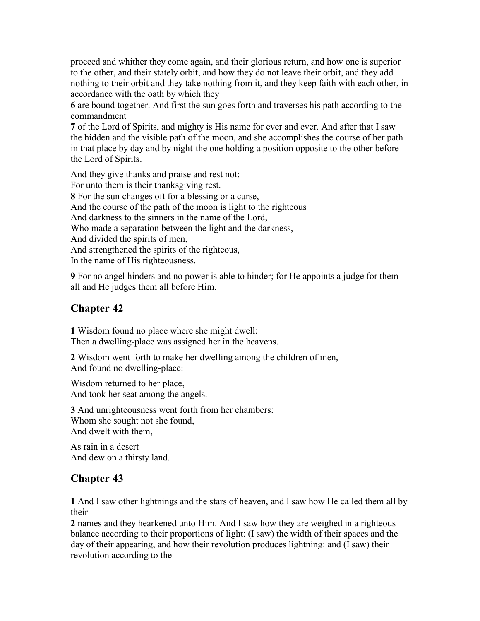proceed and whither they come again, and their glorious return, and how one is superior to the other, and their stately orbit, and how they do not leave their orbit, and they add nothing to their orbit and they take nothing from it, and they keep faith with each other, in accordance with the oath by which they

**6** are bound together. And first the sun goes forth and traverses his path according to the commandment

**7** of the Lord of Spirits, and mighty is His name for ever and ever. And after that I saw the hidden and the visible path of the moon, and she accomplishes the course of her path in that place by day and by night-the one holding a position opposite to the other before the Lord of Spirits.

And they give thanks and praise and rest not; For unto them is their thanksgiving rest. **8** For the sun changes oft for a blessing or a curse, And the course of the path of the moon is light to the righteous And darkness to the sinners in the name of the Lord, Who made a separation between the light and the darkness, And divided the spirits of men, And strengthened the spirits of the righteous, In the name of His righteousness.

**9** For no angel hinders and no power is able to hinder; for He appoints a judge for them all and He judges them all before Him.

### **Chapter 42**

**1** Wisdom found no place where she might dwell; Then a dwelling-place was assigned her in the heavens.

**2** Wisdom went forth to make her dwelling among the children of men, And found no dwelling-place:

Wisdom returned to her place, And took her seat among the angels.

**3** And unrighteousness went forth from her chambers: Whom she sought not she found, And dwelt with them,

As rain in a desert And dew on a thirsty land.

### **Chapter 43**

**1** And I saw other lightnings and the stars of heaven, and I saw how He called them all by their

**2** names and they hearkened unto Him. And I saw how they are weighed in a righteous balance according to their proportions of light: (I saw) the width of their spaces and the day of their appearing, and how their revolution produces lightning: and (I saw) their revolution according to the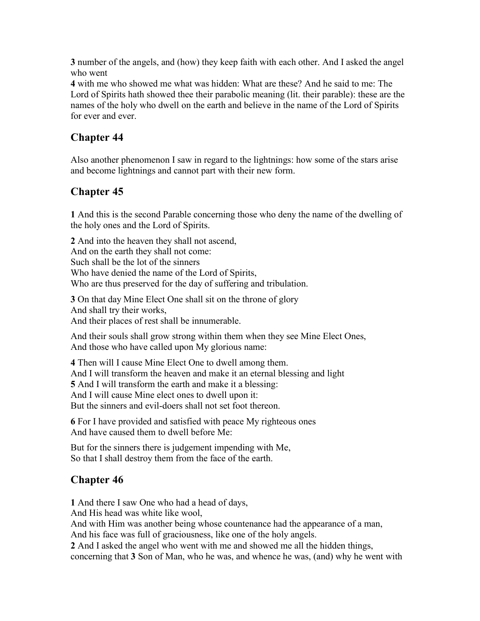**3** number of the angels, and (how) they keep faith with each other. And I asked the angel who went

**4** with me who showed me what was hidden: What are these? And he said to me: The Lord of Spirits hath showed thee their parabolic meaning (lit. their parable): these are the names of the holy who dwell on the earth and believe in the name of the Lord of Spirits for ever and ever.

### **Chapter 44**

Also another phenomenon I saw in regard to the lightnings: how some of the stars arise and become lightnings and cannot part with their new form.

## **Chapter 45**

**1** And this is the second Parable concerning those who deny the name of the dwelling of the holy ones and the Lord of Spirits.

**2** And into the heaven they shall not ascend, And on the earth they shall not come: Such shall be the lot of the sinners Who have denied the name of the Lord of Spirits, Who are thus preserved for the day of suffering and tribulation.

**3** On that day Mine Elect One shall sit on the throne of glory And shall try their works, And their places of rest shall be innumerable.

And their souls shall grow strong within them when they see Mine Elect Ones, And those who have called upon My glorious name:

**4** Then will I cause Mine Elect One to dwell among them. And I will transform the heaven and make it an eternal blessing and light **5** And I will transform the earth and make it a blessing: And I will cause Mine elect ones to dwell upon it: But the sinners and evil-doers shall not set foot thereon.

**6** For I have provided and satisfied with peace My righteous ones And have caused them to dwell before Me:

But for the sinners there is judgement impending with Me, So that I shall destroy them from the face of the earth.

## **Chapter 46**

**1** And there I saw One who had a head of days,

And His head was white like wool,

And with Him was another being whose countenance had the appearance of a man,

And his face was full of graciousness, like one of the holy angels.

**2** And I asked the angel who went with me and showed me all the hidden things, concerning that **3** Son of Man, who he was, and whence he was, (and) why he went with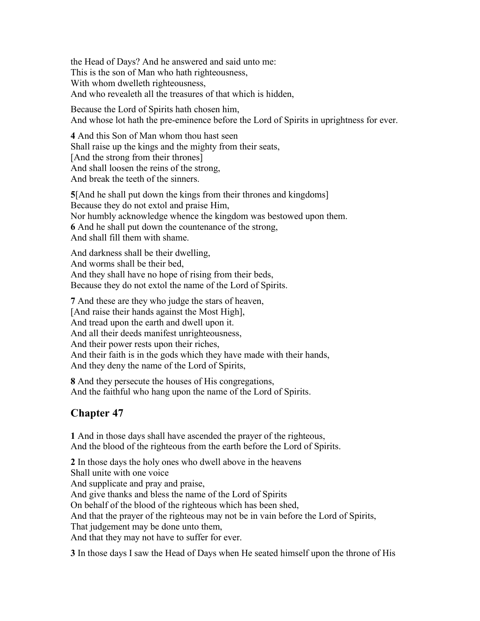the Head of Days? And he answered and said unto me: This is the son of Man who hath righteousness, With whom dwelleth righteousness, And who revealeth all the treasures of that which is hidden,

Because the Lord of Spirits hath chosen him, And whose lot hath the pre-eminence before the Lord of Spirits in uprightness for ever.

**4** And this Son of Man whom thou hast seen Shall raise up the kings and the mighty from their seats, [And the strong from their thrones] And shall loosen the reins of the strong, And break the teeth of the sinners.

**5**[And he shall put down the kings from their thrones and kingdoms] Because they do not extol and praise Him, Nor humbly acknowledge whence the kingdom was bestowed upon them. **6** And he shall put down the countenance of the strong, And shall fill them with shame.

And darkness shall be their dwelling, And worms shall be their bed, And they shall have no hope of rising from their beds, Because they do not extol the name of the Lord of Spirits.

**7** And these are they who judge the stars of heaven, [And raise their hands against the Most High], And tread upon the earth and dwell upon it. And all their deeds manifest unrighteousness, And their power rests upon their riches, And their faith is in the gods which they have made with their hands, And they deny the name of the Lord of Spirits,

**8** And they persecute the houses of His congregations, And the faithful who hang upon the name of the Lord of Spirits.

## **Chapter 47**

**1** And in those days shall have ascended the prayer of the righteous, And the blood of the righteous from the earth before the Lord of Spirits.

**2** In those days the holy ones who dwell above in the heavens Shall unite with one voice And supplicate and pray and praise, And give thanks and bless the name of the Lord of Spirits On behalf of the blood of the righteous which has been shed, And that the prayer of the righteous may not be in vain before the Lord of Spirits, That judgement may be done unto them, And that they may not have to suffer for ever.

**3** In those days I saw the Head of Days when He seated himself upon the throne of His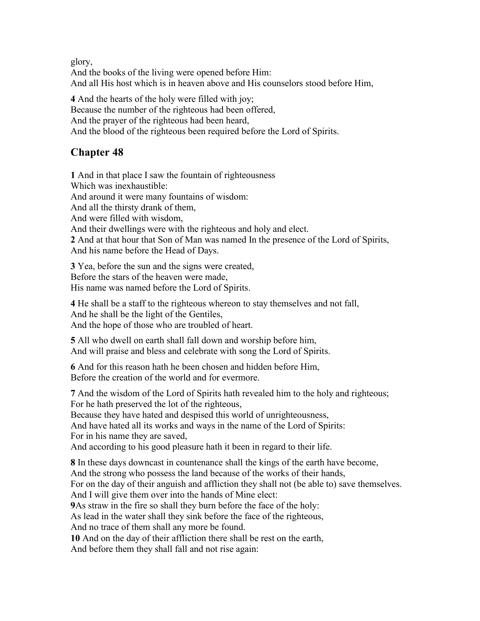glory,

And the books of the living were opened before Him: And all His host which is in heaven above and His counselors stood before Him,

**4** And the hearts of the holy were filled with joy; Because the number of the righteous had been offered, And the prayer of the righteous had been heard, And the blood of the righteous been required before the Lord of Spirits.

### **Chapter 48**

**1** And in that place I saw the fountain of righteousness Which was inexhaustible: And around it were many fountains of wisdom: And all the thirsty drank of them, And were filled with wisdom, And their dwellings were with the righteous and holy and elect. **2** And at that hour that Son of Man was named In the presence of the Lord of Spirits, And his name before the Head of Days.

**3** Yea, before the sun and the signs were created, Before the stars of the heaven were made, His name was named before the Lord of Spirits.

**4** He shall be a staff to the righteous whereon to stay themselves and not fall, And he shall be the light of the Gentiles,

And the hope of those who are troubled of heart.

**5** All who dwell on earth shall fall down and worship before him, And will praise and bless and celebrate with song the Lord of Spirits.

**6** And for this reason hath he been chosen and hidden before Him, Before the creation of the world and for evermore.

**7** And the wisdom of the Lord of Spirits hath revealed him to the holy and righteous; For he hath preserved the lot of the righteous,

Because they have hated and despised this world of unrighteousness,

And have hated all its works and ways in the name of the Lord of Spirits:

For in his name they are saved,

And according to his good pleasure hath it been in regard to their life.

**8** In these days downcast in countenance shall the kings of the earth have become, And the strong who possess the land because of the works of their hands, For on the day of their anguish and affliction they shall not (be able to) save themselves.

And I will give them over into the hands of Mine elect:

**9**As straw in the fire so shall they burn before the face of the holy:

As lead in the water shall they sink before the face of the righteous,

And no trace of them shall any more be found.

**10** And on the day of their affliction there shall be rest on the earth,

And before them they shall fall and not rise again: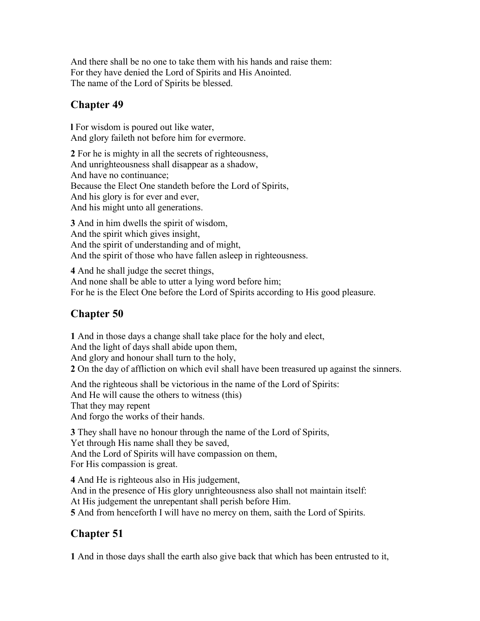And there shall be no one to take them with his hands and raise them: For they have denied the Lord of Spirits and His Anointed. The name of the Lord of Spirits be blessed.

### **Chapter 49**

**l** For wisdom is poured out like water, And glory faileth not before him for evermore.

**2** For he is mighty in all the secrets of righteousness, And unrighteousness shall disappear as a shadow, And have no continuance; Because the Elect One standeth before the Lord of Spirits, And his glory is for ever and ever, And his might unto all generations.

**3** And in him dwells the spirit of wisdom, And the spirit which gives insight, And the spirit of understanding and of might, And the spirit of those who have fallen asleep in righteousness.

**4** And he shall judge the secret things, And none shall be able to utter a lying word before him; For he is the Elect One before the Lord of Spirits according to His good pleasure.

## **Chapter 50**

**1** And in those days a change shall take place for the holy and elect, And the light of days shall abide upon them, And glory and honour shall turn to the holy, **2** On the day of affliction on which evil shall have been treasured up against the sinners.

And the righteous shall be victorious in the name of the Lord of Spirits: And He will cause the others to witness (this) That they may repent And forgo the works of their hands.

**3** They shall have no honour through the name of the Lord of Spirits, Yet through His name shall they be saved, And the Lord of Spirits will have compassion on them, For His compassion is great.

**4** And He is righteous also in His judgement, And in the presence of His glory unrighteousness also shall not maintain itself: At His judgement the unrepentant shall perish before Him. **5** And from henceforth I will have no mercy on them, saith the Lord of Spirits.

## **Chapter 51**

**1** And in those days shall the earth also give back that which has been entrusted to it,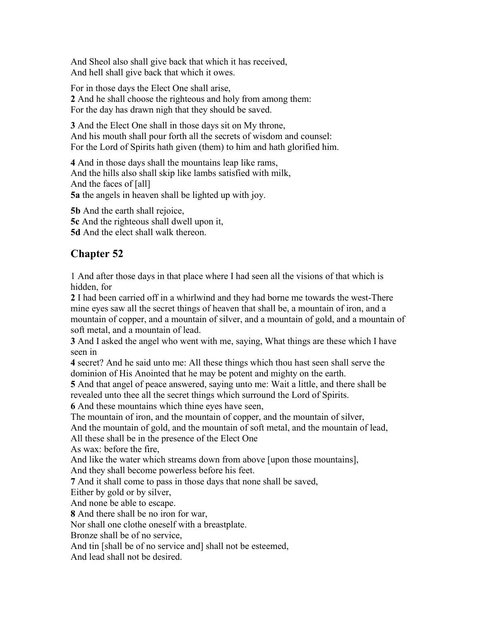And Sheol also shall give back that which it has received, And hell shall give back that which it owes.

For in those days the Elect One shall arise, **2** And he shall choose the righteous and holy from among them: For the day has drawn nigh that they should be saved.

**3** And the Elect One shall in those days sit on My throne, And his mouth shall pour forth all the secrets of wisdom and counsel: For the Lord of Spirits hath given (them) to him and hath glorified him.

**4** And in those days shall the mountains leap like rams, And the hills also shall skip like lambs satisfied with milk, And the faces of [all] **5a** the angels in heaven shall be lighted up with joy.

**5b** And the earth shall rejoice, **5c** And the righteous shall dwell upon it, **5d** And the elect shall walk thereon.

## **Chapter 52**

1 And after those days in that place where I had seen all the visions of that which is hidden, for

**2** I had been carried off in a whirlwind and they had borne me towards the west-There mine eyes saw all the secret things of heaven that shall be, a mountain of iron, and a mountain of copper, and a mountain of silver, and a mountain of gold, and a mountain of soft metal, and a mountain of lead.

**3** And I asked the angel who went with me, saying, What things are these which I have seen in

**4** secret? And he said unto me: All these things which thou hast seen shall serve the dominion of His Anointed that he may be potent and mighty on the earth.

**5** And that angel of peace answered, saying unto me: Wait a little, and there shall be revealed unto thee all the secret things which surround the Lord of Spirits.

**6** And these mountains which thine eyes have seen,

The mountain of iron, and the mountain of copper, and the mountain of silver,

And the mountain of gold, and the mountain of soft metal, and the mountain of lead,

All these shall be in the presence of the Elect One

As wax: before the fire,

And like the water which streams down from above [upon those mountains],

And they shall become powerless before his feet.

**7** And it shall come to pass in those days that none shall be saved,

Either by gold or by silver,

And none be able to escape.

**8** And there shall be no iron for war,

Nor shall one clothe oneself with a breastplate.

Bronze shall be of no service,

And tin [shall be of no service and] shall not be esteemed,

And lead shall not be desired.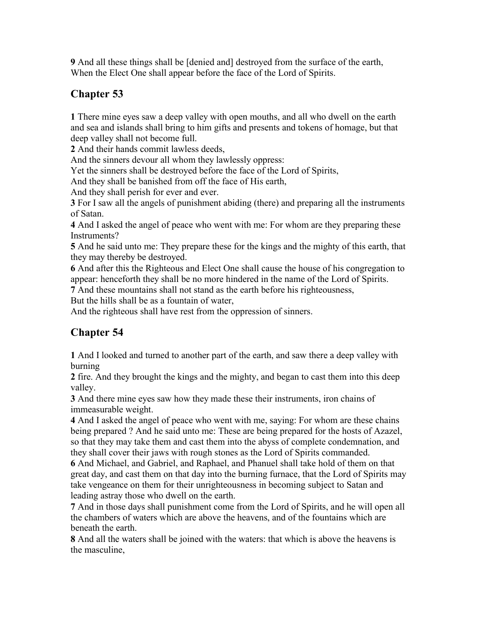**9** And all these things shall be [denied and] destroyed from the surface of the earth, When the Elect One shall appear before the face of the Lord of Spirits.

## **Chapter 53**

**1** There mine eyes saw a deep valley with open mouths, and all who dwell on the earth and sea and islands shall bring to him gifts and presents and tokens of homage, but that deep valley shall not become full.

**2** And their hands commit lawless deeds,

And the sinners devour all whom they lawlessly oppress:

Yet the sinners shall be destroyed before the face of the Lord of Spirits,

And they shall be banished from off the face of His earth,

And they shall perish for ever and ever.

**3** For I saw all the angels of punishment abiding (there) and preparing all the instruments of Satan.

**4** And I asked the angel of peace who went with me: For whom are they preparing these Instruments?

**5** And he said unto me: They prepare these for the kings and the mighty of this earth, that they may thereby be destroyed.

**6** And after this the Righteous and Elect One shall cause the house of his congregation to appear: henceforth they shall be no more hindered in the name of the Lord of Spirits.

**7** And these mountains shall not stand as the earth before his righteousness,

But the hills shall be as a fountain of water,

And the righteous shall have rest from the oppression of sinners.

## **Chapter 54**

**1** And I looked and turned to another part of the earth, and saw there a deep valley with burning

**2** fire. And they brought the kings and the mighty, and began to cast them into this deep valley.

**3** And there mine eyes saw how they made these their instruments, iron chains of immeasurable weight.

**4** And I asked the angel of peace who went with me, saying: For whom are these chains being prepared ? And he said unto me: These are being prepared for the hosts of Azazel, so that they may take them and cast them into the abyss of complete condemnation, and they shall cover their jaws with rough stones as the Lord of Spirits commanded.

**6** And Michael, and Gabriel, and Raphael, and Phanuel shall take hold of them on that great day, and cast them on that day into the burning furnace, that the Lord of Spirits may take vengeance on them for their unrighteousness in becoming subject to Satan and leading astray those who dwell on the earth.

**7** And in those days shall punishment come from the Lord of Spirits, and he will open all the chambers of waters which are above the heavens, and of the fountains which are beneath the earth.

**8** And all the waters shall be joined with the waters: that which is above the heavens is the masculine,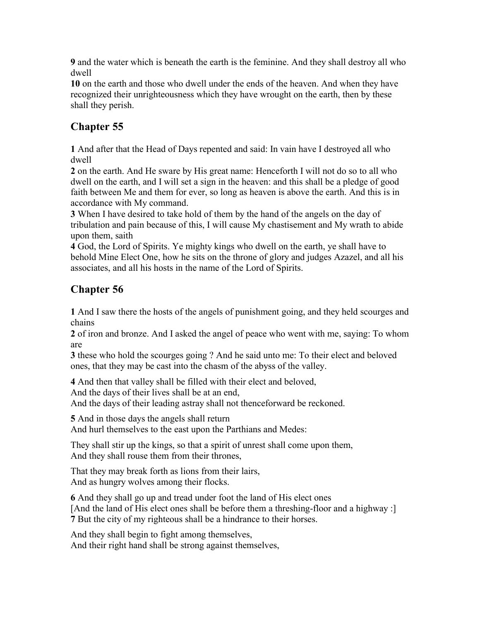**9** and the water which is beneath the earth is the feminine. And they shall destroy all who dwell

**10** on the earth and those who dwell under the ends of the heaven. And when they have recognized their unrighteousness which they have wrought on the earth, then by these shall they perish.

# **Chapter 55**

**1** And after that the Head of Days repented and said: In vain have I destroyed all who dwell

**2** on the earth. And He sware by His great name: Henceforth I will not do so to all who dwell on the earth, and I will set a sign in the heaven: and this shall be a pledge of good faith between Me and them for ever, so long as heaven is above the earth. And this is in accordance with My command.

**3** When I have desired to take hold of them by the hand of the angels on the day of tribulation and pain because of this, I will cause My chastisement and My wrath to abide upon them, saith

**4** God, the Lord of Spirits. Ye mighty kings who dwell on the earth, ye shall have to behold Mine Elect One, how he sits on the throne of glory and judges Azazel, and all his associates, and all his hosts in the name of the Lord of Spirits.

# **Chapter 56**

**1** And I saw there the hosts of the angels of punishment going, and they held scourges and chains

**2** of iron and bronze. And I asked the angel of peace who went with me, saying: To whom are

**3** these who hold the scourges going ? And he said unto me: To their elect and beloved ones, that they may be cast into the chasm of the abyss of the valley.

**4** And then that valley shall be filled with their elect and beloved,

And the days of their lives shall be at an end,

And the days of their leading astray shall not thenceforward be reckoned.

**5** And in those days the angels shall return

And hurl themselves to the east upon the Parthians and Medes:

They shall stir up the kings, so that a spirit of unrest shall come upon them, And they shall rouse them from their thrones,

That they may break forth as lions from their lairs, And as hungry wolves among their flocks.

**6** And they shall go up and tread under foot the land of His elect ones [And the land of His elect ones shall be before them a threshing-floor and a highway :] **7** But the city of my righteous shall be a hindrance to their horses.

And they shall begin to fight among themselves, And their right hand shall be strong against themselves,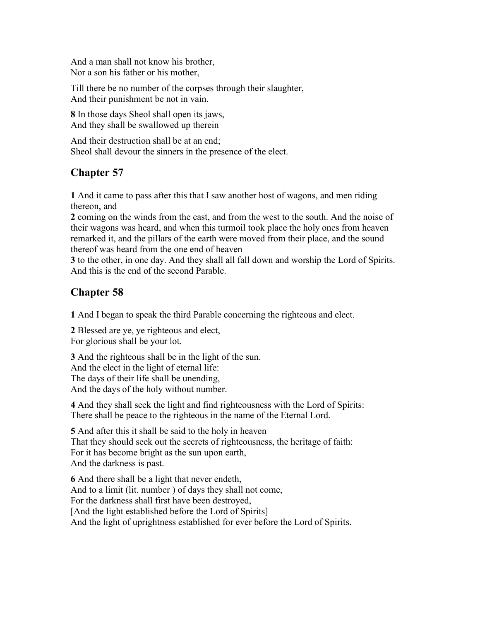And a man shall not know his brother, Nor a son his father or his mother,

Till there be no number of the corpses through their slaughter, And their punishment be not in vain.

**8** In those days Sheol shall open its jaws, And they shall be swallowed up therein

And their destruction shall be at an end; Sheol shall devour the sinners in the presence of the elect.

## **Chapter 57**

**1** And it came to pass after this that I saw another host of wagons, and men riding thereon, and

**2** coming on the winds from the east, and from the west to the south. And the noise of their wagons was heard, and when this turmoil took place the holy ones from heaven remarked it, and the pillars of the earth were moved from their place, and the sound thereof was heard from the one end of heaven

**3** to the other, in one day. And they shall all fall down and worship the Lord of Spirits. And this is the end of the second Parable.

## **Chapter 58**

**1** And I began to speak the third Parable concerning the righteous and elect.

**2** Blessed are ye, ye righteous and elect, For glorious shall be your lot.

**3** And the righteous shall be in the light of the sun. And the elect in the light of eternal life: The days of their life shall be unending, And the days of the holy without number.

**4** And they shall seek the light and find righteousness with the Lord of Spirits: There shall be peace to the righteous in the name of the Eternal Lord.

**5** And after this it shall be said to the holy in heaven That they should seek out the secrets of righteousness, the heritage of faith: For it has become bright as the sun upon earth, And the darkness is past.

**6** And there shall be a light that never endeth, And to a limit (lit. number ) of days they shall not come, For the darkness shall first have been destroyed, [And the light established before the Lord of Spirits] And the light of uprightness established for ever before the Lord of Spirits.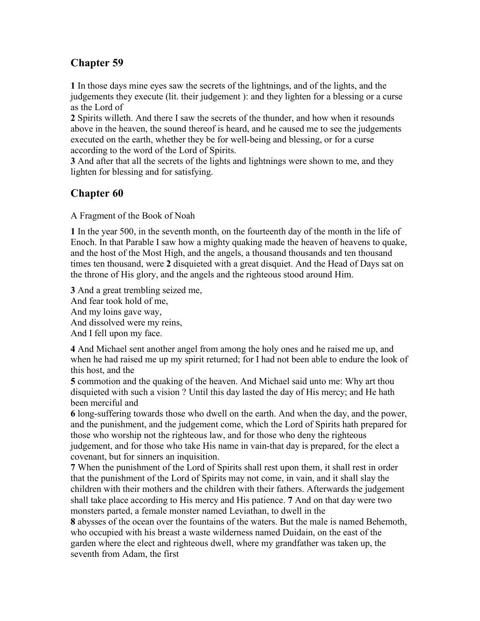**1** In those days mine eyes saw the secrets of the lightnings, and of the lights, and the judgements they execute (lit. their judgement ): and they lighten for a blessing or a curse as the Lord of

**2** Spirits willeth. And there I saw the secrets of the thunder, and how when it resounds above in the heaven, the sound thereof is heard, and he caused me to see the judgements executed on the earth, whether they be for well-being and blessing, or for a curse according to the word of the Lord of Spirits.

**3** And after that all the secrets of the lights and lightnings were shown to me, and they lighten for blessing and for satisfying.

## **Chapter 60**

A Fragment of the Book of Noah

**1** In the year 500, in the seventh month, on the fourteenth day of the month in the life of Enoch. In that Parable I saw how a mighty quaking made the heaven of heavens to quake, and the host of the Most High, and the angels, a thousand thousands and ten thousand times ten thousand, were **2** disquieted with a great disquiet. And the Head of Days sat on the throne of His glory, and the angels and the righteous stood around Him.

**3** And a great trembling seized me, And fear took hold of me, And my loins gave way, And dissolved were my reins, And I fell upon my face.

**4** And Michael sent another angel from among the holy ones and he raised me up, and when he had raised me up my spirit returned; for I had not been able to endure the look of this host, and the

**5** commotion and the quaking of the heaven. And Michael said unto me: Why art thou disquieted with such a vision ? Until this day lasted the day of His mercy; and He hath been merciful and

**6** long-suffering towards those who dwell on the earth. And when the day, and the power, and the punishment, and the judgement come, which the Lord of Spirits hath prepared for those who worship not the righteous law, and for those who deny the righteous judgement, and for those who take His name in vain-that day is prepared, for the elect a covenant, but for sinners an inquisition.

**7** When the punishment of the Lord of Spirits shall rest upon them, it shall rest in order that the punishment of the Lord of Spirits may not come, in vain, and it shall slay the children with their mothers and the children with their fathers. Afterwards the judgement shall take place according to His mercy and His patience. **7** And on that day were two monsters parted, a female monster named Leviathan, to dwell in the

**8** abysses of the ocean over the fountains of the waters. But the male is named Behemoth, who occupied with his breast a waste wilderness named Duidain, on the east of the garden where the elect and righteous dwell, where my grandfather was taken up, the seventh from Adam, the first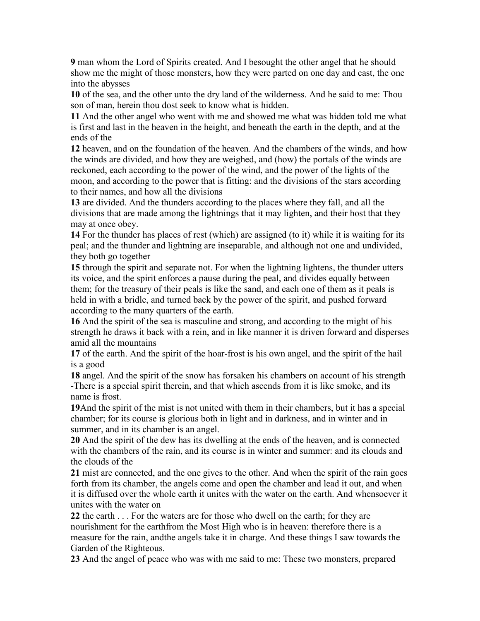**9** man whom the Lord of Spirits created. And I besought the other angel that he should show me the might of those monsters, how they were parted on one day and cast, the one into the abysses

**10** of the sea, and the other unto the dry land of the wilderness. And he said to me: Thou son of man, herein thou dost seek to know what is hidden.

**11** And the other angel who went with me and showed me what was hidden told me what is first and last in the heaven in the height, and beneath the earth in the depth, and at the ends of the

**12** heaven, and on the foundation of the heaven. And the chambers of the winds, and how the winds are divided, and how they are weighed, and (how) the portals of the winds are reckoned, each according to the power of the wind, and the power of the lights of the moon, and according to the power that is fitting: and the divisions of the stars according to their names, and how all the divisions

**13** are divided. And the thunders according to the places where they fall, and all the divisions that are made among the lightnings that it may lighten, and their host that they may at once obey.

**14** For the thunder has places of rest (which) are assigned (to it) while it is waiting for its peal; and the thunder and lightning are inseparable, and although not one and undivided, they both go together

15 through the spirit and separate not. For when the lightning lightens, the thunder utters its voice, and the spirit enforces a pause during the peal, and divides equally between them; for the treasury of their peals is like the sand, and each one of them as it peals is held in with a bridle, and turned back by the power of the spirit, and pushed forward according to the many quarters of the earth.

**16** And the spirit of the sea is masculine and strong, and according to the might of his strength he draws it back with a rein, and in like manner it is driven forward and disperses amid all the mountains

**17** of the earth. And the spirit of the hoar-frost is his own angel, and the spirit of the hail is a good

**18** angel. And the spirit of the snow has forsaken his chambers on account of his strength -There is a special spirit therein, and that which ascends from it is like smoke, and its name is frost.

**19**And the spirit of the mist is not united with them in their chambers, but it has a special chamber; for its course is glorious both in light and in darkness, and in winter and in summer, and in its chamber is an angel.

**20** And the spirit of the dew has its dwelling at the ends of the heaven, and is connected with the chambers of the rain, and its course is in winter and summer: and its clouds and the clouds of the

**21** mist are connected, and the one gives to the other. And when the spirit of the rain goes forth from its chamber, the angels come and open the chamber and lead it out, and when it is diffused over the whole earth it unites with the water on the earth. And whensoever it unites with the water on

**22** the earth . . . For the waters are for those who dwell on the earth; for they are nourishment for the earthfrom the Most High who is in heaven: therefore there is a measure for the rain, andthe angels take it in charge. And these things I saw towards the Garden of the Righteous.

**23** And the angel of peace who was with me said to me: These two monsters, prepared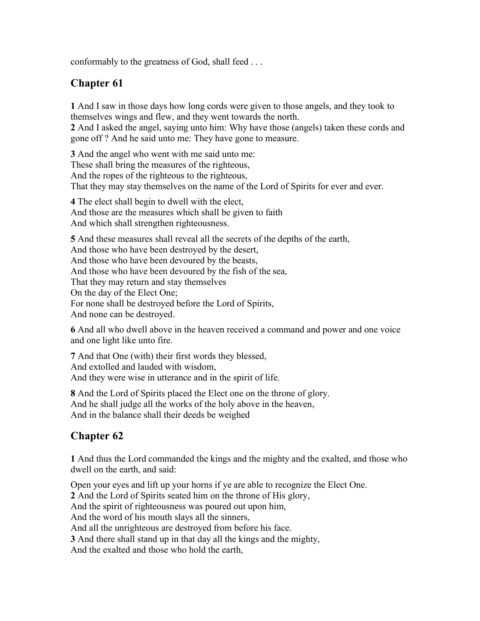conformably to the greatness of God, shall feed . . .

### **Chapter 61**

**1** And I saw in those days how long cords were given to those angels, and they took to themselves wings and flew, and they went towards the north.

**2** And I asked the angel, saying unto him: Why have those (angels) taken these cords and gone off ? And he said unto me: They have gone to measure.

**3** And the angel who went with me said unto me: These shall bring the measures of the righteous, And the ropes of the righteous to the righteous, That they may stay themselves on the name of the Lord of Spirits for ever and ever.

**4** The elect shall begin to dwell with the elect, And those are the measures which shall be given to faith And which shall strengthen righteousness.

**5** And these measures shall reveal all the secrets of the depths of the earth, And those who have been destroyed by the desert, And those who have been devoured by the beasts, And those who have been devoured by the fish of the sea, That they may return and stay themselves On the day of the Elect One; For none shall be destroyed before the Lord of Spirits, And none can be destroyed.

**6** And all who dwell above in the heaven received a command and power and one voice and one light like unto fire.

**7** And that One (with) their first words they blessed, And extolled and lauded with wisdom, And they were wise in utterance and in the spirit of life.

**8** And the Lord of Spirits placed the Elect one on the throne of glory. And he shall judge all the works of the holy above in the heaven, And in the balance shall their deeds be weighed

## **Chapter 62**

**1** And thus the Lord commanded the kings and the mighty and the exalted, and those who dwell on the earth, and said:

Open your eyes and lift up your horns if ye are able to recognize the Elect One. **2** And the Lord of Spirits seated him on the throne of His glory, And the spirit of righteousness was poured out upon him, And the word of his mouth slays all the sinners, And all the unrighteous are destroyed from before his face. **3** And there shall stand up in that day all the kings and the mighty, And the exalted and those who hold the earth,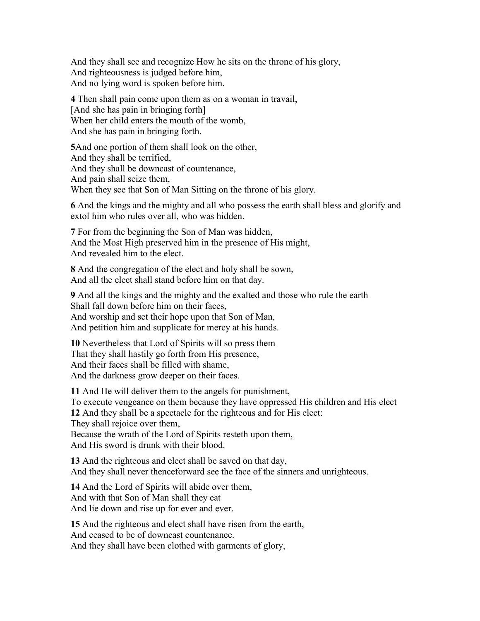And they shall see and recognize How he sits on the throne of his glory, And righteousness is judged before him, And no lying word is spoken before him.

**4** Then shall pain come upon them as on a woman in travail, [And she has pain in bringing forth] When her child enters the mouth of the womb, And she has pain in bringing forth.

**5**And one portion of them shall look on the other, And they shall be terrified, And they shall be downcast of countenance, And pain shall seize them, When they see that Son of Man Sitting on the throne of his glory.

**6** And the kings and the mighty and all who possess the earth shall bless and glorify and extol him who rules over all, who was hidden.

**7** For from the beginning the Son of Man was hidden, And the Most High preserved him in the presence of His might, And revealed him to the elect.

**8** And the congregation of the elect and holy shall be sown, And all the elect shall stand before him on that day.

**9** And all the kings and the mighty and the exalted and those who rule the earth Shall fall down before him on their faces, And worship and set their hope upon that Son of Man, And petition him and supplicate for mercy at his hands.

**10** Nevertheless that Lord of Spirits will so press them That they shall hastily go forth from His presence, And their faces shall be filled with shame, And the darkness grow deeper on their faces.

**11** And He will deliver them to the angels for punishment, To execute vengeance on them because they have oppressed His children and His elect **12** And they shall be a spectacle for the righteous and for His elect: They shall rejoice over them, Because the wrath of the Lord of Spirits resteth upon them, And His sword is drunk with their blood.

**13** And the righteous and elect shall be saved on that day, And they shall never thenceforward see the face of the sinners and unrighteous.

**14** And the Lord of Spirits will abide over them, And with that Son of Man shall they eat And lie down and rise up for ever and ever.

**15** And the righteous and elect shall have risen from the earth, And ceased to be of downcast countenance. And they shall have been clothed with garments of glory,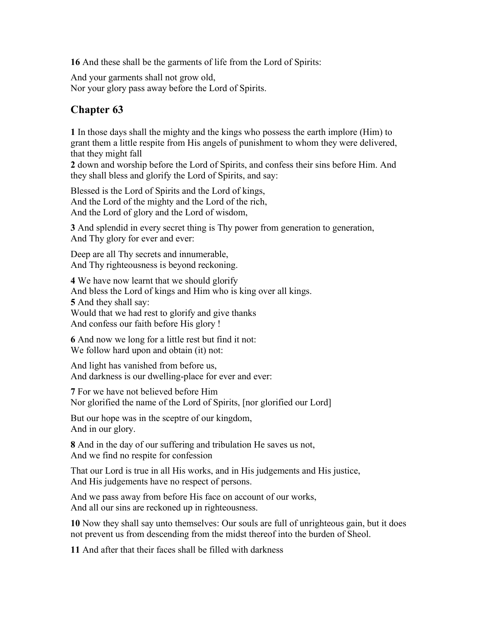**16** And these shall be the garments of life from the Lord of Spirits:

And your garments shall not grow old, Nor your glory pass away before the Lord of Spirits.

### **Chapter 63**

**1** In those days shall the mighty and the kings who possess the earth implore (Him) to grant them a little respite from His angels of punishment to whom they were delivered, that they might fall

**2** down and worship before the Lord of Spirits, and confess their sins before Him. And they shall bless and glorify the Lord of Spirits, and say:

Blessed is the Lord of Spirits and the Lord of kings, And the Lord of the mighty and the Lord of the rich, And the Lord of glory and the Lord of wisdom,

**3** And splendid in every secret thing is Thy power from generation to generation, And Thy glory for ever and ever:

Deep are all Thy secrets and innumerable, And Thy righteousness is beyond reckoning.

**4** We have now learnt that we should glorify And bless the Lord of kings and Him who is king over all kings. **5** And they shall say: Would that we had rest to glorify and give thanks And confess our faith before His glory !

**6** And now we long for a little rest but find it not: We follow hard upon and obtain (it) not:

And light has vanished from before us, And darkness is our dwelling-place for ever and ever:

**7** For we have not believed before Him Nor glorified the name of the Lord of Spirits, [nor glorified our Lord]

But our hope was in the sceptre of our kingdom, And in our glory.

**8** And in the day of our suffering and tribulation He saves us not, And we find no respite for confession

That our Lord is true in all His works, and in His judgements and His justice, And His judgements have no respect of persons.

And we pass away from before His face on account of our works, And all our sins are reckoned up in righteousness.

**10** Now they shall say unto themselves: Our souls are full of unrighteous gain, but it does not prevent us from descending from the midst thereof into the burden of Sheol.

**11** And after that their faces shall be filled with darkness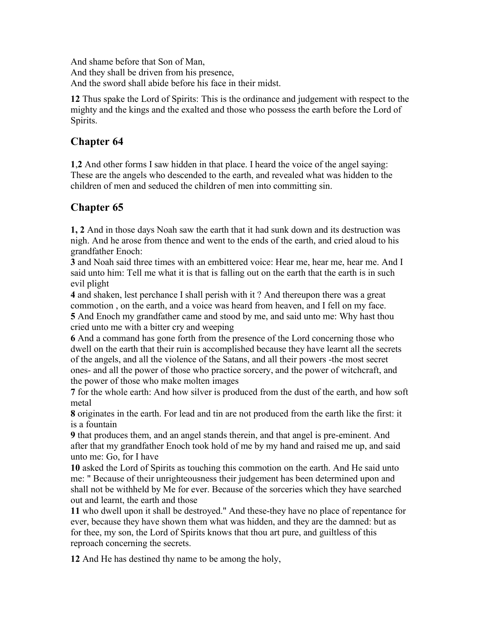And shame before that Son of Man, And they shall be driven from his presence, And the sword shall abide before his face in their midst.

**12** Thus spake the Lord of Spirits: This is the ordinance and judgement with respect to the mighty and the kings and the exalted and those who possess the earth before the Lord of Spirits.

### **Chapter 64**

**1**,**2** And other forms I saw hidden in that place. I heard the voice of the angel saying: These are the angels who descended to the earth, and revealed what was hidden to the children of men and seduced the children of men into committing sin.

## **Chapter 65**

**1, 2** And in those days Noah saw the earth that it had sunk down and its destruction was nigh. And he arose from thence and went to the ends of the earth, and cried aloud to his grandfather Enoch:

**3** and Noah said three times with an embittered voice: Hear me, hear me, hear me. And I said unto him: Tell me what it is that is falling out on the earth that the earth is in such evil plight

**4** and shaken, lest perchance I shall perish with it ? And thereupon there was a great commotion , on the earth, and a voice was heard from heaven, and I fell on my face. **5** And Enoch my grandfather came and stood by me, and said unto me: Why hast thou cried unto me with a bitter cry and weeping

**6** And a command has gone forth from the presence of the Lord concerning those who dwell on the earth that their ruin is accomplished because they have learnt all the secrets of the angels, and all the violence of the Satans, and all their powers -the most secret ones- and all the power of those who practice sorcery, and the power of witchcraft, and the power of those who make molten images

**7** for the whole earth: And how silver is produced from the dust of the earth, and how soft metal

**8** originates in the earth. For lead and tin are not produced from the earth like the first: it is a fountain

**9** that produces them, and an angel stands therein, and that angel is pre-eminent. And after that my grandfather Enoch took hold of me by my hand and raised me up, and said unto me: Go, for I have

**10** asked the Lord of Spirits as touching this commotion on the earth. And He said unto me: " Because of their unrighteousness their judgement has been determined upon and shall not be withheld by Me for ever. Because of the sorceries which they have searched out and learnt, the earth and those

**11** who dwell upon it shall be destroyed." And these-they have no place of repentance for ever, because they have shown them what was hidden, and they are the damned: but as for thee, my son, the Lord of Spirits knows that thou art pure, and guiltless of this reproach concerning the secrets.

**12** And He has destined thy name to be among the holy,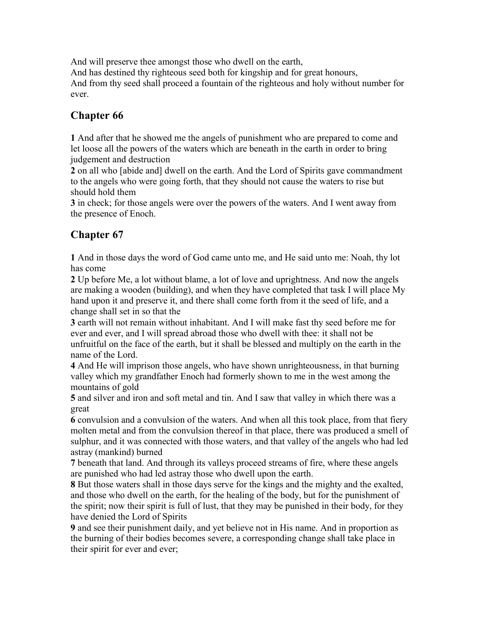And will preserve thee amongst those who dwell on the earth, And has destined thy righteous seed both for kingship and for great honours, And from thy seed shall proceed a fountain of the righteous and holy without number for ever.

## **Chapter 66**

**1** And after that he showed me the angels of punishment who are prepared to come and let loose all the powers of the waters which are beneath in the earth in order to bring judgement and destruction

**2** on all who [abide and] dwell on the earth. And the Lord of Spirits gave commandment to the angels who were going forth, that they should not cause the waters to rise but should hold them

**3** in check; for those angels were over the powers of the waters. And I went away from the presence of Enoch.

## **Chapter 67**

**1** And in those days the word of God came unto me, and He said unto me: Noah, thy lot has come

**2** Up before Me, a lot without blame, a lot of love and uprightness. And now the angels are making a wooden (building), and when they have completed that task I will place My hand upon it and preserve it, and there shall come forth from it the seed of life, and a change shall set in so that the

**3** earth will not remain without inhabitant. And I will make fast thy seed before me for ever and ever, and I will spread abroad those who dwell with thee: it shall not be unfruitful on the face of the earth, but it shall be blessed and multiply on the earth in the name of the Lord.

**4** And He will imprison those angels, who have shown unrighteousness, in that burning valley which my grandfather Enoch had formerly shown to me in the west among the mountains of gold

**5** and silver and iron and soft metal and tin. And I saw that valley in which there was a great

**6** convulsion and a convulsion of the waters. And when all this took place, from that fiery molten metal and from the convulsion thereof in that place, there was produced a smell of sulphur, and it was connected with those waters, and that valley of the angels who had led astray (mankind) burned

**7** beneath that land. And through its valleys proceed streams of fire, where these angels are punished who had led astray those who dwell upon the earth.

**8** But those waters shall in those days serve for the kings and the mighty and the exalted, and those who dwell on the earth, for the healing of the body, but for the punishment of the spirit; now their spirit is full of lust, that they may be punished in their body, for they have denied the Lord of Spirits

**9** and see their punishment daily, and yet believe not in His name. And in proportion as the burning of their bodies becomes severe, a corresponding change shall take place in their spirit for ever and ever;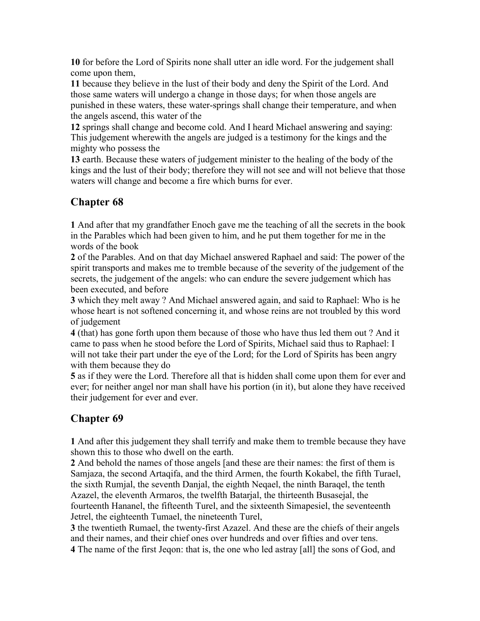**10** for before the Lord of Spirits none shall utter an idle word. For the judgement shall come upon them,

**11** because they believe in the lust of their body and deny the Spirit of the Lord. And those same waters will undergo a change in those days; for when those angels are punished in these waters, these water-springs shall change their temperature, and when the angels ascend, this water of the

**12** springs shall change and become cold. And I heard Michael answering and saying: This judgement wherewith the angels are judged is a testimony for the kings and the mighty who possess the

**13** earth. Because these waters of judgement minister to the healing of the body of the kings and the lust of their body; therefore they will not see and will not believe that those waters will change and become a fire which burns for ever.

### **Chapter 68**

**1** And after that my grandfather Enoch gave me the teaching of all the secrets in the book in the Parables which had been given to him, and he put them together for me in the words of the book

**2** of the Parables. And on that day Michael answered Raphael and said: The power of the spirit transports and makes me to tremble because of the severity of the judgement of the secrets, the judgement of the angels: who can endure the severe judgement which has been executed, and before

**3** which they melt away ? And Michael answered again, and said to Raphael: Who is he whose heart is not softened concerning it, and whose reins are not troubled by this word of judgement

**4** (that) has gone forth upon them because of those who have thus led them out ? And it came to pass when he stood before the Lord of Spirits, Michael said thus to Raphael: I will not take their part under the eye of the Lord; for the Lord of Spirits has been angry with them because they do

**5** as if they were the Lord. Therefore all that is hidden shall come upon them for ever and ever; for neither angel nor man shall have his portion (in it), but alone they have received their judgement for ever and ever.

### **Chapter 69**

**1** And after this judgement they shall terrify and make them to tremble because they have shown this to those who dwell on the earth.

**2** And behold the names of those angels [and these are their names: the first of them is Samjaza, the second Artaqifa, and the third Armen, the fourth Kokabel, the fifth Turael, the sixth Rumjal, the seventh Danjal, the eighth Neqael, the ninth Baraqel, the tenth Azazel, the eleventh Armaros, the twelfth Batarjal, the thirteenth Busasejal, the fourteenth Hananel, the fifteenth Turel, and the sixteenth Simapesiel, the seventeenth Jetrel, the eighteenth Tumael, the nineteenth Turel,

**3** the twentieth Rumael, the twenty-first Azazel. And these are the chiefs of their angels and their names, and their chief ones over hundreds and over fifties and over tens. **4** The name of the first Jeqon: that is, the one who led astray [all] the sons of God, and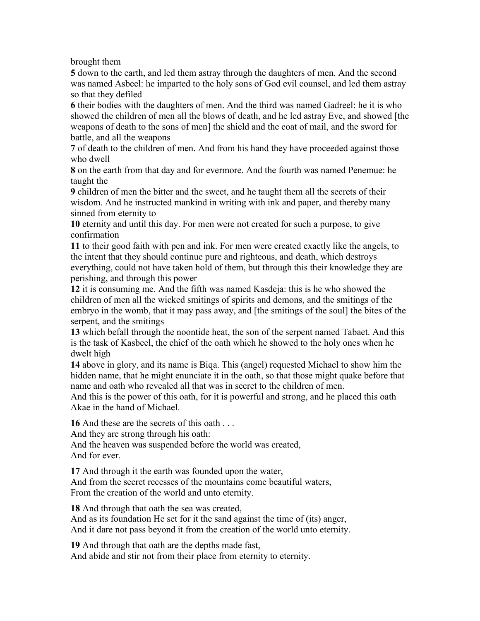brought them

**5** down to the earth, and led them astray through the daughters of men. And the second was named Asbeel: he imparted to the holy sons of God evil counsel, and led them astray so that they defiled

**6** their bodies with the daughters of men. And the third was named Gadreel: he it is who showed the children of men all the blows of death, and he led astray Eve, and showed [the weapons of death to the sons of men] the shield and the coat of mail, and the sword for battle, and all the weapons

**7** of death to the children of men. And from his hand they have proceeded against those who dwell

**8** on the earth from that day and for evermore. And the fourth was named Penemue: he taught the

**9** children of men the bitter and the sweet, and he taught them all the secrets of their wisdom. And he instructed mankind in writing with ink and paper, and thereby many sinned from eternity to

**10** eternity and until this day. For men were not created for such a purpose, to give confirmation

**11** to their good faith with pen and ink. For men were created exactly like the angels, to the intent that they should continue pure and righteous, and death, which destroys everything, could not have taken hold of them, but through this their knowledge they are perishing, and through this power

**12** it is consuming me. And the fifth was named Kasdeja: this is he who showed the children of men all the wicked smitings of spirits and demons, and the smitings of the embryo in the womb, that it may pass away, and [the smitings of the soul] the bites of the serpent, and the smitings

**13** which befall through the noontide heat, the son of the serpent named Tabaet. And this is the task of Kasbeel, the chief of the oath which he showed to the holy ones when he dwelt high

**14** above in glory, and its name is Biqa. This (angel) requested Michael to show him the hidden name, that he might enunciate it in the oath, so that those might quake before that name and oath who revealed all that was in secret to the children of men.

And this is the power of this oath, for it is powerful and strong, and he placed this oath Akae in the hand of Michael.

**16** And these are the secrets of this oath . . .

And they are strong through his oath:

And the heaven was suspended before the world was created, And for ever.

**17** And through it the earth was founded upon the water,

And from the secret recesses of the mountains come beautiful waters, From the creation of the world and unto eternity.

**18** And through that oath the sea was created,

And as its foundation He set for it the sand against the time of (its) anger, And it dare not pass beyond it from the creation of the world unto eternity.

**19** And through that oath are the depths made fast,

And abide and stir not from their place from eternity to eternity.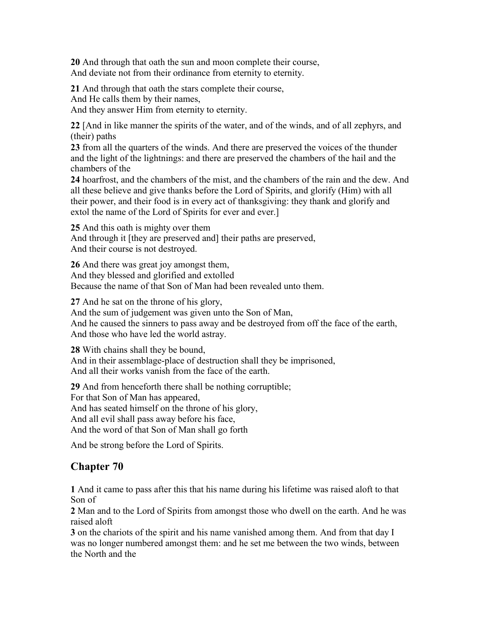**20** And through that oath the sun and moon complete their course, And deviate not from their ordinance from eternity to eternity.

**21** And through that oath the stars complete their course, And He calls them by their names, And they answer Him from eternity to eternity.

**22** [And in like manner the spirits of the water, and of the winds, and of all zephyrs, and (their) paths

**23** from all the quarters of the winds. And there are preserved the voices of the thunder and the light of the lightnings: and there are preserved the chambers of the hail and the chambers of the

**24** hoarfrost, and the chambers of the mist, and the chambers of the rain and the dew. And all these believe and give thanks before the Lord of Spirits, and glorify (Him) with all their power, and their food is in every act of thanksgiving: they thank and glorify and extol the name of the Lord of Spirits for ever and ever.]

**25** And this oath is mighty over them

And through it [they are preserved and] their paths are preserved, And their course is not destroyed.

**26** And there was great joy amongst them, And they blessed and glorified and extolled Because the name of that Son of Man had been revealed unto them.

**27** And he sat on the throne of his glory,

And the sum of judgement was given unto the Son of Man, And he caused the sinners to pass away and be destroyed from off the face of the earth, And those who have led the world astray.

**28** With chains shall they be bound, And in their assemblage-place of destruction shall they be imprisoned, And all their works vanish from the face of the earth.

**29** And from henceforth there shall be nothing corruptible; For that Son of Man has appeared, And has seated himself on the throne of his glory, And all evil shall pass away before his face, And the word of that Son of Man shall go forth

And be strong before the Lord of Spirits.

## **Chapter 70**

**1** And it came to pass after this that his name during his lifetime was raised aloft to that Son of

**2** Man and to the Lord of Spirits from amongst those who dwell on the earth. And he was raised aloft

**3** on the chariots of the spirit and his name vanished among them. And from that day I was no longer numbered amongst them: and he set me between the two winds, between the North and the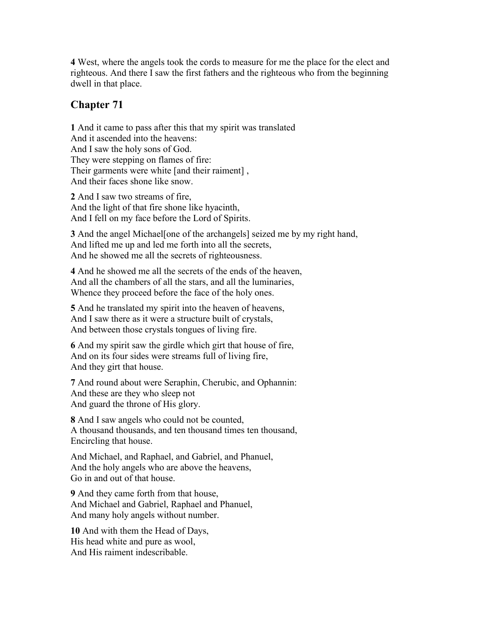**4** West, where the angels took the cords to measure for me the place for the elect and righteous. And there I saw the first fathers and the righteous who from the beginning dwell in that place.

#### **Chapter 71**

**1** And it came to pass after this that my spirit was translated And it ascended into the heavens: And I saw the holy sons of God. They were stepping on flames of fire: Their garments were white [and their raiment] , And their faces shone like snow.

**2** And I saw two streams of fire, And the light of that fire shone like hyacinth, And I fell on my face before the Lord of Spirits.

**3** And the angel Michael[one of the archangels] seized me by my right hand, And lifted me up and led me forth into all the secrets, And he showed me all the secrets of righteousness.

**4** And he showed me all the secrets of the ends of the heaven, And all the chambers of all the stars, and all the luminaries, Whence they proceed before the face of the holy ones.

**5** And he translated my spirit into the heaven of heavens, And I saw there as it were a structure built of crystals, And between those crystals tongues of living fire.

**6** And my spirit saw the girdle which girt that house of fire, And on its four sides were streams full of living fire, And they girt that house.

**7** And round about were Seraphin, Cherubic, and Ophannin: And these are they who sleep not And guard the throne of His glory.

**8** And I saw angels who could not be counted, A thousand thousands, and ten thousand times ten thousand, Encircling that house.

And Michael, and Raphael, and Gabriel, and Phanuel, And the holy angels who are above the heavens, Go in and out of that house.

**9** And they came forth from that house, And Michael and Gabriel, Raphael and Phanuel, And many holy angels without number.

**10** And with them the Head of Days, His head white and pure as wool, And His raiment indescribable.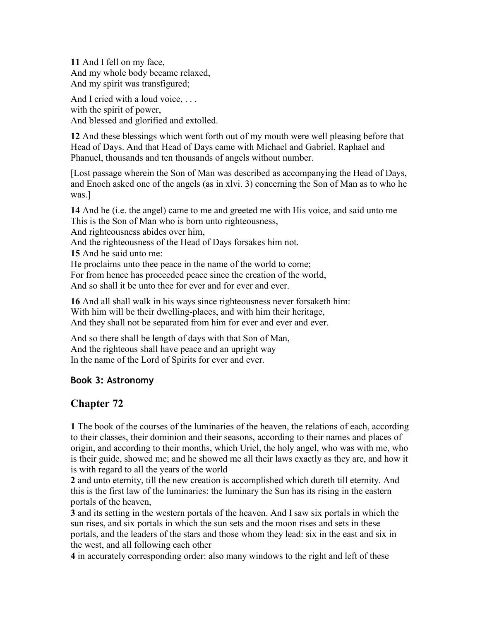**11** And I fell on my face, And my whole body became relaxed, And my spirit was transfigured;

And I cried with a loud voice, ... with the spirit of power, And blessed and glorified and extolled.

**12** And these blessings which went forth out of my mouth were well pleasing before that Head of Days. And that Head of Days came with Michael and Gabriel, Raphael and Phanuel, thousands and ten thousands of angels without number.

[Lost passage wherein the Son of Man was described as accompanying the Head of Days, and Enoch asked one of the angels (as in xlvi. 3) concerning the Son of Man as to who he was.]

**14** And he (i.e. the angel) came to me and greeted me with His voice, and said unto me This is the Son of Man who is born unto righteousness,

And righteousness abides over him,

And the righteousness of the Head of Days forsakes him not.

**15** And he said unto me:

He proclaims unto thee peace in the name of the world to come;

For from hence has proceeded peace since the creation of the world,

And so shall it be unto thee for ever and for ever and ever.

**16** And all shall walk in his ways since righteousness never forsaketh him: With him will be their dwelling-places, and with him their heritage, And they shall not be separated from him for ever and ever and ever.

And so there shall be length of days with that Son of Man, And the righteous shall have peace and an upright way In the name of the Lord of Spirits for ever and ever.

#### **Book 3: Astronomy**

### **Chapter 72**

**1** The book of the courses of the luminaries of the heaven, the relations of each, according to their classes, their dominion and their seasons, according to their names and places of origin, and according to their months, which Uriel, the holy angel, who was with me, who is their guide, showed me; and he showed me all their laws exactly as they are, and how it is with regard to all the years of the world

**2** and unto eternity, till the new creation is accomplished which dureth till eternity. And this is the first law of the luminaries: the luminary the Sun has its rising in the eastern portals of the heaven,

**3** and its setting in the western portals of the heaven. And I saw six portals in which the sun rises, and six portals in which the sun sets and the moon rises and sets in these portals, and the leaders of the stars and those whom they lead: six in the east and six in the west, and all following each other

**4** in accurately corresponding order: also many windows to the right and left of these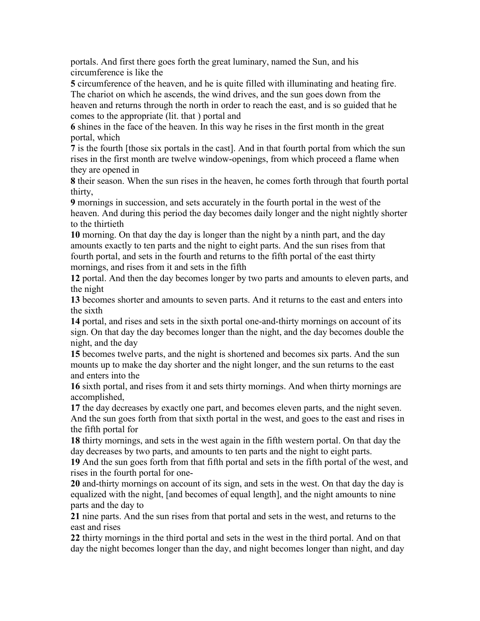portals. And first there goes forth the great luminary, named the Sun, and his circumference is like the

**5** circumference of the heaven, and he is quite filled with illuminating and heating fire. The chariot on which he ascends, the wind drives, and the sun goes down from the heaven and returns through the north in order to reach the east, and is so guided that he comes to the appropriate (lit. that ) portal and

**6** shines in the face of the heaven. In this way he rises in the first month in the great portal, which

**7** is the fourth [those six portals in the cast]. And in that fourth portal from which the sun rises in the first month are twelve window-openings, from which proceed a flame when they are opened in

**8** their season. When the sun rises in the heaven, he comes forth through that fourth portal thirty,

**9** mornings in succession, and sets accurately in the fourth portal in the west of the heaven. And during this period the day becomes daily longer and the night nightly shorter to the thirtieth

**10** morning. On that day the day is longer than the night by a ninth part, and the day amounts exactly to ten parts and the night to eight parts. And the sun rises from that fourth portal, and sets in the fourth and returns to the fifth portal of the east thirty mornings, and rises from it and sets in the fifth

**12** portal. And then the day becomes longer by two parts and amounts to eleven parts, and the night

**13** becomes shorter and amounts to seven parts. And it returns to the east and enters into the sixth

**14** portal, and rises and sets in the sixth portal one-and-thirty mornings on account of its sign. On that day the day becomes longer than the night, and the day becomes double the night, and the day

**15** becomes twelve parts, and the night is shortened and becomes six parts. And the sun mounts up to make the day shorter and the night longer, and the sun returns to the east and enters into the

**16** sixth portal, and rises from it and sets thirty mornings. And when thirty mornings are accomplished,

**17** the day decreases by exactly one part, and becomes eleven parts, and the night seven. And the sun goes forth from that sixth portal in the west, and goes to the east and rises in the fifth portal for

**18** thirty mornings, and sets in the west again in the fifth western portal. On that day the day decreases by two parts, and amounts to ten parts and the night to eight parts.

**19** And the sun goes forth from that fifth portal and sets in the fifth portal of the west, and rises in the fourth portal for one-

**20** and-thirty mornings on account of its sign, and sets in the west. On that day the day is equalized with the night, [and becomes of equal length], and the night amounts to nine parts and the day to

**21** nine parts. And the sun rises from that portal and sets in the west, and returns to the east and rises

**22** thirty mornings in the third portal and sets in the west in the third portal. And on that day the night becomes longer than the day, and night becomes longer than night, and day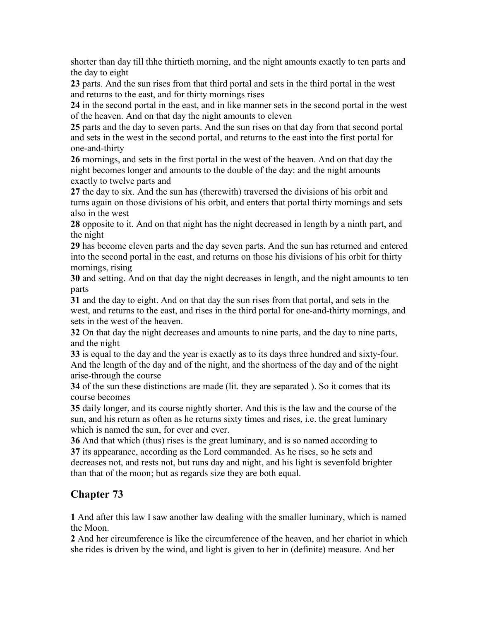shorter than day till thhe thirtieth morning, and the night amounts exactly to ten parts and the day to eight

**23** parts. And the sun rises from that third portal and sets in the third portal in the west and returns to the east, and for thirty mornings rises

**24** in the second portal in the east, and in like manner sets in the second portal in the west of the heaven. And on that day the night amounts to eleven

**25** parts and the day to seven parts. And the sun rises on that day from that second portal and sets in the west in the second portal, and returns to the east into the first portal for one-and-thirty

**26** mornings, and sets in the first portal in the west of the heaven. And on that day the night becomes longer and amounts to the double of the day: and the night amounts exactly to twelve parts and

**27** the day to six. And the sun has (therewith) traversed the divisions of his orbit and turns again on those divisions of his orbit, and enters that portal thirty mornings and sets also in the west

**28** opposite to it. And on that night has the night decreased in length by a ninth part, and the night

**29** has become eleven parts and the day seven parts. And the sun has returned and entered into the second portal in the east, and returns on those his divisions of his orbit for thirty mornings, rising

**30** and setting. And on that day the night decreases in length, and the night amounts to ten parts

**31** and the day to eight. And on that day the sun rises from that portal, and sets in the west, and returns to the east, and rises in the third portal for one-and-thirty mornings, and sets in the west of the heaven.

**32** On that day the night decreases and amounts to nine parts, and the day to nine parts, and the night

**33** is equal to the day and the year is exactly as to its days three hundred and sixty-four. And the length of the day and of the night, and the shortness of the day and of the night arise-through the course

**34** of the sun these distinctions are made (lit. they are separated ). So it comes that its course becomes

**35** daily longer, and its course nightly shorter. And this is the law and the course of the sun, and his return as often as he returns sixty times and rises, i.e. the great luminary which is named the sun, for ever and ever.

**36** And that which (thus) rises is the great luminary, and is so named according to **37** its appearance, according as the Lord commanded. As he rises, so he sets and decreases not, and rests not, but runs day and night, and his light is sevenfold brighter than that of the moon; but as regards size they are both equal.

## **Chapter 73**

**1** And after this law I saw another law dealing with the smaller luminary, which is named the Moon.

**2** And her circumference is like the circumference of the heaven, and her chariot in which she rides is driven by the wind, and light is given to her in (definite) measure. And her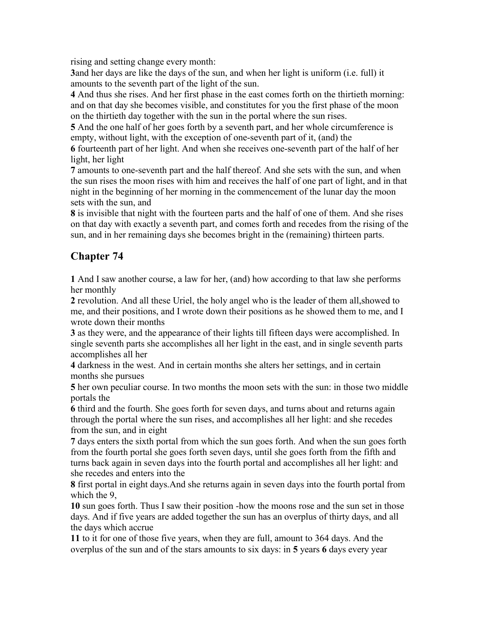rising and setting change every month:

**3**and her days are like the days of the sun, and when her light is uniform (i.e. full) it amounts to the seventh part of the light of the sun.

**4** And thus she rises. And her first phase in the east comes forth on the thirtieth morning: and on that day she becomes visible, and constitutes for you the first phase of the moon on the thirtieth day together with the sun in the portal where the sun rises.

**5** And the one half of her goes forth by a seventh part, and her whole circumference is empty, without light, with the exception of one-seventh part of it, (and) the

**6** fourteenth part of her light. And when she receives one-seventh part of the half of her light, her light

**7** amounts to one-seventh part and the half thereof. And she sets with the sun, and when the sun rises the moon rises with him and receives the half of one part of light, and in that night in the beginning of her morning in the commencement of the lunar day the moon sets with the sun, and

**8** is invisible that night with the fourteen parts and the half of one of them. And she rises on that day with exactly a seventh part, and comes forth and recedes from the rising of the sun, and in her remaining days she becomes bright in the (remaining) thirteen parts.

### **Chapter 74**

**1** And I saw another course, a law for her, (and) how according to that law she performs her monthly

**2** revolution. And all these Uriel, the holy angel who is the leader of them all,showed to me, and their positions, and I wrote down their positions as he showed them to me, and I wrote down their months

**3** as they were, and the appearance of their lights till fifteen days were accomplished. In single seventh parts she accomplishes all her light in the east, and in single seventh parts accomplishes all her

**4** darkness in the west. And in certain months she alters her settings, and in certain months she pursues

**5** her own peculiar course. In two months the moon sets with the sun: in those two middle portals the

**6** third and the fourth. She goes forth for seven days, and turns about and returns again through the portal where the sun rises, and accomplishes all her light: and she recedes from the sun, and in eight

**7** days enters the sixth portal from which the sun goes forth. And when the sun goes forth from the fourth portal she goes forth seven days, until she goes forth from the fifth and turns back again in seven days into the fourth portal and accomplishes all her light: and she recedes and enters into the

**8** first portal in eight days.And she returns again in seven days into the fourth portal from which the 9,

**10** sun goes forth. Thus I saw their position -how the moons rose and the sun set in those days. And if five years are added together the sun has an overplus of thirty days, and all the days which accrue

**11** to it for one of those five years, when they are full, amount to 364 days. And the overplus of the sun and of the stars amounts to six days: in **5** years **6** days every year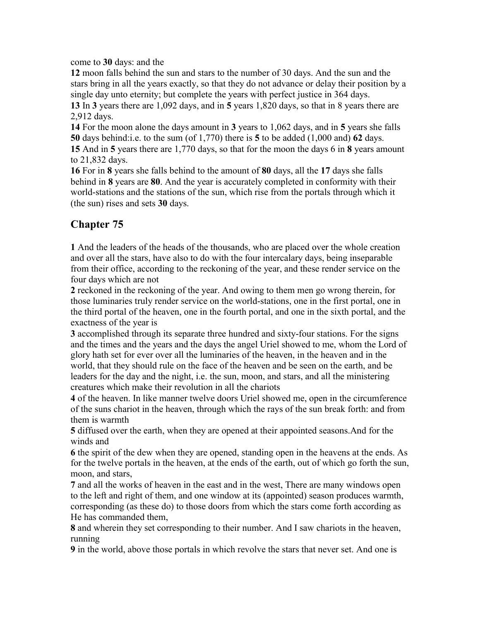come to **30** days: and the

**12** moon falls behind the sun and stars to the number of 30 days. And the sun and the stars bring in all the years exactly, so that they do not advance or delay their position by a single day unto eternity; but complete the years with perfect justice in 364 days. **13** In **3** years there are 1,092 days, and in **5** years 1,820 days, so that in 8 years there are

2,912 days.

**14** For the moon alone the days amount in **3** years to 1,062 days, and in **5** years she falls **50** days behind:i.e. to the sum (of 1,770) there is **5** to be added (1,000 and) **62** days.

**15** And in **5** years there are 1,770 days, so that for the moon the days 6 in **8** years amount to 21,832 days.

**16** For in **8** years she falls behind to the amount of **80** days, all the **17** days she falls behind in **8** years are **80**. And the year is accurately completed in conformity with their world-stations and the stations of the sun, which rise from the portals through which it (the sun) rises and sets **30** days.

#### **Chapter 75**

**1** And the leaders of the heads of the thousands, who are placed over the whole creation and over all the stars, have also to do with the four intercalary days, being inseparable from their office, according to the reckoning of the year, and these render service on the four days which are not

**2** reckoned in the reckoning of the year. And owing to them men go wrong therein, for those luminaries truly render service on the world-stations, one in the first portal, one in the third portal of the heaven, one in the fourth portal, and one in the sixth portal, and the exactness of the year is

**3** accomplished through its separate three hundred and sixty-four stations. For the signs and the times and the years and the days the angel Uriel showed to me, whom the Lord of glory hath set for ever over all the luminaries of the heaven, in the heaven and in the world, that they should rule on the face of the heaven and be seen on the earth, and be leaders for the day and the night, i.e. the sun, moon, and stars, and all the ministering creatures which make their revolution in all the chariots

**4** of the heaven. In like manner twelve doors Uriel showed me, open in the circumference of the suns chariot in the heaven, through which the rays of the sun break forth: and from them is warmth

**5** diffused over the earth, when they are opened at their appointed seasons.And for the winds and

**6** the spirit of the dew when they are opened, standing open in the heavens at the ends. As for the twelve portals in the heaven, at the ends of the earth, out of which go forth the sun, moon, and stars,

**7** and all the works of heaven in the east and in the west, There are many windows open to the left and right of them, and one window at its (appointed) season produces warmth, corresponding (as these do) to those doors from which the stars come forth according as He has commanded them,

**8** and wherein they set corresponding to their number. And I saw chariots in the heaven, running

**9** in the world, above those portals in which revolve the stars that never set. And one is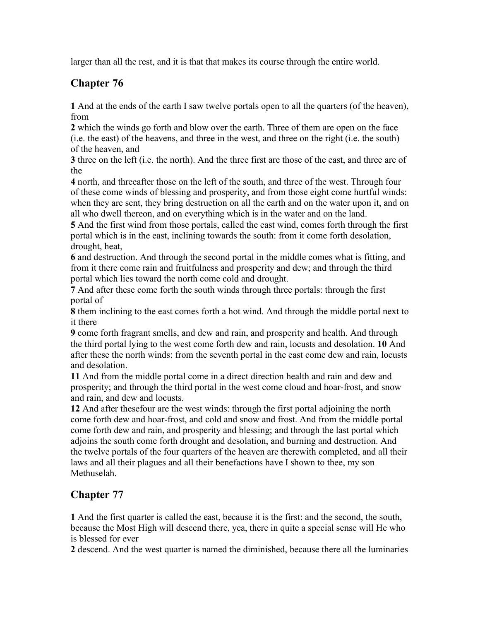larger than all the rest, and it is that that makes its course through the entire world.

### **Chapter 76**

**1** And at the ends of the earth I saw twelve portals open to all the quarters (of the heaven), from

**2** which the winds go forth and blow over the earth. Three of them are open on the face (i.e. the east) of the heavens, and three in the west, and three on the right (i.e. the south) of the heaven, and

**3** three on the left (i.e. the north). And the three first are those of the east, and three are of the

**4** north, and threeafter those on the left of the south, and three of the west. Through four of these come winds of blessing and prosperity, and from those eight come hurtful winds: when they are sent, they bring destruction on all the earth and on the water upon it, and on all who dwell thereon, and on everything which is in the water and on the land.

**5** And the first wind from those portals, called the east wind, comes forth through the first portal which is in the east, inclining towards the south: from it come forth desolation, drought, heat,

**6** and destruction. And through the second portal in the middle comes what is fitting, and from it there come rain and fruitfulness and prosperity and dew; and through the third portal which lies toward the north come cold and drought.

**7** And after these come forth the south winds through three portals: through the first portal of

**8** them inclining to the east comes forth a hot wind. And through the middle portal next to it there

**9** come forth fragrant smells, and dew and rain, and prosperity and health. And through the third portal lying to the west come forth dew and rain, locusts and desolation. **10** And after these the north winds: from the seventh portal in the east come dew and rain, locusts and desolation.

**11** And from the middle portal come in a direct direction health and rain and dew and prosperity; and through the third portal in the west come cloud and hoar-frost, and snow and rain, and dew and locusts.

**12** And after thesefour are the west winds: through the first portal adjoining the north come forth dew and hoar-frost, and cold and snow and frost. And from the middle portal come forth dew and rain, and prosperity and blessing; and through the last portal which adjoins the south come forth drought and desolation, and burning and destruction. And the twelve portals of the four quarters of the heaven are therewith completed, and all their laws and all their plagues and all their benefactions have I shown to thee, my son Methuselah.

# **Chapter 77**

**1** And the first quarter is called the east, because it is the first: and the second, the south, because the Most High will descend there, yea, there in quite a special sense will He who is blessed for ever

**2** descend. And the west quarter is named the diminished, because there all the luminaries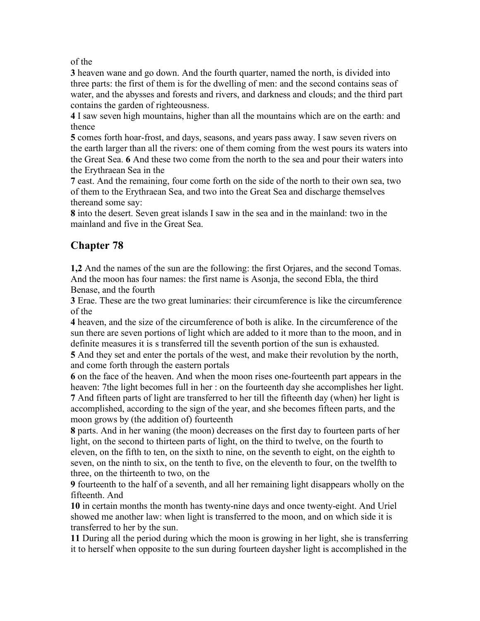of the

**3** heaven wane and go down. And the fourth quarter, named the north, is divided into three parts: the first of them is for the dwelling of men: and the second contains seas of water, and the abysses and forests and rivers, and darkness and clouds; and the third part contains the garden of righteousness.

**4** I saw seven high mountains, higher than all the mountains which are on the earth: and thence

**5** comes forth hoar-frost, and days, seasons, and years pass away. I saw seven rivers on the earth larger than all the rivers: one of them coming from the west pours its waters into the Great Sea. **6** And these two come from the north to the sea and pour their waters into the Erythraean Sea in the

**7** east. And the remaining, four come forth on the side of the north to their own sea, two of them to the Erythraean Sea, and two into the Great Sea and discharge themselves thereand some say:

**8** into the desert. Seven great islands I saw in the sea and in the mainland: two in the mainland and five in the Great Sea.

### **Chapter 78**

**1,2** And the names of the sun are the following: the first Orjares, and the second Tomas. And the moon has four names: the first name is Asonja, the second Ebla, the third Benase, and the fourth

**3** Erae. These are the two great luminaries: their circumference is like the circumference of the

**4** heaven, and the size of the circumference of both is alike. In the circumference of the sun there are seven portions of light which are added to it more than to the moon, and in definite measures it is s transferred till the seventh portion of the sun is exhausted.

**5** And they set and enter the portals of the west, and make their revolution by the north, and come forth through the eastern portals

**6** on the face of the heaven. And when the moon rises one-fourteenth part appears in the heaven: 7the light becomes full in her : on the fourteenth day she accomplishes her light. **7** And fifteen parts of light are transferred to her till the fifteenth day (when) her light is accomplished, according to the sign of the year, and she becomes fifteen parts, and the moon grows by (the addition of) fourteenth

**8** parts. And in her waning (the moon) decreases on the first day to fourteen parts of her light, on the second to thirteen parts of light, on the third to twelve, on the fourth to eleven, on the fifth to ten, on the sixth to nine, on the seventh to eight, on the eighth to seven, on the ninth to six, on the tenth to five, on the eleventh to four, on the twelfth to three, on the thirteenth to two, on the

**9** fourteenth to the half of a seventh, and all her remaining light disappears wholly on the fifteenth. And

**10** in certain months the month has twenty-nine days and once twenty-eight. And Uriel showed me another law: when light is transferred to the moon, and on which side it is transferred to her by the sun.

**11** During all the period during which the moon is growing in her light, she is transferring it to herself when opposite to the sun during fourteen daysher light is accomplished in the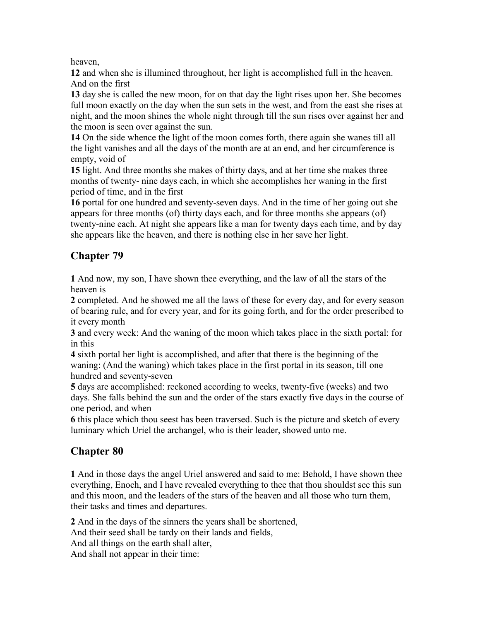heaven,

**12** and when she is illumined throughout, her light is accomplished full in the heaven. And on the first

**13** day she is called the new moon, for on that day the light rises upon her. She becomes full moon exactly on the day when the sun sets in the west, and from the east she rises at night, and the moon shines the whole night through till the sun rises over against her and the moon is seen over against the sun.

**14** On the side whence the light of the moon comes forth, there again she wanes till all the light vanishes and all the days of the month are at an end, and her circumference is empty, void of

**15** light. And three months she makes of thirty days, and at her time she makes three months of twenty- nine days each, in which she accomplishes her waning in the first period of time, and in the first

**16** portal for one hundred and seventy-seven days. And in the time of her going out she appears for three months (of) thirty days each, and for three months she appears (of) twenty-nine each. At night she appears like a man for twenty days each time, and by day she appears like the heaven, and there is nothing else in her save her light.

# **Chapter 79**

**1** And now, my son, I have shown thee everything, and the law of all the stars of the heaven is

**2** completed. And he showed me all the laws of these for every day, and for every season of bearing rule, and for every year, and for its going forth, and for the order prescribed to it every month

**3** and every week: And the waning of the moon which takes place in the sixth portal: for in this

**4** sixth portal her light is accomplished, and after that there is the beginning of the waning: (And the waning) which takes place in the first portal in its season, till one hundred and seventy-seven

**5** days are accomplished: reckoned according to weeks, twenty-five (weeks) and two days. She falls behind the sun and the order of the stars exactly five days in the course of one period, and when

**6** this place which thou seest has been traversed. Such is the picture and sketch of every luminary which Uriel the archangel, who is their leader, showed unto me.

## **Chapter 80**

**1** And in those days the angel Uriel answered and said to me: Behold, I have shown thee everything, Enoch, and I have revealed everything to thee that thou shouldst see this sun and this moon, and the leaders of the stars of the heaven and all those who turn them, their tasks and times and departures.

**2** And in the days of the sinners the years shall be shortened,

And their seed shall be tardy on their lands and fields,

And all things on the earth shall alter,

And shall not appear in their time: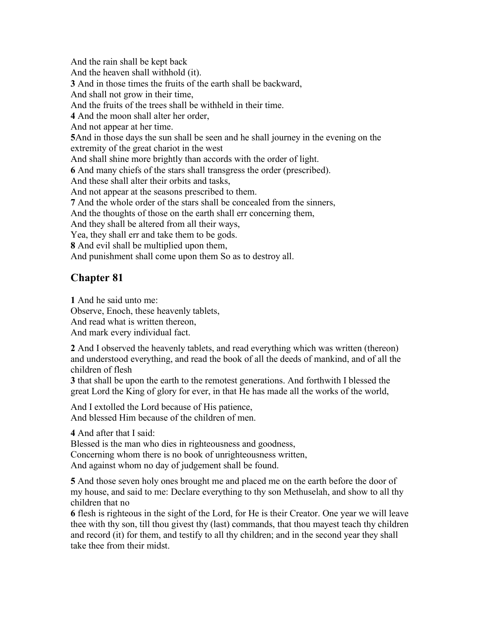And the rain shall be kept back And the heaven shall withhold (it). **3** And in those times the fruits of the earth shall be backward, And shall not grow in their time, And the fruits of the trees shall be withheld in their time. **4** And the moon shall alter her order, And not appear at her time. **5**And in those days the sun shall be seen and he shall journey in the evening on the extremity of the great chariot in the west And shall shine more brightly than accords with the order of light. **6** And many chiefs of the stars shall transgress the order (prescribed). And these shall alter their orbits and tasks, And not appear at the seasons prescribed to them. **7** And the whole order of the stars shall be concealed from the sinners, And the thoughts of those on the earth shall err concerning them, And they shall be altered from all their ways, Yea, they shall err and take them to be gods. **8** And evil shall be multiplied upon them, And punishment shall come upon them So as to destroy all.

#### **Chapter 81**

**1** And he said unto me: Observe, Enoch, these heavenly tablets, And read what is written thereon, And mark every individual fact.

**2** And I observed the heavenly tablets, and read everything which was written (thereon) and understood everything, and read the book of all the deeds of mankind, and of all the children of flesh

**3** that shall be upon the earth to the remotest generations. And forthwith I blessed the great Lord the King of glory for ever, in that He has made all the works of the world,

And I extolled the Lord because of His patience, And blessed Him because of the children of men.

**4** And after that I said:

Blessed is the man who dies in righteousness and goodness,

Concerning whom there is no book of unrighteousness written,

And against whom no day of judgement shall be found.

**5** And those seven holy ones brought me and placed me on the earth before the door of my house, and said to me: Declare everything to thy son Methuselah, and show to all thy children that no

**6** flesh is righteous in the sight of the Lord, for He is their Creator. One year we will leave thee with thy son, till thou givest thy (last) commands, that thou mayest teach thy children and record (it) for them, and testify to all thy children; and in the second year they shall take thee from their midst.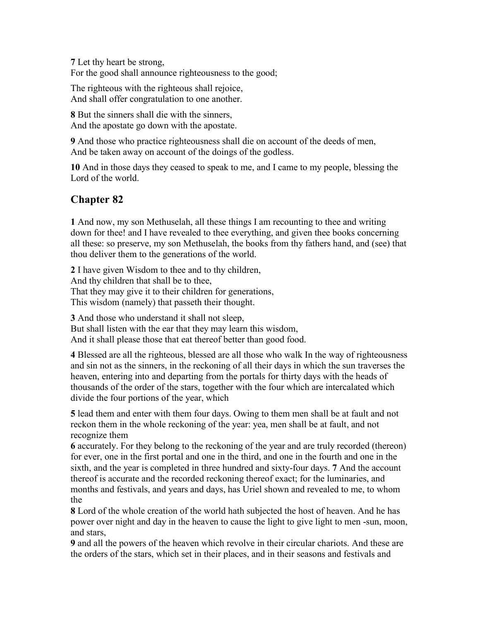**7** Let thy heart be strong, For the good shall announce righteousness to the good;

The righteous with the righteous shall rejoice, And shall offer congratulation to one another.

**8** But the sinners shall die with the sinners, And the apostate go down with the apostate.

**9** And those who practice righteousness shall die on account of the deeds of men, And be taken away on account of the doings of the godless.

**10** And in those days they ceased to speak to me, and I came to my people, blessing the Lord of the world.

### **Chapter 82**

**1** And now, my son Methuselah, all these things I am recounting to thee and writing down for thee! and I have revealed to thee everything, and given thee books concerning all these: so preserve, my son Methuselah, the books from thy fathers hand, and (see) that thou deliver them to the generations of the world.

**2** I have given Wisdom to thee and to thy children, And thy children that shall be to thee, That they may give it to their children for generations, This wisdom (namely) that passeth their thought.

**3** And those who understand it shall not sleep, But shall listen with the ear that they may learn this wisdom, And it shall please those that eat thereof better than good food.

**4** Blessed are all the righteous, blessed are all those who walk In the way of righteousness and sin not as the sinners, in the reckoning of all their days in which the sun traverses the heaven, entering into and departing from the portals for thirty days with the heads of thousands of the order of the stars, together with the four which are intercalated which divide the four portions of the year, which

**5** lead them and enter with them four days. Owing to them men shall be at fault and not reckon them in the whole reckoning of the year: yea, men shall be at fault, and not recognize them

**6** accurately. For they belong to the reckoning of the year and are truly recorded (thereon) for ever, one in the first portal and one in the third, and one in the fourth and one in the sixth, and the year is completed in three hundred and sixty-four days. **7** And the account thereof is accurate and the recorded reckoning thereof exact; for the luminaries, and months and festivals, and years and days, has Uriel shown and revealed to me, to whom the

**8** Lord of the whole creation of the world hath subjected the host of heaven. And he has power over night and day in the heaven to cause the light to give light to men -sun, moon, and stars,

**9** and all the powers of the heaven which revolve in their circular chariots. And these are the orders of the stars, which set in their places, and in their seasons and festivals and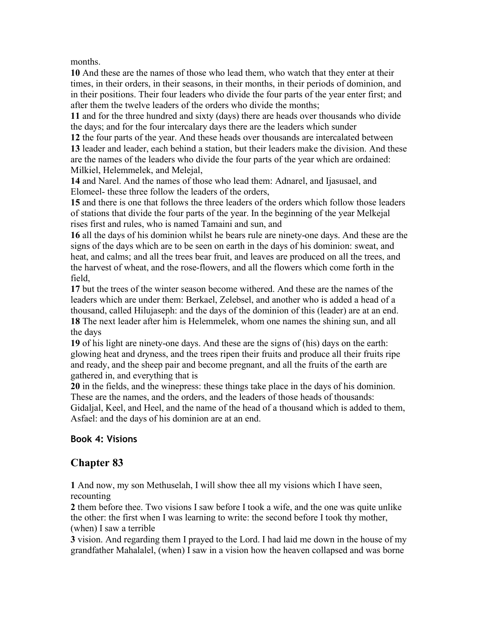months.

**10** And these are the names of those who lead them, who watch that they enter at their times, in their orders, in their seasons, in their months, in their periods of dominion, and in their positions. Their four leaders who divide the four parts of the year enter first; and after them the twelve leaders of the orders who divide the months;

**11** and for the three hundred and sixty (days) there are heads over thousands who divide the days; and for the four intercalary days there are the leaders which sunder

**12** the four parts of the year. And these heads over thousands are intercalated between **13** leader and leader, each behind a station, but their leaders make the division. And these are the names of the leaders who divide the four parts of the year which are ordained: Milkiel, Helemmelek, and Melejal,

**14** and Narel. And the names of those who lead them: Adnarel, and Ijasusael, and Elomeel- these three follow the leaders of the orders,

**15** and there is one that follows the three leaders of the orders which follow those leaders of stations that divide the four parts of the year. In the beginning of the year Melkejal rises first and rules, who is named Tamaini and sun, and

**16** all the days of his dominion whilst he bears rule are ninety-one days. And these are the signs of the days which are to be seen on earth in the days of his dominion: sweat, and heat, and calms; and all the trees bear fruit, and leaves are produced on all the trees, and the harvest of wheat, and the rose-flowers, and all the flowers which come forth in the field,

**17** but the trees of the winter season become withered. And these are the names of the leaders which are under them: Berkael, Zelebsel, and another who is added a head of a thousand, called Hilujaseph: and the days of the dominion of this (leader) are at an end. **18** The next leader after him is Helemmelek, whom one names the shining sun, and all the days

**19** of his light are ninety-one days. And these are the signs of (his) days on the earth: glowing heat and dryness, and the trees ripen their fruits and produce all their fruits ripe and ready, and the sheep pair and become pregnant, and all the fruits of the earth are gathered in, and everything that is

**20** in the fields, and the winepress: these things take place in the days of his dominion. These are the names, and the orders, and the leaders of those heads of thousands:

Gidaljal, Keel, and Heel, and the name of the head of a thousand which is added to them, Asfael: and the days of his dominion are at an end.

#### **Book 4: Visions**

#### **Chapter 83**

**1** And now, my son Methuselah, I will show thee all my visions which I have seen, recounting

**2** them before thee. Two visions I saw before I took a wife, and the one was quite unlike the other: the first when I was learning to write: the second before I took thy mother, (when) I saw a terrible

**3** vision. And regarding them I prayed to the Lord. I had laid me down in the house of my grandfather Mahalalel, (when) I saw in a vision how the heaven collapsed and was borne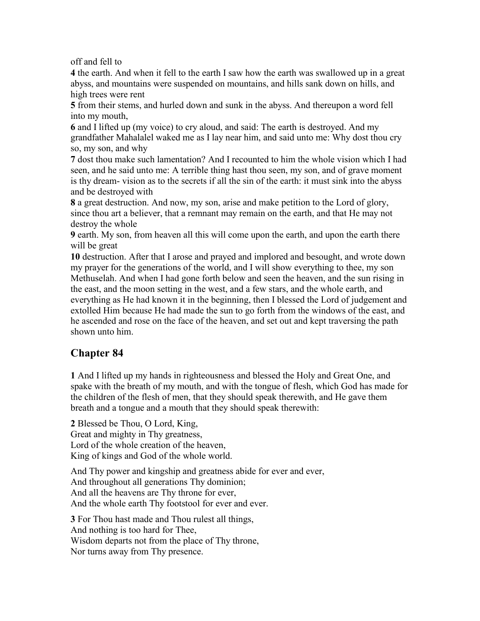off and fell to

**4** the earth. And when it fell to the earth I saw how the earth was swallowed up in a great abyss, and mountains were suspended on mountains, and hills sank down on hills, and high trees were rent

**5** from their stems, and hurled down and sunk in the abyss. And thereupon a word fell into my mouth,

**6** and I lifted up (my voice) to cry aloud, and said: The earth is destroyed. And my grandfather Mahalalel waked me as I lay near him, and said unto me: Why dost thou cry so, my son, and why

**7** dost thou make such lamentation? And I recounted to him the whole vision which I had seen, and he said unto me: A terrible thing hast thou seen, my son, and of grave moment is thy dream- vision as to the secrets if all the sin of the earth: it must sink into the abyss and be destroyed with

**8** a great destruction. And now, my son, arise and make petition to the Lord of glory, since thou art a believer, that a remnant may remain on the earth, and that He may not destroy the whole

**9** earth. My son, from heaven all this will come upon the earth, and upon the earth there will be great

**10** destruction. After that I arose and prayed and implored and besought, and wrote down my prayer for the generations of the world, and I will show everything to thee, my son Methuselah. And when I had gone forth below and seen the heaven, and the sun rising in the east, and the moon setting in the west, and a few stars, and the whole earth, and everything as He had known it in the beginning, then I blessed the Lord of judgement and extolled Him because He had made the sun to go forth from the windows of the east, and he ascended and rose on the face of the heaven, and set out and kept traversing the path shown unto him.

### **Chapter 84**

**1** And I lifted up my hands in righteousness and blessed the Holy and Great One, and spake with the breath of my mouth, and with the tongue of flesh, which God has made for the children of the flesh of men, that they should speak therewith, and He gave them breath and a tongue and a mouth that they should speak therewith:

**2** Blessed be Thou, O Lord, King, Great and mighty in Thy greatness, Lord of the whole creation of the heaven, King of kings and God of the whole world.

And Thy power and kingship and greatness abide for ever and ever, And throughout all generations Thy dominion; And all the heavens are Thy throne for ever, And the whole earth Thy footstool for ever and ever.

**3** For Thou hast made and Thou rulest all things, And nothing is too hard for Thee, Wisdom departs not from the place of Thy throne, Nor turns away from Thy presence.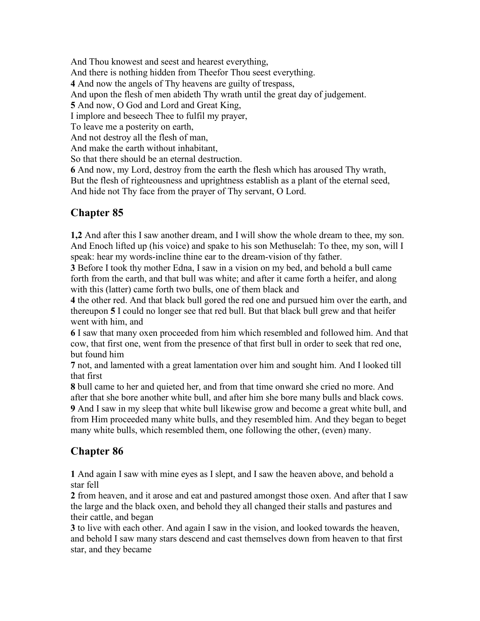And Thou knowest and seest and hearest everything, And there is nothing hidden from Theefor Thou seest everything. **4** And now the angels of Thy heavens are guilty of trespass, And upon the flesh of men abideth Thy wrath until the great day of judgement. **5** And now, O God and Lord and Great King, I implore and beseech Thee to fulfil my prayer, To leave me a posterity on earth, And not destroy all the flesh of man, And make the earth without inhabitant, So that there should be an eternal destruction. **6** And now, my Lord, destroy from the earth the flesh which has aroused Thy wrath, But the flesh of righteousness and uprightness establish as a plant of the eternal seed,

And hide not Thy face from the prayer of Thy servant, O Lord.

### **Chapter 85**

**1,2** And after this I saw another dream, and I will show the whole dream to thee, my son. And Enoch lifted up (his voice) and spake to his son Methuselah: To thee, my son, will I speak: hear my words-incline thine ear to the dream-vision of thy father.

**3** Before I took thy mother Edna, I saw in a vision on my bed, and behold a bull came forth from the earth, and that bull was white; and after it came forth a heifer, and along with this (latter) came forth two bulls, one of them black and

**4** the other red. And that black bull gored the red one and pursued him over the earth, and thereupon **5** I could no longer see that red bull. But that black bull grew and that heifer went with him, and

**6** I saw that many oxen proceeded from him which resembled and followed him. And that cow, that first one, went from the presence of that first bull in order to seek that red one, but found him

**7** not, and lamented with a great lamentation over him and sought him. And I looked till that first

**8** bull came to her and quieted her, and from that time onward she cried no more. And after that she bore another white bull, and after him she bore many bulls and black cows. **9** And I saw in my sleep that white bull likewise grow and become a great white bull, and from Him proceeded many white bulls, and they resembled him. And they began to beget many white bulls, which resembled them, one following the other, (even) many.

### **Chapter 86**

**1** And again I saw with mine eyes as I slept, and I saw the heaven above, and behold a star fell

**2** from heaven, and it arose and eat and pastured amongst those oxen. And after that I saw the large and the black oxen, and behold they all changed their stalls and pastures and their cattle, and began

**3** to live with each other. And again I saw in the vision, and looked towards the heaven, and behold I saw many stars descend and cast themselves down from heaven to that first star, and they became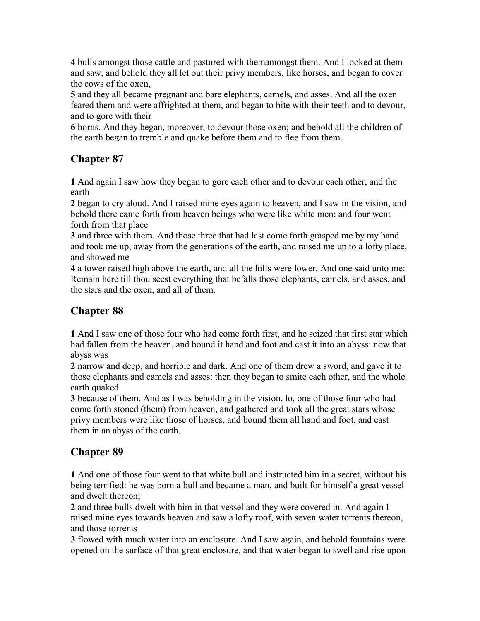**4** bulls amongst those cattle and pastured with themamongst them. And I looked at them and saw, and behold they all let out their privy members, like horses, and began to cover the cows of the oxen,

**5** and they all became pregnant and bare elephants, camels, and asses. And all the oxen feared them and were affrighted at them, and began to bite with their teeth and to devour, and to gore with their

**6** horns. And they began, moreover, to devour those oxen; and behold all the children of the earth began to tremble and quake before them and to flee from them.

# **Chapter 87**

**1** And again I saw how they began to gore each other and to devour each other, and the earth

**2** began to cry aloud. And I raised mine eyes again to heaven, and I saw in the vision, and behold there came forth from heaven beings who were like white men: and four went forth from that place

**3** and three with them. And those three that had last come forth grasped me by my hand and took me up, away from the generations of the earth, and raised me up to a lofty place, and showed me

**4** a tower raised high above the earth, and all the hills were lower. And one said unto me: Remain here till thou seest everything that befalls those elephants, camels, and asses, and the stars and the oxen, and all of them.

# **Chapter 88**

**1** And I saw one of those four who had come forth first, and he seized that first star which had fallen from the heaven, and bound it hand and foot and cast it into an abyss: now that abyss was

**2** narrow and deep, and horrible and dark. And one of them drew a sword, and gave it to those elephants and camels and asses: then they began to smite each other, and the whole earth quaked

**3** because of them. And as I was beholding in the vision, lo, one of those four who had come forth stoned (them) from heaven, and gathered and took all the great stars whose privy members were like those of horses, and bound them all hand and foot, and cast them in an abyss of the earth.

## **Chapter 89**

**1** And one of those four went to that white bull and instructed him in a secret, without his being terrified: he was born a bull and became a man, and built for himself a great vessel and dwelt thereon;

**2** and three bulls dwelt with him in that vessel and they were covered in. And again I raised mine eyes towards heaven and saw a lofty roof, with seven water torrents thereon, and those torrents

**3** flowed with much water into an enclosure. And I saw again, and behold fountains were opened on the surface of that great enclosure, and that water began to swell and rise upon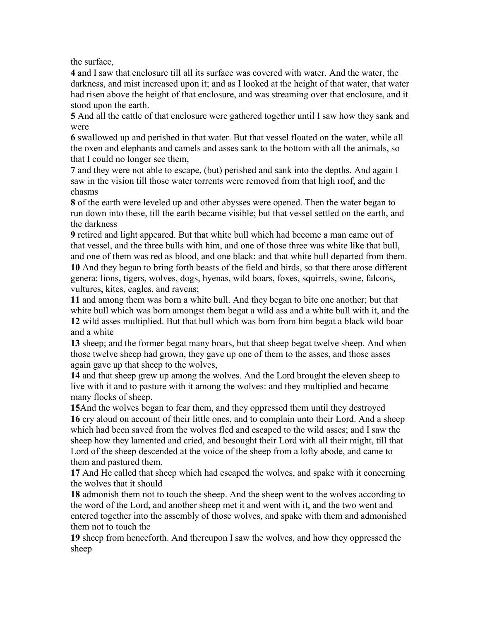the surface,

**4** and I saw that enclosure till all its surface was covered with water. And the water, the darkness, and mist increased upon it; and as I looked at the height of that water, that water had risen above the height of that enclosure, and was streaming over that enclosure, and it stood upon the earth.

**5** And all the cattle of that enclosure were gathered together until I saw how they sank and were

**6** swallowed up and perished in that water. But that vessel floated on the water, while all the oxen and elephants and camels and asses sank to the bottom with all the animals, so that I could no longer see them,

**7** and they were not able to escape, (but) perished and sank into the depths. And again I saw in the vision till those water torrents were removed from that high roof, and the chasms

**8** of the earth were leveled up and other abysses were opened. Then the water began to run down into these, till the earth became visible; but that vessel settled on the earth, and the darkness

**9** retired and light appeared. But that white bull which had become a man came out of that vessel, and the three bulls with him, and one of those three was white like that bull, and one of them was red as blood, and one black: and that white bull departed from them. **10** And they began to bring forth beasts of the field and birds, so that there arose different genera: lions, tigers, wolves, dogs, hyenas, wild boars, foxes, squirrels, swine, falcons, vultures, kites, eagles, and ravens;

**11** and among them was born a white bull. And they began to bite one another; but that white bull which was born amongst them begat a wild ass and a white bull with it, and the **12** wild asses multiplied. But that bull which was born from him begat a black wild boar and a white

**13** sheep; and the former begat many boars, but that sheep begat twelve sheep. And when those twelve sheep had grown, they gave up one of them to the asses, and those asses again gave up that sheep to the wolves,

**14** and that sheep grew up among the wolves. And the Lord brought the eleven sheep to live with it and to pasture with it among the wolves: and they multiplied and became many flocks of sheep.

**15**And the wolves began to fear them, and they oppressed them until they destroyed **16** cry aloud on account of their little ones, and to complain unto their Lord. And a sheep which had been saved from the wolves fled and escaped to the wild asses; and I saw the sheep how they lamented and cried, and besought their Lord with all their might, till that Lord of the sheep descended at the voice of the sheep from a lofty abode, and came to them and pastured them.

**17** And He called that sheep which had escaped the wolves, and spake with it concerning the wolves that it should

**18** admonish them not to touch the sheep. And the sheep went to the wolves according to the word of the Lord, and another sheep met it and went with it, and the two went and entered together into the assembly of those wolves, and spake with them and admonished them not to touch the

**19** sheep from henceforth. And thereupon I saw the wolves, and how they oppressed the sheep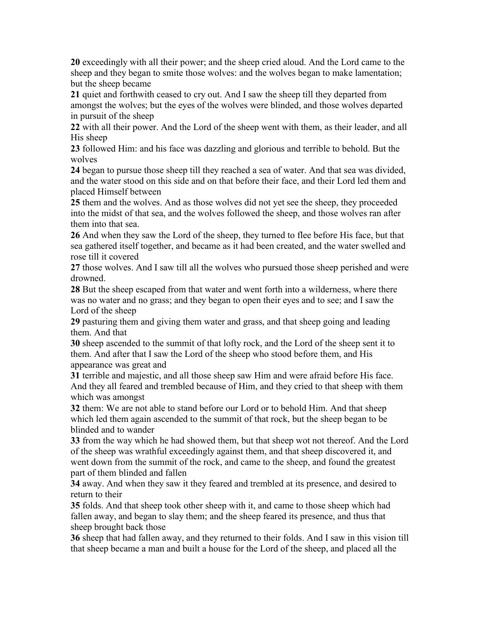**20** exceedingly with all their power; and the sheep cried aloud. And the Lord came to the sheep and they began to smite those wolves: and the wolves began to make lamentation; but the sheep became

**21** quiet and forthwith ceased to cry out. And I saw the sheep till they departed from amongst the wolves; but the eyes of the wolves were blinded, and those wolves departed in pursuit of the sheep

**22** with all their power. And the Lord of the sheep went with them, as their leader, and all His sheep

**23** followed Him: and his face was dazzling and glorious and terrible to behold. But the wolves

**24** began to pursue those sheep till they reached a sea of water. And that sea was divided, and the water stood on this side and on that before their face, and their Lord led them and placed Himself between

**25** them and the wolves. And as those wolves did not yet see the sheep, they proceeded into the midst of that sea, and the wolves followed the sheep, and those wolves ran after them into that sea.

**26** And when they saw the Lord of the sheep, they turned to flee before His face, but that sea gathered itself together, and became as it had been created, and the water swelled and rose till it covered

**27** those wolves. And I saw till all the wolves who pursued those sheep perished and were drowned.

**28** But the sheep escaped from that water and went forth into a wilderness, where there was no water and no grass; and they began to open their eyes and to see; and I saw the Lord of the sheep

**29** pasturing them and giving them water and grass, and that sheep going and leading them. And that

**30** sheep ascended to the summit of that lofty rock, and the Lord of the sheep sent it to them. And after that I saw the Lord of the sheep who stood before them, and His appearance was great and

**31** terrible and majestic, and all those sheep saw Him and were afraid before His face. And they all feared and trembled because of Him, and they cried to that sheep with them which was amongst

**32** them: We are not able to stand before our Lord or to behold Him. And that sheep which led them again ascended to the summit of that rock, but the sheep began to be blinded and to wander

**33** from the way which he had showed them, but that sheep wot not thereof. And the Lord of the sheep was wrathful exceedingly against them, and that sheep discovered it, and went down from the summit of the rock, and came to the sheep, and found the greatest part of them blinded and fallen

**34** away. And when they saw it they feared and trembled at its presence, and desired to return to their

**35** folds. And that sheep took other sheep with it, and came to those sheep which had fallen away, and began to slay them; and the sheep feared its presence, and thus that sheep brought back those

**36** sheep that had fallen away, and they returned to their folds. And I saw in this vision till that sheep became a man and built a house for the Lord of the sheep, and placed all the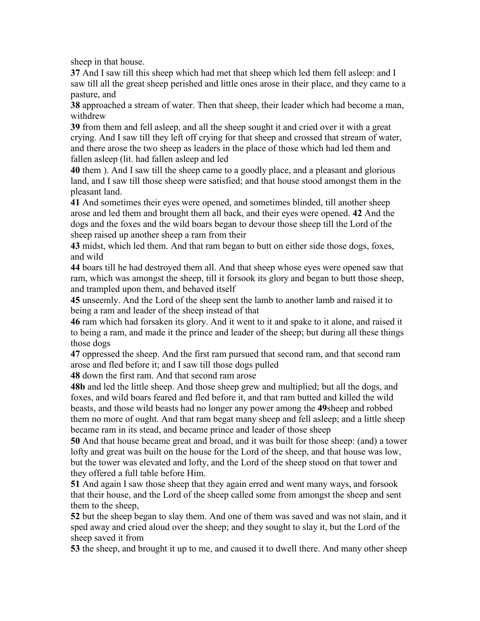sheep in that house.

**37** And I saw till this sheep which had met that sheep which led them fell asleep: and I saw till all the great sheep perished and little ones arose in their place, and they came to a pasture, and

**38** approached a stream of water. Then that sheep, their leader which had become a man, withdrew

**39** from them and fell asleep, and all the sheep sought it and cried over it with a great crying. And I saw till they left off crying for that sheep and crossed that stream of water, and there arose the two sheep as leaders in the place of those which had led them and fallen asleep (lit. had fallen asleep and led

**40** them ). And I saw till the sheep came to a goodly place, and a pleasant and glorious land, and I saw till those sheep were satisfied; and that house stood amongst them in the pleasant land.

**41** And sometimes their eyes were opened, and sometimes blinded, till another sheep arose and led them and brought them all back, and their eyes were opened. **42** And the dogs and the foxes and the wild boars began to devour those sheep till the Lord of the sheep raised up another sheep a ram from their

**43** midst, which led them. And that ram began to butt on either side those dogs, foxes, and wild

**44** boars till he had destroyed them all. And that sheep whose eyes were opened saw that ram, which was amongst the sheep, till it forsook its glory and began to butt those sheep, and trampled upon them, and behaved itself

**45** unseemly. And the Lord of the sheep sent the lamb to another lamb and raised it to being a ram and leader of the sheep instead of that

**46** ram which had forsaken its glory. And it went to it and spake to it alone, and raised it to being a ram, and made it the prince and leader of the sheep; but during all these things those dogs

**47** oppressed the sheep. And the first ram pursued that second ram, and that second ram arose and fled before it; and I saw till those dogs pulled

**48** down the first ram. And that second ram arose

**48b** and led the little sheep. And those sheep grew and multiplied; but all the dogs, and foxes, and wild boars feared and fled before it, and that ram butted and killed the wild beasts, and those wild beasts had no longer any power among the **49**sheep and robbed them no more of ought. And that ram begat many sheep and fell asleep; and a little sheep became ram in its stead, and became prince and leader of those sheep

**50** And that house became great and broad, and it was built for those sheep: (and) a tower lofty and great was built on the house for the Lord of the sheep, and that house was low, but the tower was elevated and lofty, and the Lord of the sheep stood on that tower and they offered a full table before Him.

**51** And again I saw those sheep that they again erred and went many ways, and forsook that their house, and the Lord of the sheep called some from amongst the sheep and sent them to the sheep,

**52** but the sheep began to slay them. And one of them was saved and was not slain, and it sped away and cried aloud over the sheep; and they sought to slay it, but the Lord of the sheep saved it from

**53** the sheep, and brought it up to me, and caused it to dwell there. And many other sheep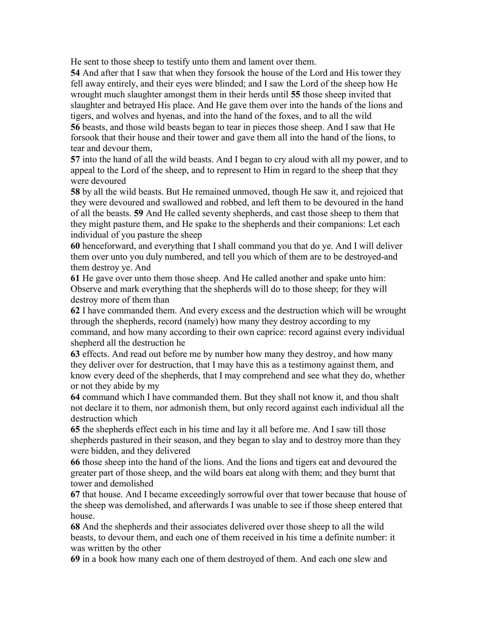He sent to those sheep to testify unto them and lament over them.

**54** And after that I saw that when they forsook the house of the Lord and His tower they fell away entirely, and their eyes were blinded; and I saw the Lord of the sheep how He wrought much slaughter amongst them in their herds until **55** those sheep invited that slaughter and betrayed His place. And He gave them over into the hands of the lions and tigers, and wolves and hyenas, and into the hand of the foxes, and to all the wild **56** beasts, and those wild beasts began to tear in pieces those sheep. And I saw that He forsook that their house and their tower and gave them all into the hand of the lions, to tear and devour them,

**57** into the hand of all the wild beasts. And I began to cry aloud with all my power, and to appeal to the Lord of the sheep, and to represent to Him in regard to the sheep that they were devoured

**58** by all the wild beasts. But He remained unmoved, though He saw it, and rejoiced that they were devoured and swallowed and robbed, and left them to be devoured in the hand of all the beasts. **59** And He called seventy shepherds, and cast those sheep to them that they might pasture them, and He spake to the shepherds and their companions: Let each individual of you pasture the sheep

**60** henceforward, and everything that I shall command you that do ye. And I will deliver them over unto you duly numbered, and tell you which of them are to be destroyed-and them destroy ye. And

**61** He gave over unto them those sheep. And He called another and spake unto him: Observe and mark everything that the shepherds will do to those sheep; for they will destroy more of them than

**62** I have commanded them. And every excess and the destruction which will be wrought through the shepherds, record (namely) how many they destroy according to my command, and how many according to their own caprice: record against every individual shepherd all the destruction he

**63** effects. And read out before me by number how many they destroy, and how many they deliver over for destruction, that I may have this as a testimony against them, and know every deed of the shepherds, that I may comprehend and see what they do, whether or not they abide by my

**64** command which I have commanded them. But they shall not know it, and thou shalt not declare it to them, nor admonish them, but only record against each individual all the destruction which

**65** the shepherds effect each in his time and lay it all before me. And I saw till those shepherds pastured in their season, and they began to slay and to destroy more than they were bidden, and they delivered

**66** those sheep into the hand of the lions. And the lions and tigers eat and devoured the greater part of those sheep, and the wild boars eat along with them; and they burnt that tower and demolished

**67** that house. And I became exceedingly sorrowful over that tower because that house of the sheep was demolished, and afterwards I was unable to see if those sheep entered that house.

**68** And the shepherds and their associates delivered over those sheep to all the wild beasts, to devour them, and each one of them received in his time a definite number: it was written by the other

**69** in a book how many each one of them destroyed of them. And each one slew and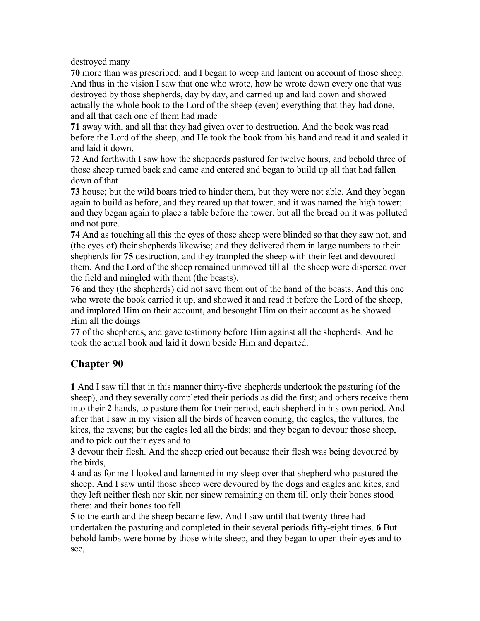destroyed many

**70** more than was prescribed; and I began to weep and lament on account of those sheep. And thus in the vision I saw that one who wrote, how he wrote down every one that was destroyed by those shepherds, day by day, and carried up and laid down and showed actually the whole book to the Lord of the sheep-(even) everything that they had done, and all that each one of them had made

**71** away with, and all that they had given over to destruction. And the book was read before the Lord of the sheep, and He took the book from his hand and read it and sealed it and laid it down.

**72** And forthwith I saw how the shepherds pastured for twelve hours, and behold three of those sheep turned back and came and entered and began to build up all that had fallen down of that

**73** house; but the wild boars tried to hinder them, but they were not able. And they began again to build as before, and they reared up that tower, and it was named the high tower; and they began again to place a table before the tower, but all the bread on it was polluted and not pure.

**74** And as touching all this the eyes of those sheep were blinded so that they saw not, and (the eyes of) their shepherds likewise; and they delivered them in large numbers to their shepherds for **75** destruction, and they trampled the sheep with their feet and devoured them. And the Lord of the sheep remained unmoved till all the sheep were dispersed over the field and mingled with them (the beasts),

**76** and they (the shepherds) did not save them out of the hand of the beasts. And this one who wrote the book carried it up, and showed it and read it before the Lord of the sheep, and implored Him on their account, and besought Him on their account as he showed Him all the doings

**77** of the shepherds, and gave testimony before Him against all the shepherds. And he took the actual book and laid it down beside Him and departed.

### **Chapter 90**

**1** And I saw till that in this manner thirty-five shepherds undertook the pasturing (of the sheep), and they severally completed their periods as did the first; and others receive them into their **2** hands, to pasture them for their period, each shepherd in his own period. And after that I saw in my vision all the birds of heaven coming, the eagles, the vultures, the kites, the ravens; but the eagles led all the birds; and they began to devour those sheep, and to pick out their eyes and to

**3** devour their flesh. And the sheep cried out because their flesh was being devoured by the birds,

**4** and as for me I looked and lamented in my sleep over that shepherd who pastured the sheep. And I saw until those sheep were devoured by the dogs and eagles and kites, and they left neither flesh nor skin nor sinew remaining on them till only their bones stood there: and their bones too fell

**5** to the earth and the sheep became few. And I saw until that twenty-three had undertaken the pasturing and completed in their several periods fifty-eight times. **6** But behold lambs were borne by those white sheep, and they began to open their eyes and to see,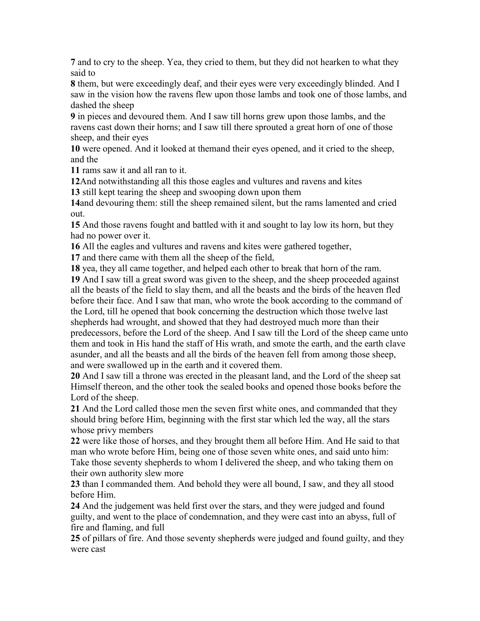**7** and to cry to the sheep. Yea, they cried to them, but they did not hearken to what they said to

**8** them, but were exceedingly deaf, and their eyes were very exceedingly blinded. And I saw in the vision how the ravens flew upon those lambs and took one of those lambs, and dashed the sheep

**9** in pieces and devoured them. And I saw till horns grew upon those lambs, and the ravens cast down their horns; and I saw till there sprouted a great horn of one of those sheep, and their eyes

**10** were opened. And it looked at themand their eyes opened, and it cried to the sheep, and the

**11** rams saw it and all ran to it.

**12**And notwithstanding all this those eagles and vultures and ravens and kites

**13** still kept tearing the sheep and swooping down upon them

**14**and devouring them: still the sheep remained silent, but the rams lamented and cried out.

**15** And those ravens fought and battled with it and sought to lay low its horn, but they had no power over it.

**16** All the eagles and vultures and ravens and kites were gathered together,

**17** and there came with them all the sheep of the field,

**18** yea, they all came together, and helped each other to break that horn of the ram.

**19** And I saw till a great sword was given to the sheep, and the sheep proceeded against all the beasts of the field to slay them, and all the beasts and the birds of the heaven fled before their face. And I saw that man, who wrote the book according to the command of the Lord, till he opened that book concerning the destruction which those twelve last shepherds had wrought, and showed that they had destroyed much more than their predecessors, before the Lord of the sheep. And I saw till the Lord of the sheep came unto them and took in His hand the staff of His wrath, and smote the earth, and the earth clave asunder, and all the beasts and all the birds of the heaven fell from among those sheep, and were swallowed up in the earth and it covered them.

**20** And I saw till a throne was erected in the pleasant land, and the Lord of the sheep sat Himself thereon, and the other took the sealed books and opened those books before the Lord of the sheep.

**21** And the Lord called those men the seven first white ones, and commanded that they should bring before Him, beginning with the first star which led the way, all the stars whose privy members

**22** were like those of horses, and they brought them all before Him. And He said to that man who wrote before Him, being one of those seven white ones, and said unto him: Take those seventy shepherds to whom I delivered the sheep, and who taking them on their own authority slew more

**23** than I commanded them. And behold they were all bound, I saw, and they all stood before Him.

**24** And the judgement was held first over the stars, and they were judged and found guilty, and went to the place of condemnation, and they were cast into an abyss, full of fire and flaming, and full

**25** of pillars of fire. And those seventy shepherds were judged and found guilty, and they were cast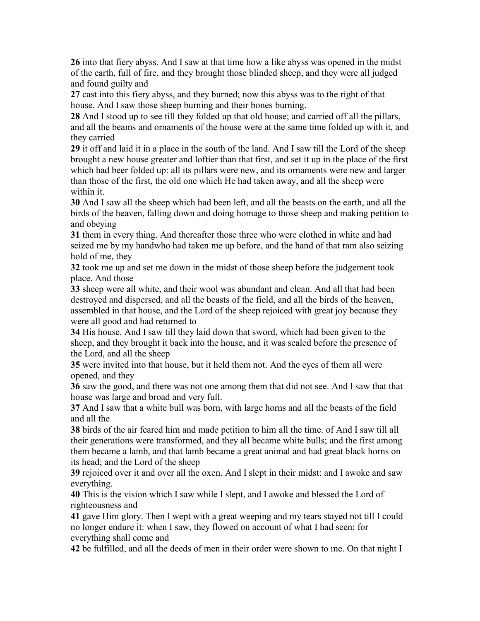**26** into that fiery abyss. And I saw at that time how a like abyss was opened in the midst of the earth, full of fire, and they brought those blinded sheep, and they were all judged and found guilty and

**27** cast into this fiery abyss, and they burned; now this abyss was to the right of that house. And I saw those sheep burning and their bones burning.

**28** And I stood up to see till they folded up that old house; and carried off all the pillars, and all the beams and ornaments of the house were at the same time folded up with it, and they carried

**29** it off and laid it in a place in the south of the land. And I saw till the Lord of the sheep brought a new house greater and loftier than that first, and set it up in the place of the first which had beer folded up: all its pillars were new, and its ornaments were new and larger than those of the first, the old one which He had taken away, and all the sheep were within it.

**30** And I saw all the sheep which had been left, and all the beasts on the earth, and all the birds of the heaven, falling down and doing homage to those sheep and making petition to and obeying

**31** them in every thing. And thereafter those three who were clothed in white and had seized me by my handwho had taken me up before, and the hand of that ram also seizing hold of me, they

**32** took me up and set me down in the midst of those sheep before the judgement took place. And those

**33** sheep were all white, and their wool was abundant and clean. And all that had been destroyed and dispersed, and all the beasts of the field, and all the birds of the heaven, assembled in that house, and the Lord of the sheep rejoiced with great joy because they were all good and had returned to

**34** His house. And I saw till they laid down that sword, which had been given to the sheep, and they brought it back into the house, and it was sealed before the presence of the Lord, and all the sheep

**35** were invited into that house, but it held them not. And the eyes of them all were opened, and they

**36** saw the good, and there was not one among them that did not see. And I saw that that house was large and broad and very full.

**37** And I saw that a white bull was born, with large horns and all the beasts of the field and all the

**38** birds of the air feared him and made petition to him all the time. of And I saw till all their generations were transformed, and they all became white bulls; and the first among them became a lamb, and that lamb became a great animal and had great black horns on its head; and the Lord of the sheep

**39** rejoiced over it and over all the oxen. And I slept in their midst: and I awoke and saw everything.

**40** This is the vision which I saw while I slept, and I awoke and blessed the Lord of righteousness and

**41** gave Him glory. Then I wept with a great weeping and my tears stayed not till I could no longer endure it: when I saw, they flowed on account of what I had seen; for everything shall come and

**42** be fulfilled, and all the deeds of men in their order were shown to me. On that night I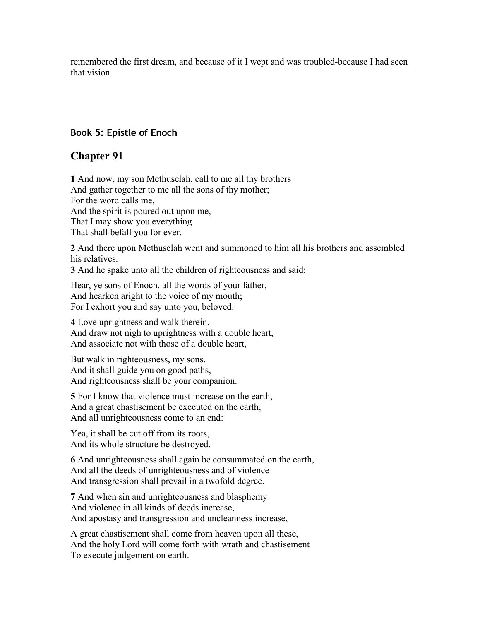remembered the first dream, and because of it I wept and was troubled-because I had seen that vision.

#### **Book 5: Epistle of Enoch**

#### **Chapter 91**

**1** And now, my son Methuselah, call to me all thy brothers And gather together to me all the sons of thy mother; For the word calls me, And the spirit is poured out upon me, That I may show you everything That shall befall you for ever.

**2** And there upon Methuselah went and summoned to him all his brothers and assembled his relatives.

**3** And he spake unto all the children of righteousness and said:

Hear, ye sons of Enoch, all the words of your father, And hearken aright to the voice of my mouth; For I exhort you and say unto you, beloved:

**4** Love uprightness and walk therein. And draw not nigh to uprightness with a double heart, And associate not with those of a double heart,

But walk in righteousness, my sons. And it shall guide you on good paths, And righteousness shall be your companion.

**5** For I know that violence must increase on the earth, And a great chastisement be executed on the earth, And all unrighteousness come to an end:

Yea, it shall be cut off from its roots, And its whole structure be destroyed.

**6** And unrighteousness shall again be consummated on the earth, And all the deeds of unrighteousness and of violence And transgression shall prevail in a twofold degree.

**7** And when sin and unrighteousness and blasphemy And violence in all kinds of deeds increase, And apostasy and transgression and uncleanness increase,

A great chastisement shall come from heaven upon all these, And the holy Lord will come forth with wrath and chastisement To execute judgement on earth.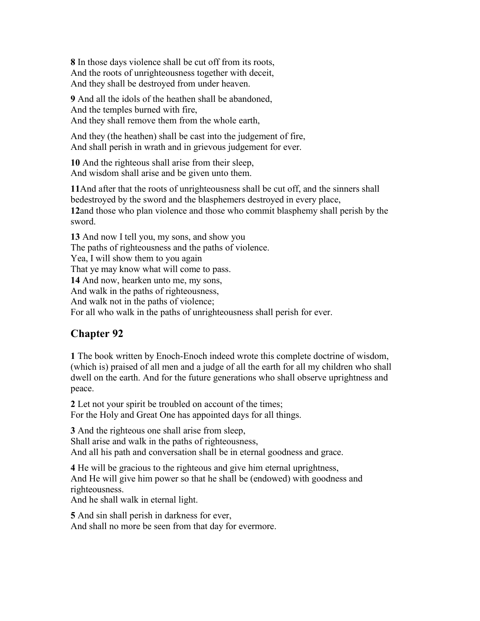**8** In those days violence shall be cut off from its roots, And the roots of unrighteousness together with deceit, And they shall be destroyed from under heaven.

**9** And all the idols of the heathen shall be abandoned, And the temples burned with fire, And they shall remove them from the whole earth,

And they (the heathen) shall be cast into the judgement of fire, And shall perish in wrath and in grievous judgement for ever.

**10** And the righteous shall arise from their sleep, And wisdom shall arise and be given unto them.

**11**And after that the roots of unrighteousness shall be cut off, and the sinners shall bedestroyed by the sword and the blasphemers destroyed in every place, **12**and those who plan violence and those who commit blasphemy shall perish by the sword.

**13** And now I tell you, my sons, and show you The paths of righteousness and the paths of violence. Yea, I will show them to you again That ye may know what will come to pass. **14** And now, hearken unto me, my sons, And walk in the paths of righteousness, And walk not in the paths of violence; For all who walk in the paths of unrighteousness shall perish for ever.

## **Chapter 92**

**1** The book written by Enoch-Enoch indeed wrote this complete doctrine of wisdom, (which is) praised of all men and a judge of all the earth for all my children who shall dwell on the earth. And for the future generations who shall observe uprightness and peace.

**2** Let not your spirit be troubled on account of the times; For the Holy and Great One has appointed days for all things.

**3** And the righteous one shall arise from sleep, Shall arise and walk in the paths of righteousness, And all his path and conversation shall be in eternal goodness and grace.

**4** He will be gracious to the righteous and give him eternal uprightness, And He will give him power so that he shall be (endowed) with goodness and righteousness.

And he shall walk in eternal light.

**5** And sin shall perish in darkness for ever, And shall no more be seen from that day for evermore.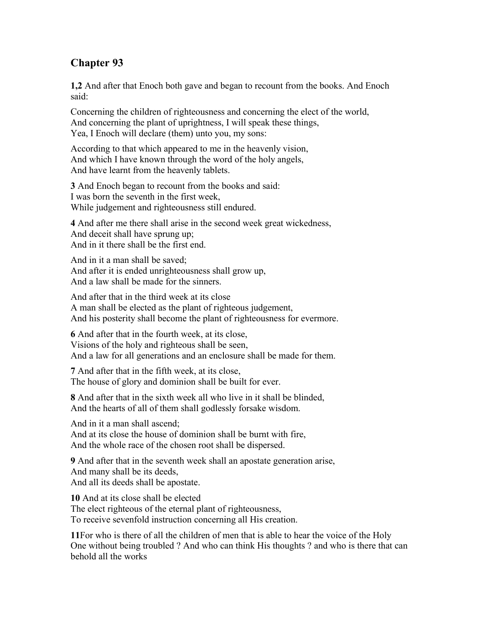#### **Chapter 93**

**1,2** And after that Enoch both gave and began to recount from the books. And Enoch said:

Concerning the children of righteousness and concerning the elect of the world, And concerning the plant of uprightness, I will speak these things, Yea, I Enoch will declare (them) unto you, my sons:

According to that which appeared to me in the heavenly vision, And which I have known through the word of the holy angels, And have learnt from the heavenly tablets.

**3** And Enoch began to recount from the books and said: I was born the seventh in the first week, While judgement and righteousness still endured.

**4** And after me there shall arise in the second week great wickedness, And deceit shall have sprung up; And in it there shall be the first end.

And in it a man shall be saved; And after it is ended unrighteousness shall grow up, And a law shall be made for the sinners.

And after that in the third week at its close A man shall be elected as the plant of righteous judgement, And his posterity shall become the plant of righteousness for evermore.

**6** And after that in the fourth week, at its close, Visions of the holy and righteous shall be seen, And a law for all generations and an enclosure shall be made for them.

**7** And after that in the fifth week, at its close, The house of glory and dominion shall be built for ever.

**8** And after that in the sixth week all who live in it shall be blinded, And the hearts of all of them shall godlessly forsake wisdom.

And in it a man shall ascend; And at its close the house of dominion shall be burnt with fire, And the whole race of the chosen root shall be dispersed.

**9** And after that in the seventh week shall an apostate generation arise, And many shall be its deeds, And all its deeds shall be apostate.

**10** And at its close shall be elected The elect righteous of the eternal plant of righteousness, To receive sevenfold instruction concerning all His creation.

**11**For who is there of all the children of men that is able to hear the voice of the Holy One without being troubled ? And who can think His thoughts ? and who is there that can behold all the works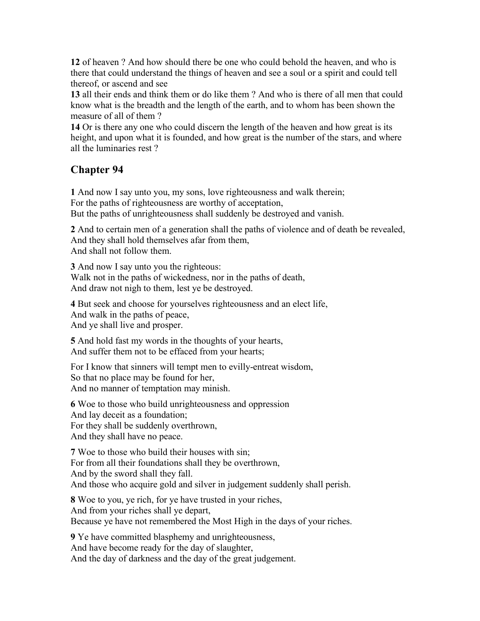**12** of heaven ? And how should there be one who could behold the heaven, and who is there that could understand the things of heaven and see a soul or a spirit and could tell thereof, or ascend and see

**13** all their ends and think them or do like them ? And who is there of all men that could know what is the breadth and the length of the earth, and to whom has been shown the measure of all of them ?

**14** Or is there any one who could discern the length of the heaven and how great is its height, and upon what it is founded, and how great is the number of the stars, and where all the luminaries rest ?

#### **Chapter 94**

**1** And now I say unto you, my sons, love righteousness and walk therein; For the paths of righteousness are worthy of acceptation, But the paths of unrighteousness shall suddenly be destroyed and vanish.

**2** And to certain men of a generation shall the paths of violence and of death be revealed, And they shall hold themselves afar from them, And shall not follow them.

**3** And now I say unto you the righteous: Walk not in the paths of wickedness, nor in the paths of death, And draw not nigh to them, lest ye be destroyed.

**4** But seek and choose for yourselves righteousness and an elect life, And walk in the paths of peace, And ye shall live and prosper.

**5** And hold fast my words in the thoughts of your hearts, And suffer them not to be effaced from your hearts;

For I know that sinners will tempt men to evilly-entreat wisdom, So that no place may be found for her, And no manner of temptation may minish.

**6** Woe to those who build unrighteousness and oppression And lay deceit as a foundation; For they shall be suddenly overthrown, And they shall have no peace.

**7** Woe to those who build their houses with sin; For from all their foundations shall they be overthrown, And by the sword shall they fall. And those who acquire gold and silver in judgement suddenly shall perish.

**8** Woe to you, ye rich, for ye have trusted in your riches, And from your riches shall ye depart, Because ye have not remembered the Most High in the days of your riches.

**9** Ye have committed blasphemy and unrighteousness, And have become ready for the day of slaughter, And the day of darkness and the day of the great judgement.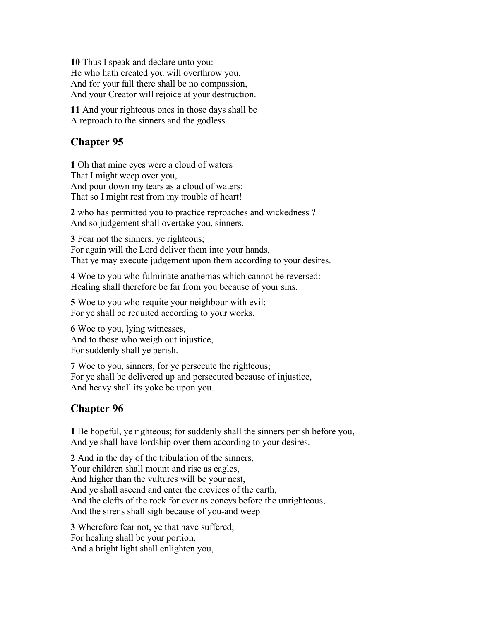**10** Thus I speak and declare unto you: He who hath created you will overthrow you, And for your fall there shall be no compassion, And your Creator will rejoice at your destruction.

**11** And your righteous ones in those days shall be A reproach to the sinners and the godless.

### **Chapter 95**

**1** Oh that mine eyes were a cloud of waters That I might weep over you, And pour down my tears as a cloud of waters: That so I might rest from my trouble of heart!

**2** who has permitted you to practice reproaches and wickedness ? And so judgement shall overtake you, sinners.

**3** Fear not the sinners, ye righteous; For again will the Lord deliver them into your hands, That ye may execute judgement upon them according to your desires.

**4** Woe to you who fulminate anathemas which cannot be reversed: Healing shall therefore be far from you because of your sins.

**5** Woe to you who requite your neighbour with evil; For ye shall be requited according to your works.

**6** Woe to you, lying witnesses, And to those who weigh out injustice, For suddenly shall ye perish.

**7** Woe to you, sinners, for ye persecute the righteous; For ye shall be delivered up and persecuted because of injustice, And heavy shall its yoke be upon you.

## **Chapter 96**

**1** Be hopeful, ye righteous; for suddenly shall the sinners perish before you, And ye shall have lordship over them according to your desires.

**2** And in the day of the tribulation of the sinners, Your children shall mount and rise as eagles, And higher than the vultures will be your nest, And ye shall ascend and enter the crevices of the earth, And the clefts of the rock for ever as coneys before the unrighteous, And the sirens shall sigh because of you-and weep

**3** Wherefore fear not, ye that have suffered; For healing shall be your portion, And a bright light shall enlighten you,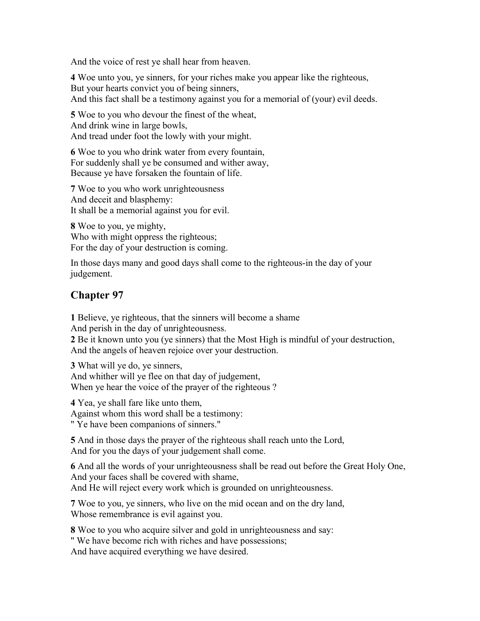And the voice of rest ye shall hear from heaven.

**4** Woe unto you, ye sinners, for your riches make you appear like the righteous, But your hearts convict you of being sinners, And this fact shall be a testimony against you for a memorial of (your) evil deeds.

**5** Woe to you who devour the finest of the wheat, And drink wine in large bowls, And tread under foot the lowly with your might.

**6** Woe to you who drink water from every fountain, For suddenly shall ye be consumed and wither away, Because ye have forsaken the fountain of life.

**7** Woe to you who work unrighteousness And deceit and blasphemy: It shall be a memorial against you for evil.

**8** Woe to you, ye mighty, Who with might oppress the righteous; For the day of your destruction is coming.

In those days many and good days shall come to the righteous-in the day of your judgement.

### **Chapter 97**

**1** Believe, ye righteous, that the sinners will become a shame

And perish in the day of unrighteousness.

**2** Be it known unto you (ye sinners) that the Most High is mindful of your destruction, And the angels of heaven rejoice over your destruction.

**3** What will ye do, ye sinners, And whither will ye flee on that day of judgement, When ye hear the voice of the prayer of the righteous ?

**4** Yea, ye shall fare like unto them, Against whom this word shall be a testimony:

" Ye have been companions of sinners."

**5** And in those days the prayer of the righteous shall reach unto the Lord, And for you the days of your judgement shall come.

**6** And all the words of your unrighteousness shall be read out before the Great Holy One, And your faces shall be covered with shame, And He will reject every work which is grounded on unrighteousness.

**7** Woe to you, ye sinners, who live on the mid ocean and on the dry land, Whose remembrance is evil against you.

**8** Woe to you who acquire silver and gold in unrighteousness and say: " We have become rich with riches and have possessions; And have acquired everything we have desired.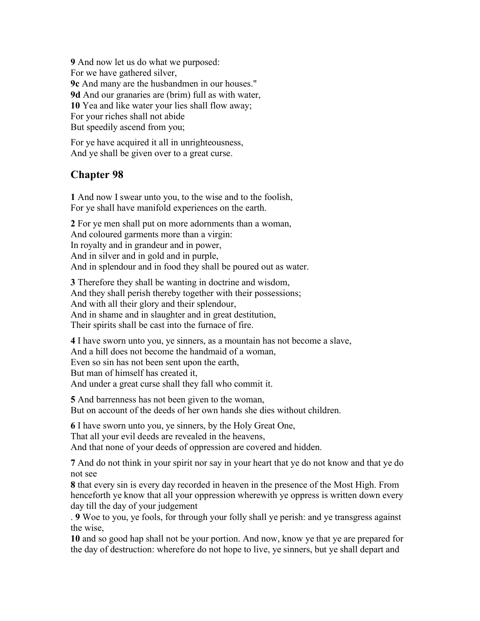**9** And now let us do what we purposed: For we have gathered silver, **9c** And many are the husbandmen in our houses." **9d** And our granaries are (brim) full as with water, **10** Yea and like water your lies shall flow away; For your riches shall not abide But speedily ascend from you;

For ye have acquired it all in unrighteousness, And ye shall be given over to a great curse.

#### **Chapter 98**

**1** And now I swear unto you, to the wise and to the foolish, For ye shall have manifold experiences on the earth.

**2** For ye men shall put on more adornments than a woman, And coloured garments more than a virgin: In royalty and in grandeur and in power, And in silver and in gold and in purple, And in splendour and in food they shall be poured out as water.

**3** Therefore they shall be wanting in doctrine and wisdom, And they shall perish thereby together with their possessions; And with all their glory and their splendour, And in shame and in slaughter and in great destitution, Their spirits shall be cast into the furnace of fire.

**4** I have sworn unto you, ye sinners, as a mountain has not become a slave, And a hill does not become the handmaid of a woman, Even so sin has not been sent upon the earth, But man of himself has created it, And under a great curse shall they fall who commit it.

**5** And barrenness has not been given to the woman, But on account of the deeds of her own hands she dies without children.

**6** I have sworn unto you, ye sinners, by the Holy Great One, That all your evil deeds are revealed in the heavens, And that none of your deeds of oppression are covered and hidden.

**7** And do not think in your spirit nor say in your heart that ye do not know and that ye do not see

**8** that every sin is every day recorded in heaven in the presence of the Most High. From henceforth ye know that all your oppression wherewith ye oppress is written down every day till the day of your judgement

. **9** Woe to you, ye fools, for through your folly shall ye perish: and ye transgress against the wise,

**10** and so good hap shall not be your portion. And now, know ye that ye are prepared for the day of destruction: wherefore do not hope to live, ye sinners, but ye shall depart and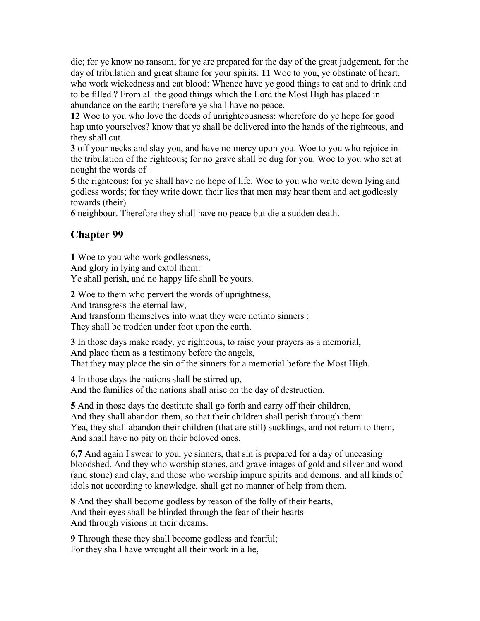die; for ye know no ransom; for ye are prepared for the day of the great judgement, for the day of tribulation and great shame for your spirits. **11** Woe to you, ye obstinate of heart, who work wickedness and eat blood: Whence have ye good things to eat and to drink and to be filled ? From all the good things which the Lord the Most High has placed in abundance on the earth; therefore ye shall have no peace.

**12** Woe to you who love the deeds of unrighteousness: wherefore do ye hope for good hap unto yourselves? know that ye shall be delivered into the hands of the righteous, and they shall cut

**3** off your necks and slay you, and have no mercy upon you. Woe to you who rejoice in the tribulation of the righteous; for no grave shall be dug for you. Woe to you who set at nought the words of

**5** the righteous; for ye shall have no hope of life. Woe to you who write down lying and godless words; for they write down their lies that men may hear them and act godlessly towards (their)

**6** neighbour. Therefore they shall have no peace but die a sudden death.

### **Chapter 99**

**1** Woe to you who work godlessness, And glory in lying and extol them: Ye shall perish, and no happy life shall be yours.

**2** Woe to them who pervert the words of uprightness,

And transgress the eternal law,

And transform themselves into what they were notinto sinners :

They shall be trodden under foot upon the earth.

**3** In those days make ready, ye righteous, to raise your prayers as a memorial, And place them as a testimony before the angels,

That they may place the sin of the sinners for a memorial before the Most High.

**4** In those days the nations shall be stirred up,

And the families of the nations shall arise on the day of destruction.

**5** And in those days the destitute shall go forth and carry off their children, And they shall abandon them, so that their children shall perish through them: Yea, they shall abandon their children (that are still) sucklings, and not return to them, And shall have no pity on their beloved ones.

**6,7** And again I swear to you, ye sinners, that sin is prepared for a day of unceasing bloodshed. And they who worship stones, and grave images of gold and silver and wood (and stone) and clay, and those who worship impure spirits and demons, and all kinds of idols not according to knowledge, shall get no manner of help from them.

**8** And they shall become godless by reason of the folly of their hearts, And their eyes shall be blinded through the fear of their hearts And through visions in their dreams.

**9** Through these they shall become godless and fearful; For they shall have wrought all their work in a lie,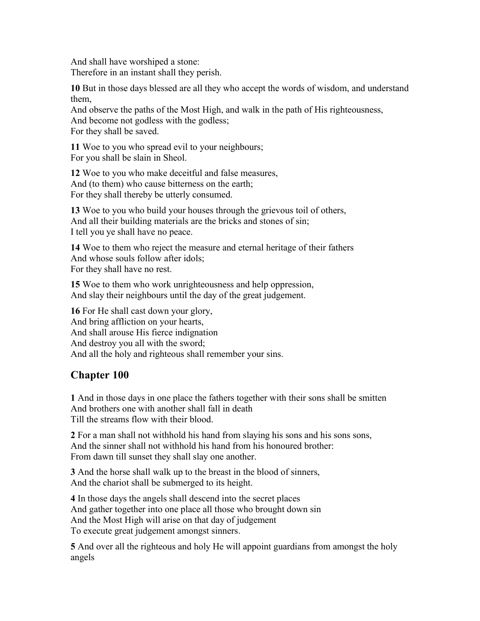And shall have worshiped a stone: Therefore in an instant shall they perish.

**10** But in those days blessed are all they who accept the words of wisdom, and understand them,

And observe the paths of the Most High, and walk in the path of His righteousness, And become not godless with the godless; For they shall be saved.

**11** Woe to you who spread evil to your neighbours; For you shall be slain in Sheol.

**12** Woe to you who make deceitful and false measures, And (to them) who cause bitterness on the earth; For they shall thereby be utterly consumed.

**13** Woe to you who build your houses through the grievous toil of others, And all their building materials are the bricks and stones of sin; I tell you ye shall have no peace.

**14** Woe to them who reject the measure and eternal heritage of their fathers And whose souls follow after idols; For they shall have no rest.

**15** Woe to them who work unrighteousness and help oppression, And slay their neighbours until the day of the great judgement.

**16** For He shall cast down your glory, And bring affliction on your hearts, And shall arouse His fierce indignation And destroy you all with the sword; And all the holy and righteous shall remember your sins.

### **Chapter 100**

**1** And in those days in one place the fathers together with their sons shall be smitten And brothers one with another shall fall in death Till the streams flow with their blood.

**2** For a man shall not withhold his hand from slaying his sons and his sons sons, And the sinner shall not withhold his hand from his honoured brother: From dawn till sunset they shall slay one another.

**3** And the horse shall walk up to the breast in the blood of sinners, And the chariot shall be submerged to its height.

**4** In those days the angels shall descend into the secret places And gather together into one place all those who brought down sin And the Most High will arise on that day of judgement To execute great judgement amongst sinners.

**5** And over all the righteous and holy He will appoint guardians from amongst the holy angels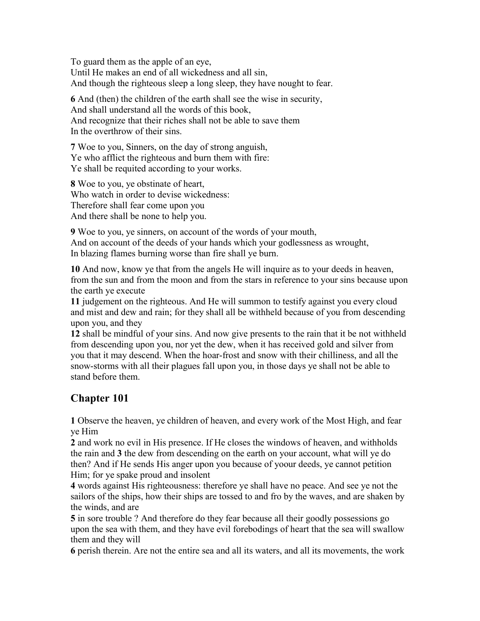To guard them as the apple of an eye, Until He makes an end of all wickedness and all sin, And though the righteous sleep a long sleep, they have nought to fear.

**6** And (then) the children of the earth shall see the wise in security, And shall understand all the words of this book, And recognize that their riches shall not be able to save them In the overthrow of their sins.

**7** Woe to you, Sinners, on the day of strong anguish, Ye who afflict the righteous and burn them with fire: Ye shall be requited according to your works.

**8** Woe to you, ye obstinate of heart, Who watch in order to devise wickedness: Therefore shall fear come upon you And there shall be none to help you.

**9** Woe to you, ye sinners, on account of the words of your mouth, And on account of the deeds of your hands which your godlessness as wrought, In blazing flames burning worse than fire shall ye burn.

**10** And now, know ye that from the angels He will inquire as to your deeds in heaven, from the sun and from the moon and from the stars in reference to your sins because upon the earth ye execute

**11** judgement on the righteous. And He will summon to testify against you every cloud and mist and dew and rain; for they shall all be withheld because of you from descending upon you, and they

**12** shall be mindful of your sins. And now give presents to the rain that it be not withheld from descending upon you, nor yet the dew, when it has received gold and silver from you that it may descend. When the hoar-frost and snow with their chilliness, and all the snow-storms with all their plagues fall upon you, in those days ye shall not be able to stand before them.

## **Chapter 101**

**1** Observe the heaven, ye children of heaven, and every work of the Most High, and fear ye Him

**2** and work no evil in His presence. If He closes the windows of heaven, and withholds the rain and **3** the dew from descending on the earth on your account, what will ye do then? And if He sends His anger upon you because of yoour deeds, ye cannot petition Him; for ye spake proud and insolent

**4** words against His righteousness: therefore ye shall have no peace. And see ye not the sailors of the ships, how their ships are tossed to and fro by the waves, and are shaken by the winds, and are

**5** in sore trouble ? And therefore do they fear because all their goodly possessions go upon the sea with them, and they have evil forebodings of heart that the sea will swallow them and they will

**6** perish therein. Are not the entire sea and all its waters, and all its movements, the work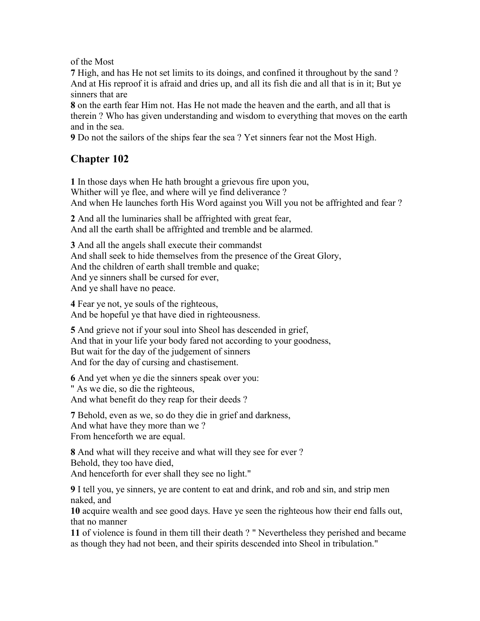of the Most

**7** High, and has He not set limits to its doings, and confined it throughout by the sand ? And at His reproof it is afraid and dries up, and all its fish die and all that is in it; But ye sinners that are

**8** on the earth fear Him not. Has He not made the heaven and the earth, and all that is therein ? Who has given understanding and wisdom to everything that moves on the earth and in the sea.

**9** Do not the sailors of the ships fear the sea ? Yet sinners fear not the Most High.

#### **Chapter 102**

**1** In those days when He hath brought a grievous fire upon you, Whither will ye flee, and where will ye find deliverance ? And when He launches forth His Word against you Will you not be affrighted and fear ?

**2** And all the luminaries shall be affrighted with great fear, And all the earth shall be affrighted and tremble and be alarmed.

**3** And all the angels shall execute their commandst And shall seek to hide themselves from the presence of the Great Glory, And the children of earth shall tremble and quake; And ye sinners shall be cursed for ever, And ye shall have no peace.

**4** Fear ye not, ye souls of the righteous, And be hopeful ye that have died in righteousness.

**5** And grieve not if your soul into Sheol has descended in grief, And that in your life your body fared not according to your goodness, But wait for the day of the judgement of sinners And for the day of cursing and chastisement.

**6** And yet when ye die the sinners speak over you: " As we die, so die the righteous, And what benefit do they reap for their deeds ?

**7** Behold, even as we, so do they die in grief and darkness, And what have they more than we ? From henceforth we are equal.

**8** And what will they receive and what will they see for ever ? Behold, they too have died, And henceforth for ever shall they see no light."

**9** I tell you, ye sinners, ye are content to eat and drink, and rob and sin, and strip men naked, and

**10** acquire wealth and see good days. Have ye seen the righteous how their end falls out, that no manner

**11** of violence is found in them till their death ? " Nevertheless they perished and became as though they had not been, and their spirits descended into Sheol in tribulation."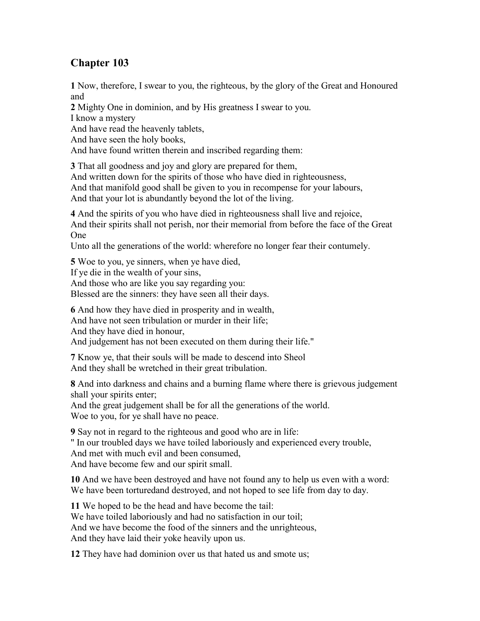### **Chapter 103**

**1** Now, therefore, I swear to you, the righteous, by the glory of the Great and Honoured and

**2** Mighty One in dominion, and by His greatness I swear to you.

I know a mystery

And have read the heavenly tablets,

And have seen the holy books,

And have found written therein and inscribed regarding them:

**3** That all goodness and joy and glory are prepared for them, And written down for the spirits of those who have died in righteousness, And that manifold good shall be given to you in recompense for your labours, And that your lot is abundantly beyond the lot of the living.

**4** And the spirits of you who have died in righteousness shall live and rejoice, And their spirits shall not perish, nor their memorial from before the face of the Great One

Unto all the generations of the world: wherefore no longer fear their contumely.

**5** Woe to you, ye sinners, when ye have died,

If ye die in the wealth of your sins,

And those who are like you say regarding you:

Blessed are the sinners: they have seen all their days.

**6** And how they have died in prosperity and in wealth,

And have not seen tribulation or murder in their life;

And they have died in honour,

And judgement has not been executed on them during their life."

**7** Know ye, that their souls will be made to descend into Sheol And they shall be wretched in their great tribulation.

**8** And into darkness and chains and a burning flame where there is grievous judgement shall your spirits enter;

And the great judgement shall be for all the generations of the world. Woe to you, for ye shall have no peace.

**9** Say not in regard to the righteous and good who are in life:

" In our troubled days we have toiled laboriously and experienced every trouble,

And met with much evil and been consumed,

And have become few and our spirit small.

**10** And we have been destroyed and have not found any to help us even with a word: We have been torturedand destroyed, and not hoped to see life from day to day.

**11** We hoped to be the head and have become the tail: We have toiled laboriously and had no satisfaction in our toil; And we have become the food of the sinners and the unrighteous, And they have laid their yoke heavily upon us.

**12** They have had dominion over us that hated us and smote us;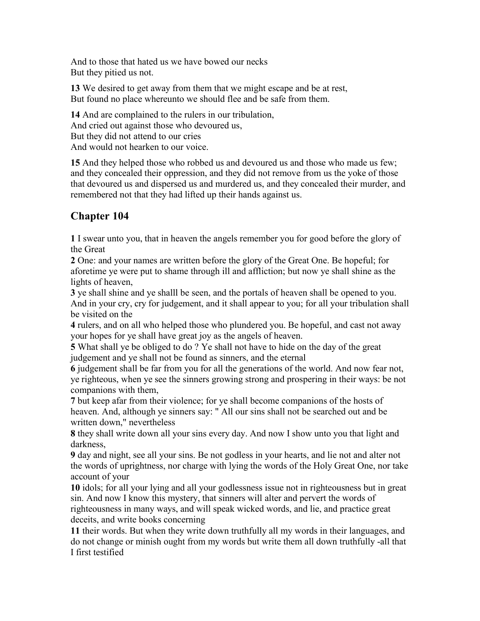And to those that hated us we have bowed our necks But they pitied us not.

**13** We desired to get away from them that we might escape and be at rest, But found no place whereunto we should flee and be safe from them.

**14** And are complained to the rulers in our tribulation, And cried out against those who devoured us, But they did not attend to our cries And would not hearken to our voice.

**15** And they helped those who robbed us and devoured us and those who made us few; and they concealed their oppression, and they did not remove from us the yoke of those that devoured us and dispersed us and murdered us, and they concealed their murder, and remembered not that they had lifted up their hands against us.

# **Chapter 104**

**1** I swear unto you, that in heaven the angels remember you for good before the glory of the Great

**2** One: and your names are written before the glory of the Great One. Be hopeful; for aforetime ye were put to shame through ill and affliction; but now ye shall shine as the lights of heaven,

**3** ye shall shine and ye shalll be seen, and the portals of heaven shall be opened to you. And in your cry, cry for judgement, and it shall appear to you; for all your tribulation shall be visited on the

**4** rulers, and on all who helped those who plundered you. Be hopeful, and cast not away your hopes for ye shall have great joy as the angels of heaven.

**5** What shall ye be obliged to do ? Ye shall not have to hide on the day of the great judgement and ye shall not be found as sinners, and the eternal

**6** judgement shall be far from you for all the generations of the world. And now fear not, ye righteous, when ye see the sinners growing strong and prospering in their ways: be not companions with them,

**7** but keep afar from their violence; for ye shall become companions of the hosts of heaven. And, although ye sinners say: " All our sins shall not be searched out and be written down," nevertheless

**8** they shall write down all your sins every day. And now I show unto you that light and darkness,

**9** day and night, see all your sins. Be not godless in your hearts, and lie not and alter not the words of uprightness, nor charge with lying the words of the Holy Great One, nor take account of your

**10** idols; for all your lying and all your godlessness issue not in righteousness but in great sin. And now I know this mystery, that sinners will alter and pervert the words of righteousness in many ways, and will speak wicked words, and lie, and practice great deceits, and write books concerning

**11** their words. But when they write down truthfully all my words in their languages, and do not change or minish ought from my words but write them all down truthfully -all that I first testified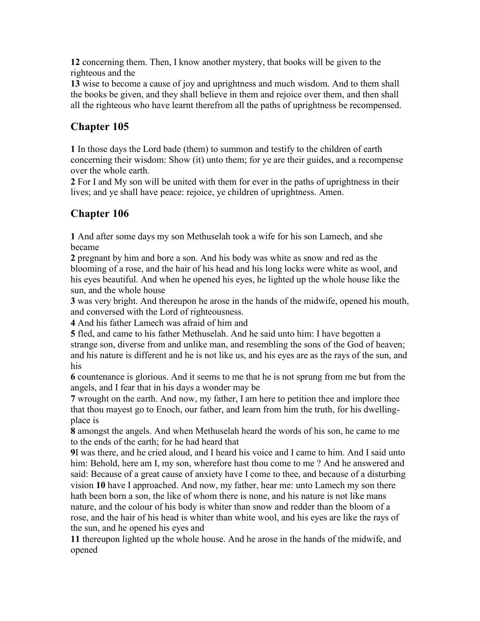**12** concerning them. Then, I know another mystery, that books will be given to the righteous and the

**13** wise to become a cause of joy and uprightness and much wisdom. And to them shall the books be given, and they shall believe in them and rejoice over them, and then shall all the righteous who have learnt therefrom all the paths of uprightness be recompensed.

# **Chapter 105**

**1** In those days the Lord bade (them) to summon and testify to the children of earth concerning their wisdom: Show (it) unto them; for ye are their guides, and a recompense over the whole earth.

**2** For I and My son will be united with them for ever in the paths of uprightness in their lives; and ye shall have peace: rejoice, ye children of uprightness. Amen.

# **Chapter 106**

**1** And after some days my son Methuselah took a wife for his son Lamech, and she became

**2** pregnant by him and bore a son. And his body was white as snow and red as the blooming of a rose, and the hair of his head and his long locks were white as wool, and his eyes beautiful. And when he opened his eyes, he lighted up the whole house like the sun, and the whole house

**3** was very bright. And thereupon he arose in the hands of the midwife, opened his mouth, and conversed with the Lord of righteousness.

**4** And his father Lamech was afraid of him and

**5** fled, and came to his father Methuselah. And he said unto him: I have begotten a strange son, diverse from and unlike man, and resembling the sons of the God of heaven; and his nature is different and he is not like us, and his eyes are as the rays of the sun, and his

**6** countenance is glorious. And it seems to me that he is not sprung from me but from the angels, and I fear that in his days a wonder may be

**7** wrought on the earth. And now, my father, I am here to petition thee and implore thee that thou mayest go to Enoch, our father, and learn from him the truth, for his dwellingplace is

**8** amongst the angels. And when Methuselah heard the words of his son, he came to me to the ends of the earth; for he had heard that

**9**I was there, and he cried aloud, and I heard his voice and I came to him. And I said unto him: Behold, here am I, my son, wherefore hast thou come to me ? And he answered and said: Because of a great cause of anxiety have I come to thee, and because of a disturbing vision **10** have I approached. And now, my father, hear me: unto Lamech my son there hath been born a son, the like of whom there is none, and his nature is not like mans nature, and the colour of his body is whiter than snow and redder than the bloom of a rose, and the hair of his head is whiter than white wool, and his eyes are like the rays of the sun, and he opened his eyes and

**11** thereupon lighted up the whole house. And he arose in the hands of the midwife, and opened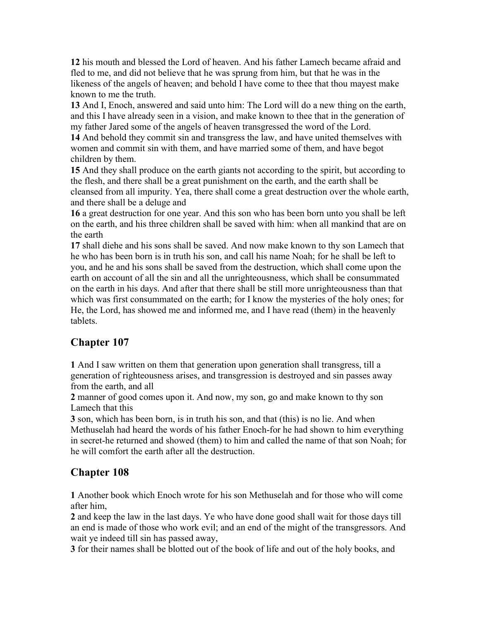**12** his mouth and blessed the Lord of heaven. And his father Lamech became afraid and fled to me, and did not believe that he was sprung from him, but that he was in the likeness of the angels of heaven; and behold I have come to thee that thou mayest make known to me the truth.

**13** And I, Enoch, answered and said unto him: The Lord will do a new thing on the earth, and this I have already seen in a vision, and make known to thee that in the generation of my father Jared some of the angels of heaven transgressed the word of the Lord.

**14** And behold they commit sin and transgress the law, and have united themselves with women and commit sin with them, and have married some of them, and have begot children by them.

**15** And they shall produce on the earth giants not according to the spirit, but according to the flesh, and there shall be a great punishment on the earth, and the earth shall be cleansed from all impurity. Yea, there shall come a great destruction over the whole earth, and there shall be a deluge and

**16** a great destruction for one year. And this son who has been born unto you shall be left on the earth, and his three children shall be saved with him: when all mankind that are on the earth

**17** shall diehe and his sons shall be saved. And now make known to thy son Lamech that he who has been born is in truth his son, and call his name Noah; for he shall be left to you, and he and his sons shall be saved from the destruction, which shall come upon the earth on account of all the sin and all the unrighteousness, which shall be consummated on the earth in his days. And after that there shall be still more unrighteousness than that which was first consummated on the earth; for I know the mysteries of the holy ones; for He, the Lord, has showed me and informed me, and I have read (them) in the heavenly tablets.

### **Chapter 107**

**1** And I saw written on them that generation upon generation shall transgress, till a generation of righteousness arises, and transgression is destroyed and sin passes away from the earth, and all

**2** manner of good comes upon it. And now, my son, go and make known to thy son Lamech that this

**3** son, which has been born, is in truth his son, and that (this) is no lie. And when Methuselah had heard the words of his father Enoch-for he had shown to him everything in secret-he returned and showed (them) to him and called the name of that son Noah; for he will comfort the earth after all the destruction.

### **Chapter 108**

**1** Another book which Enoch wrote for his son Methuselah and for those who will come after him,

**2** and keep the law in the last days. Ye who have done good shall wait for those days till an end is made of those who work evil; and an end of the might of the transgressors. And wait ye indeed till sin has passed away,

**3** for their names shall be blotted out of the book of life and out of the holy books, and